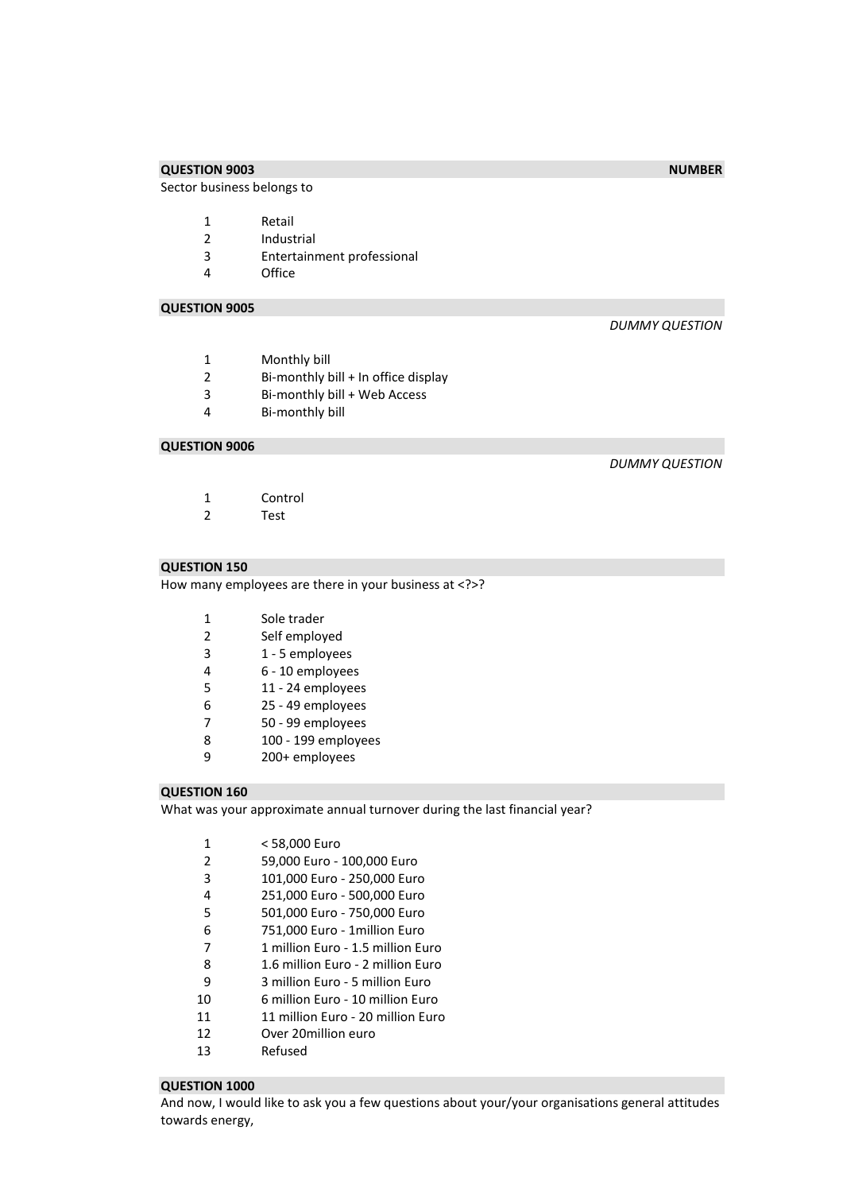## **QUESTION 9003** NUMBER **NUMBER**

Sector business belongs to

- 1 Retail<br>2 Indust
- **Industrial**
- Entertainment professional
- Office

## **QUESTION 9005**

#### *DUMMY QUESTION*

- Monthly bill
- Bi-monthly bill + In office display
- 3 Bi-monthly bill + Web Access<br>4 Bi-monthly bill
- Bi-monthly bill

## **QUESTION 9006**

## *DUMMY QUESTION*

- Control
- Test

## **QUESTION 150**

How many employees are there in your business at <?>?

| $\mathbf{1}$ | Sole trader         |
|--------------|---------------------|
| 2            | Self employed       |
| 3            | 1 - 5 employees     |
| 4            | 6 - 10 employees    |
| 5            | 11 - 24 employees   |
| 6            | 25 - 49 employees   |
| 7            | 50 - 99 employees   |
| 8            | 100 - 199 employees |
| q            | 200+ employees      |
|              |                     |

#### **QUESTION 160**

What was your approximate annual turnover during the last financial year?

| 1  | < 58.000 Euro                     |
|----|-----------------------------------|
| 2  | 59,000 Euro - 100,000 Euro        |
| 3  | 101,000 Euro - 250,000 Euro       |
| 4  | 251,000 Euro - 500,000 Euro       |
| 5  | 501,000 Euro - 750,000 Euro       |
| 6  | 751,000 Euro - 1 million Euro     |
| 7  | 1 million Euro - 1.5 million Euro |
| 8  | 1.6 million Furo - 2 million Furo |
| 9  | 3 million Euro - 5 million Euro   |
| 10 | 6 million Euro - 10 million Euro  |
| 11 | 11 million Euro - 20 million Euro |
| 12 | Over 20million euro               |
| 13 | Refused                           |

#### **QUESTION 1000**

And now, I would like to ask you a few questions about your/your organisations general attitudes towards energy,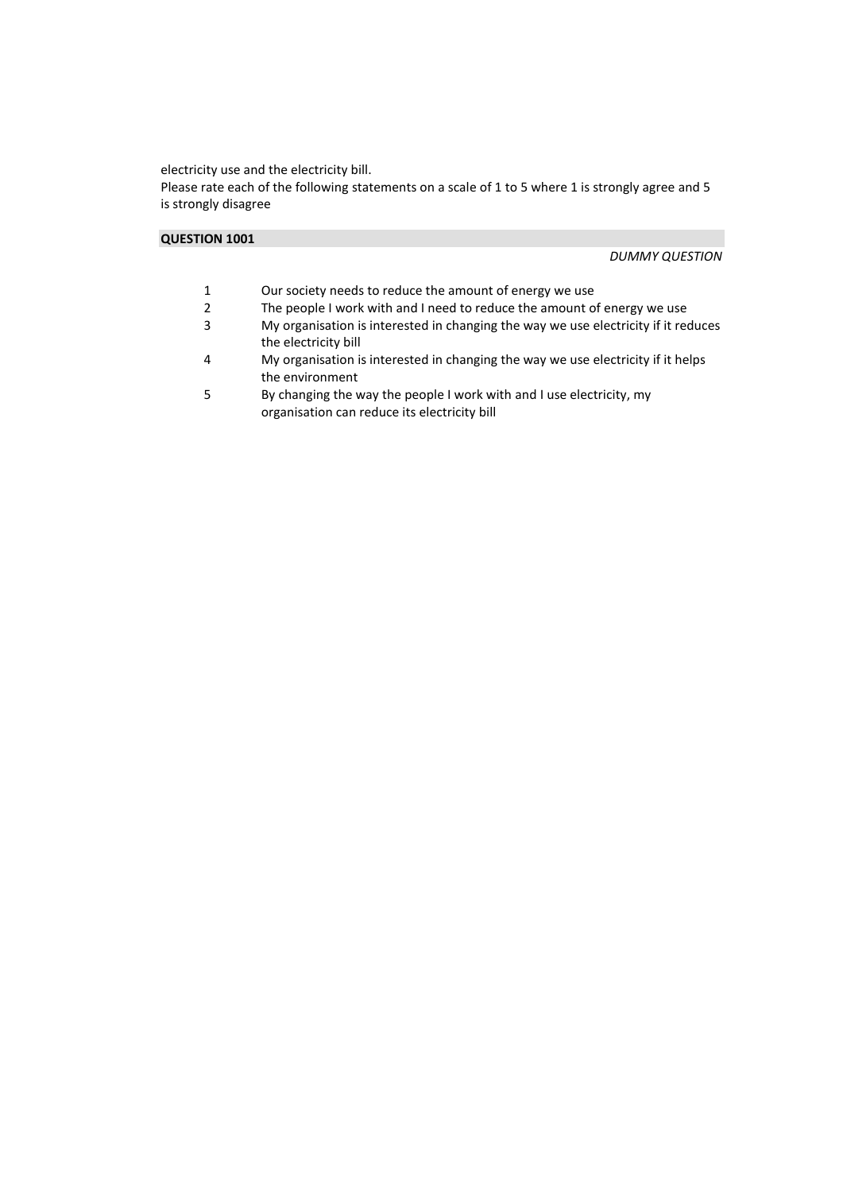electricity use and the electricity bill.

Please rate each of the following statements on a scale of 1 to 5 where 1 is strongly agree and 5 is strongly disagree

## **QUESTION 1001**

*DUMMY QUESTION* 

- 1 Our society needs to reduce the amount of energy we use<br>2 The people I work with and I need to reduce the amount of
- The people I work with and I need to reduce the amount of energy we use
- 3 My organisation is interested in changing the way we use electricity if it reduces the electricity bill
- 4 My organisation is interested in changing the way we use electricity if it helps the environment
- 5 By changing the way the people I work with and I use electricity, my organisation can reduce its electricity bill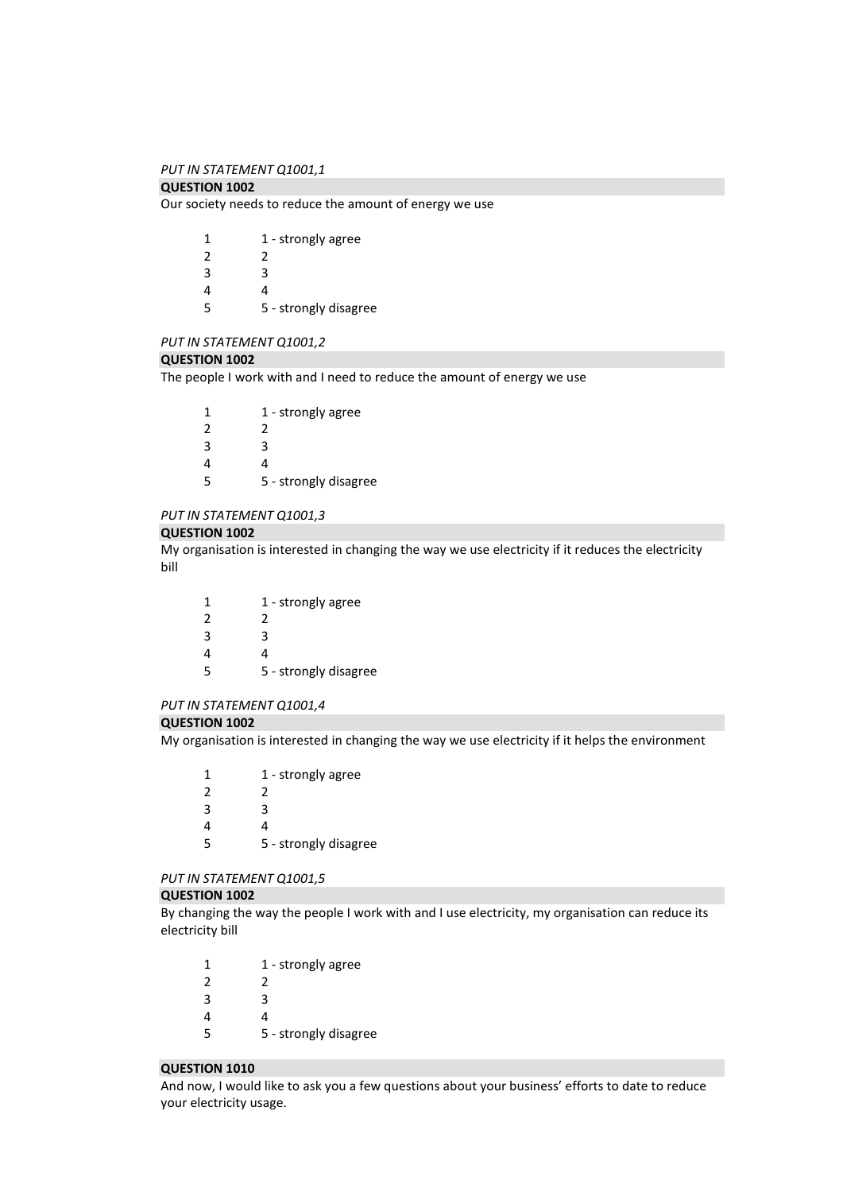### *PUT IN STATEMENT Q1001,1*

## **QUESTION 1002**

Our society needs to reduce the amount of energy we use

| 1             | 1 - strongly agree    |
|---------------|-----------------------|
| $\mathcal{P}$ | 2                     |
| 3             | ર                     |
| 4             | 4                     |
| 5             | 5 - strongly disagree |

#### *PUT IN STATEMENT Q1001,2*

### **QUESTION 1002**

The people I work with and I need to reduce the amount of energy we use

| 1             | 1 - strongly agree    |
|---------------|-----------------------|
| $\mathcal{P}$ | 2                     |
| ર             | ੨                     |
| 4             | Δ                     |
| 5             | 5 - strongly disagree |

#### *PUT IN STATEMENT Q1001,3*

## **QUESTION 1002**

My organisation is interested in changing the way we use electricity if it reduces the electricity bill

| 1 | 1 - strongly agree    |
|---|-----------------------|
| 2 | ↗                     |
| 3 | R                     |
| Δ | 4                     |
| 5 | 5 - strongly disagree |

### *PUT IN STATEMENT Q1001,4*

#### **QUESTION 1002**

My organisation is interested in changing the way we use electricity if it helps the environment

| 1 | 1 - strongly agree    |
|---|-----------------------|
| 2 | 2                     |
| ર | ર                     |
| Δ | Δ                     |
| ς | 5 - strongly disagree |
|   |                       |

## *PUT IN STATEMENT Q1001,5*

#### **QUESTION 1002**

By changing the way the people I work with and I use electricity, my organisation can reduce its electricity bill

| 1 | 1 - strongly agree    |
|---|-----------------------|
| 2 | 2                     |
| 3 | R                     |
| 4 |                       |
| 5 | 5 - strongly disagree |
|   |                       |

#### **QUESTION 1010**

And now, I would like to ask you a few questions about your business' efforts to date to reduce your electricity usage.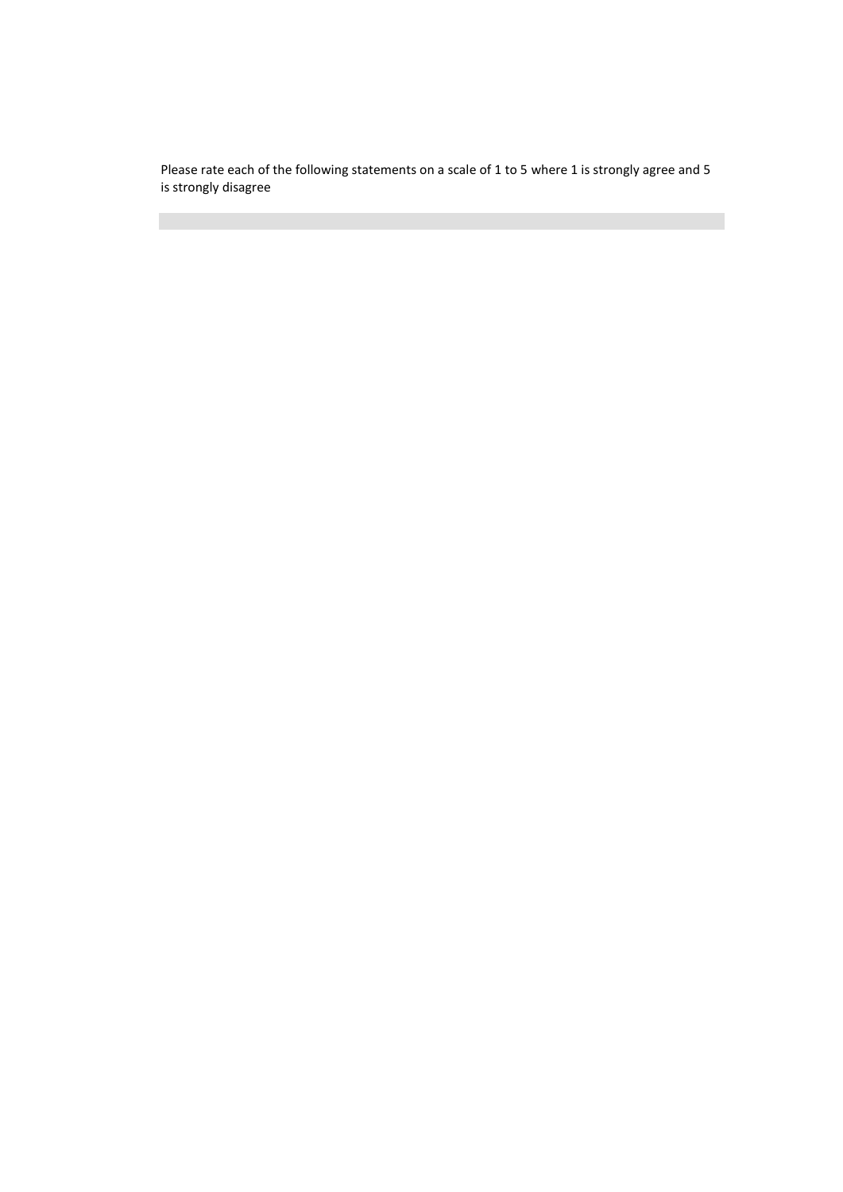Please rate each of the following statements on a scale of 1 to 5 where 1 is strongly agree and 5 is strongly disagree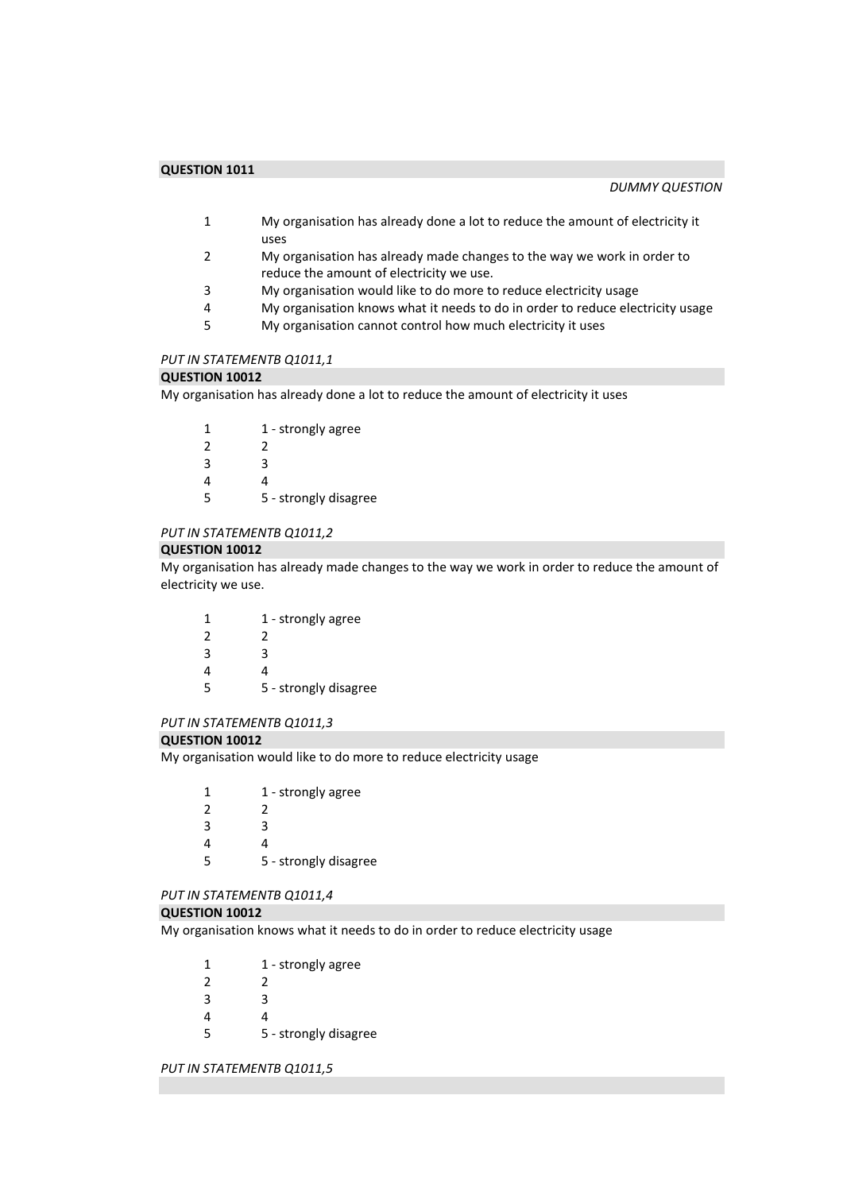- 1 My organisation has already done a lot to reduce the amount of electricity it uses
- 2 My organisation has already made changes to the way we work in order to reduce the amount of electricity we use.
- 3 My organisation would like to do more to reduce electricity usage
- 4 My organisation knows what it needs to do in order to reduce electricity usage
- 5 My organisation cannot control how much electricity it uses

## *PUT IN STATEMENTB Q1011,1*

#### **QUESTION 10012**

My organisation has already done a lot to reduce the amount of electricity it uses

| 1             | 1 - strongly agree    |
|---------------|-----------------------|
| $\mathcal{P}$ | 2                     |
| 3             | ੨                     |
| Δ             | 4                     |
| 5             | 5 - strongly disagree |

## *PUT IN STATEMENTB Q1011,2*

#### **QUESTION 10012**

My organisation has already made changes to the way we work in order to reduce the amount of electricity we use.

| 1             | 1 - strongly agree    |
|---------------|-----------------------|
| $\mathcal{P}$ | 2                     |
| 3             | З                     |
| 4             | 4                     |
| 5             | 5 - strongly disagree |
|               |                       |

#### *PUT IN STATEMENTB Q1011,3*

#### **QUESTION 10012**

My organisation would like to do more to reduce electricity usage

1 1 - strongly agree 2 2 3 3 4 4

5 5 - strongly disagree

# *PUT IN STATEMENTB Q1011,4*

#### **QUESTION 10012**

My organisation knows what it needs to do in order to reduce electricity usage

- 1 1 strongly agree
- 2 2
- 3 3
- 4 4
- 5 5 strongly disagree

#### *PUT IN STATEMENTB Q1011,5*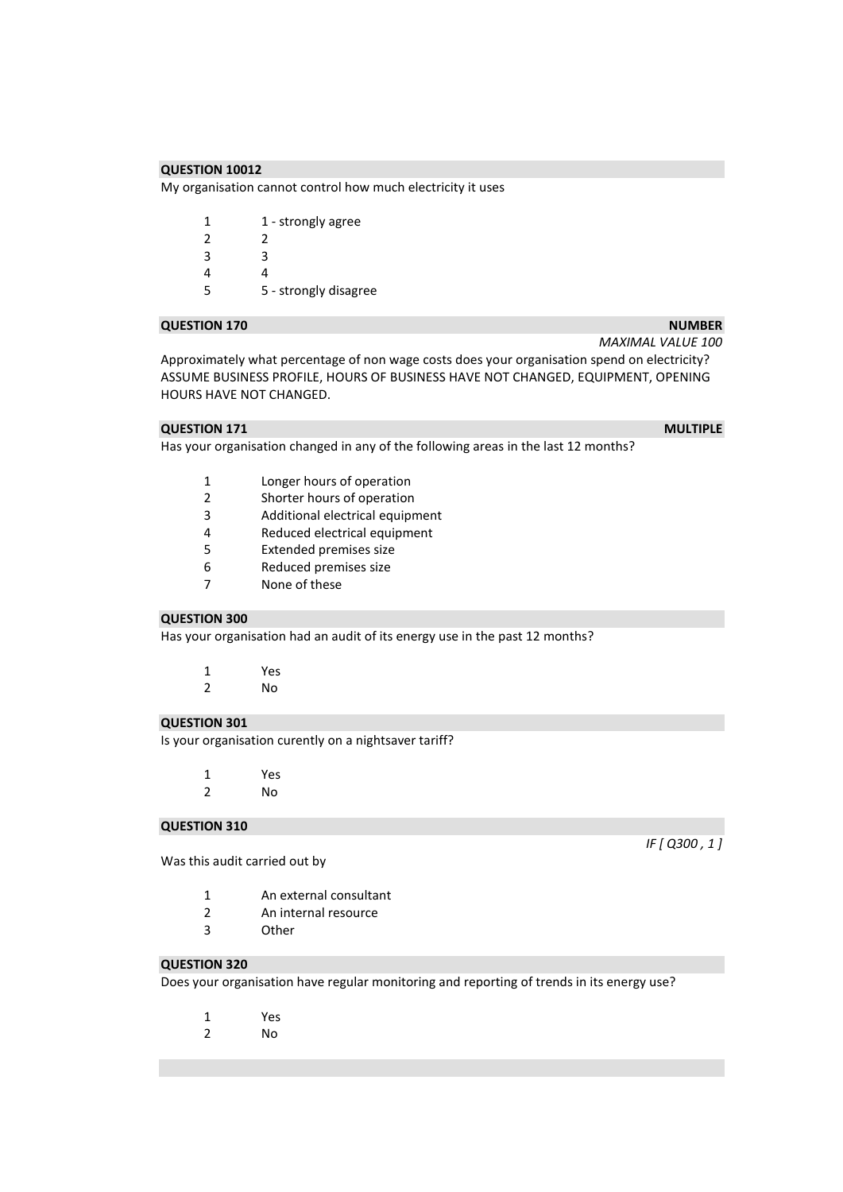My organisation cannot control how much electricity it uses

| 1             | 1 - strongly agree    |
|---------------|-----------------------|
| $\mathcal{P}$ | 2                     |
| 3             | З                     |
|               | 4                     |
| 5             | 5 - strongly disagree |

#### **QUESTION 170** NUMBER **NUMBER NUMBER**

Approximately what percentage of non wage costs does your organisation spend on electricity? ASSUME BUSINESS PROFILE, HOURS OF BUSINESS HAVE NOT CHANGED, EQUIPMENT, OPENING HOURS HAVE NOT CHANGED.

## **QUESTION 171** MULTIPLE

Has your organisation changed in any of the following areas in the last 12 months?

- 1 Longer hours of operation
- 2 Shorter hours of operation
- 3 Additional electrical equipment
- 4 Reduced electrical equipment<br>5 Extended premises size
- 5 Extended premises size
- 6 Reduced premises size
- 7 None of these

#### **QUESTION 300**

Has your organisation had an audit of its energy use in the past 12 months?

| 1 | Yes |  |
|---|-----|--|
| 2 | No  |  |

## **QUESTION 301**

Is your organisation curently on a nightsaver tariff?

| 1 | Yes |  |
|---|-----|--|
|   |     |  |

2 No

## **QUESTION 310**

Was this audit carried out by

- 1 An external consultant
- 2 An internal resource
- 3 Other

## **QUESTION 320**

Does your organisation have regular monitoring and reporting of trends in its energy use?

- 1 Yes
- 2 No

*IF [ Q300 , 1 ]* 

- 
- *MAXIMAL VALUE 100*
-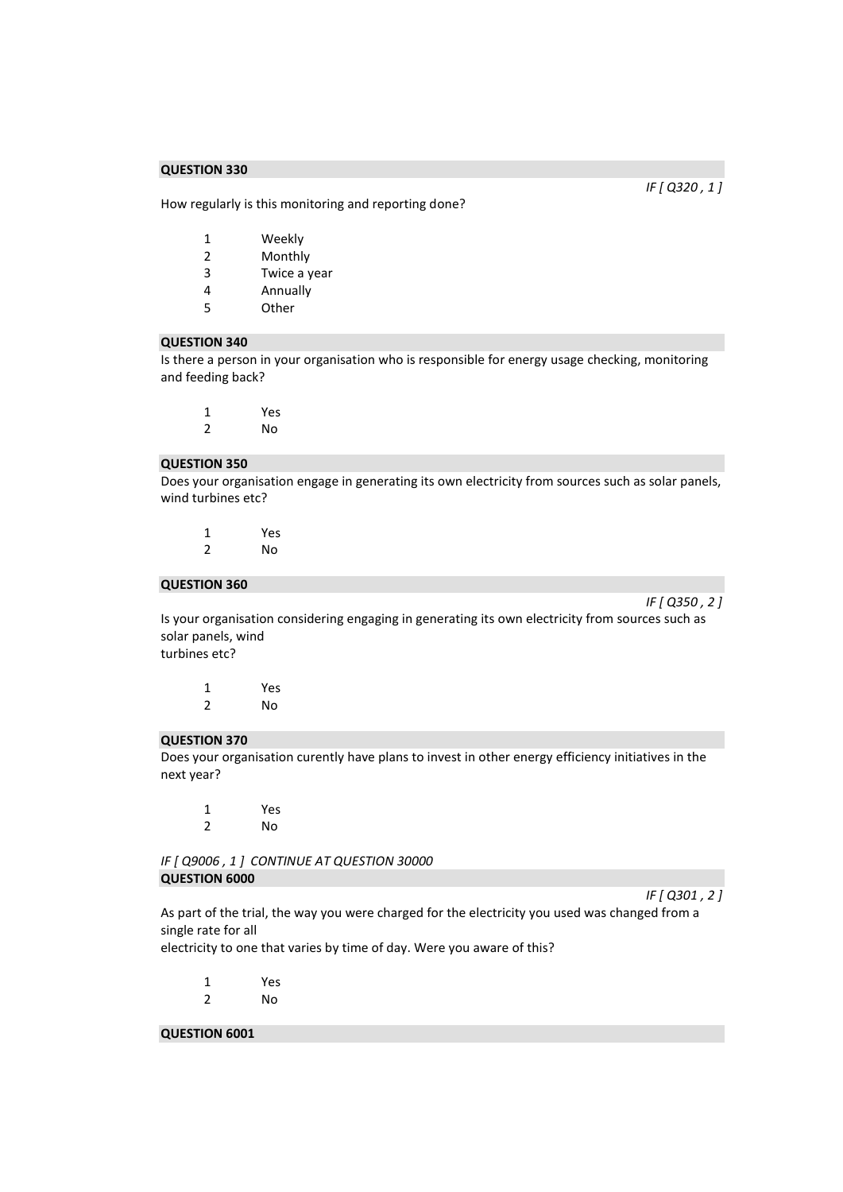How regularly is this monitoring and reporting done?

- 1 Weekly
- 2 Monthly
- 3 Twice a year
- 4 Annually
- 5 Other

#### **QUESTION 340**

Is there a person in your organisation who is responsible for energy usage checking, monitoring and feeding back?

| 1                        | Yes |
|--------------------------|-----|
| $\overline{\phantom{a}}$ | No  |

#### **QUESTION 350**

Does your organisation engage in generating its own electricity from sources such as solar panels, wind turbines etc?

| 1 | Yes |
|---|-----|
| 2 | No  |

#### **QUESTION 360**

*IF [ Q350 , 2 ]* 

Is your organisation considering engaging in generating its own electricity from sources such as solar panels, wind

turbines etc?

1 Yes 2 No

#### **QUESTION 370**

Does your organisation curently have plans to invest in other energy efficiency initiatives in the next year?

1 Yes 2 No

*IF [ Q9006 , 1 ] CONTINUE AT QUESTION 30000*  **QUESTION 6000** 

*IF [ Q301 , 2 ]* 

As part of the trial, the way you were charged for the electricity you used was changed from a single rate for all

electricity to one that varies by time of day. Were you aware of this?

- 1 Yes 2 No
- 

## **QUESTION 6001**

*IF [ Q320 , 1 ]*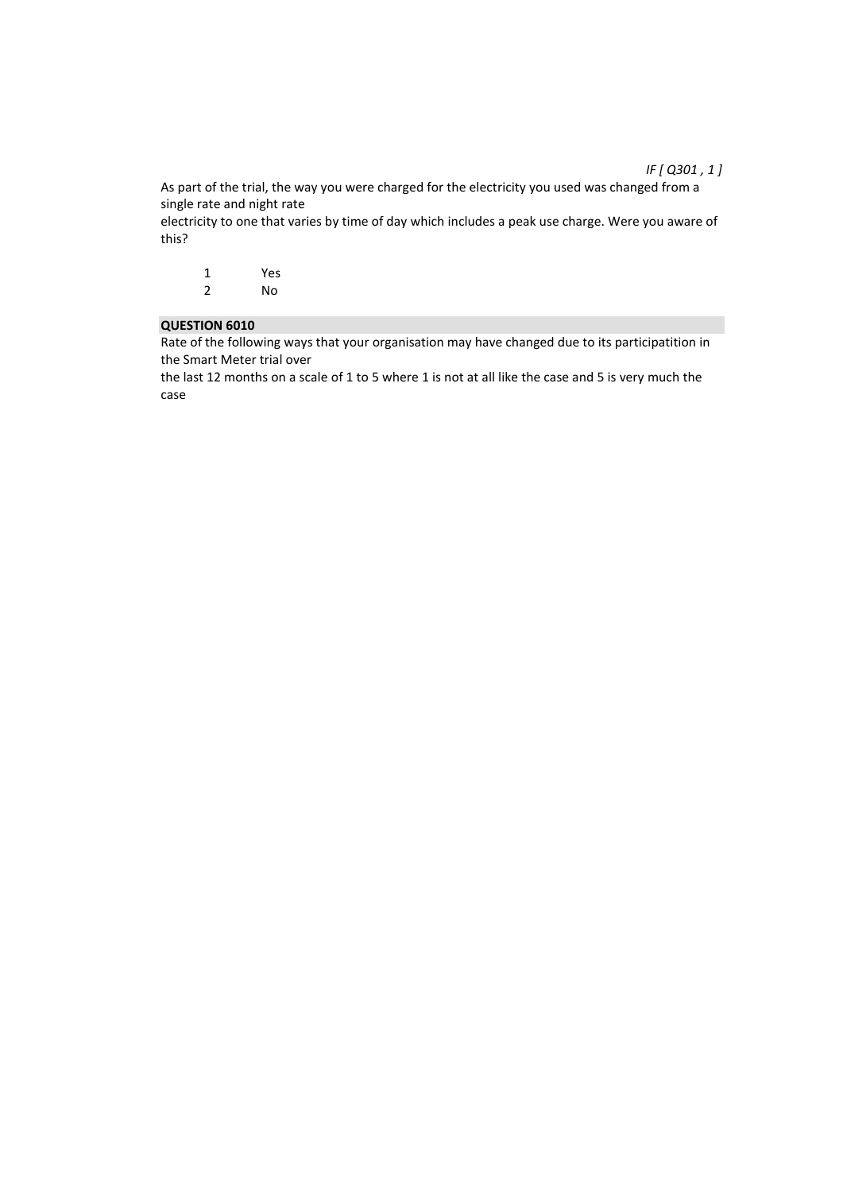## *IF [ Q301 , 1 ]*

As part of the trial, the way you were charged for the electricity you used was changed from a single rate and night rate

electricity to one that varies by time of day which includes a peak use charge. Were you aware of this?

| 1 | Yes |
|---|-----|
| 2 | No  |

## **QUESTION 6010**

Rate of the following ways that your organisation may have changed due to its participatition in the Smart Meter trial over

the last 12 months on a scale of 1 to 5 where 1 is not at all like the case and 5 is very much the case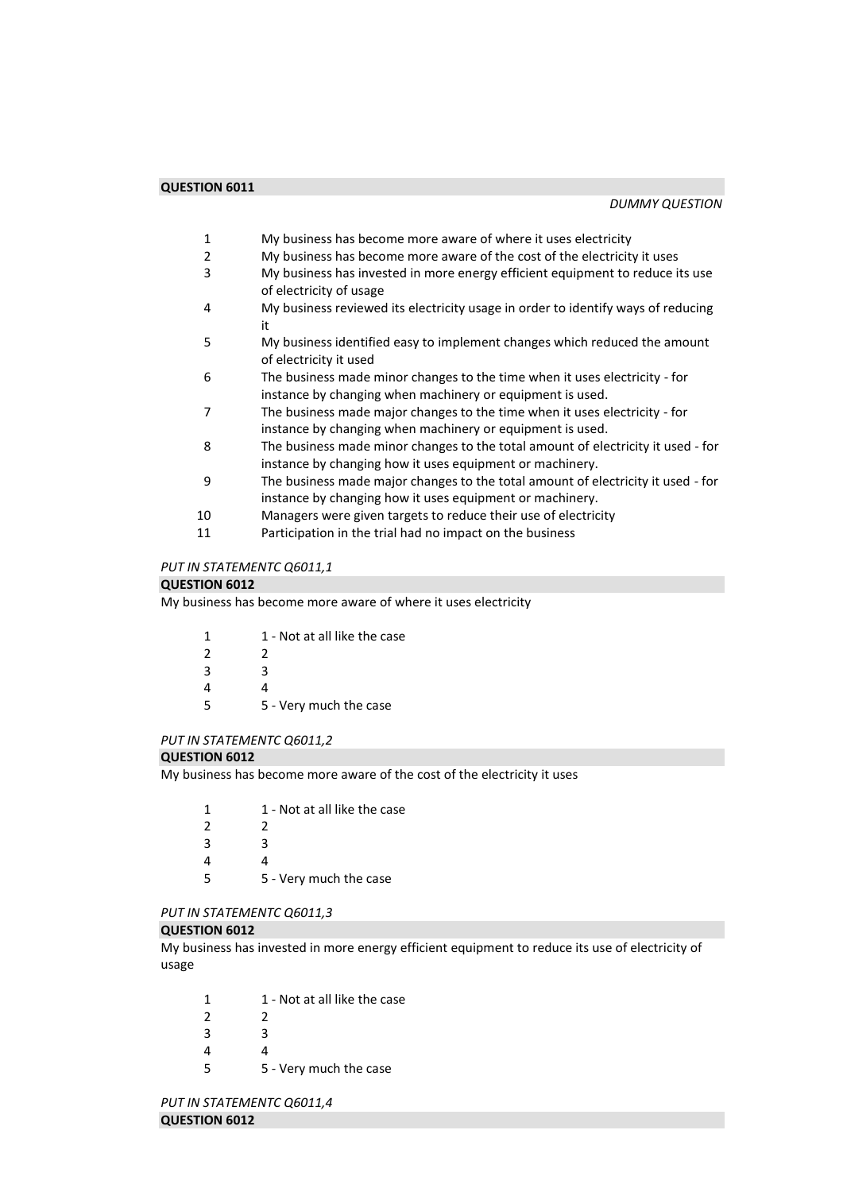- 1 My business has become more aware of where it uses electricity
- 2 My business has become more aware of the cost of the electricity it uses
- 3 My business has invested in more energy efficient equipment to reduce its use of electricity of usage
- 4 My business reviewed its electricity usage in order to identify ways of reducing it
- 5 My business identified easy to implement changes which reduced the amount of electricity it used
- 6 The business made minor changes to the time when it uses electricity for instance by changing when machinery or equipment is used.
- 7 The business made major changes to the time when it uses electricity for instance by changing when machinery or equipment is used.
- 8 The business made minor changes to the total amount of electricity it used for instance by changing how it uses equipment or machinery.
- 9 The business made major changes to the total amount of electricity it used for instance by changing how it uses equipment or machinery.
- 10 Managers were given targets to reduce their use of electricity
- 11 Participation in the trial had no impact on the business

# *PUT IN STATEMENTC Q6011,1*

## **QUESTION 6012**

My business has become more aware of where it uses electricity

| 1             | 1 - Not at all like the case |
|---------------|------------------------------|
| $\mathcal{P}$ | 2                            |
| 3             | ર                            |
|               | Δ                            |
| 5             | 5 - Very much the case       |
|               |                              |

## *PUT IN STATEMENTC Q6011,2*

## **QUESTION 6012**

My business has become more aware of the cost of the electricity it uses

| 1             | 1 - Not at all like the case |
|---------------|------------------------------|
| $\mathcal{P}$ | 2                            |
| 3             | ર                            |
| Δ             |                              |
| 5             | 5 - Very much the case       |

## *PUT IN STATEMENTC Q6011,3*

## **QUESTION 6012**

My business has invested in more energy efficient equipment to reduce its use of electricity of usage

| 1 | 1 - Not at all like the case |
|---|------------------------------|
| ຳ |                              |

- 2 2 3 3
- 4 4
- 
- 5 5 Very much the case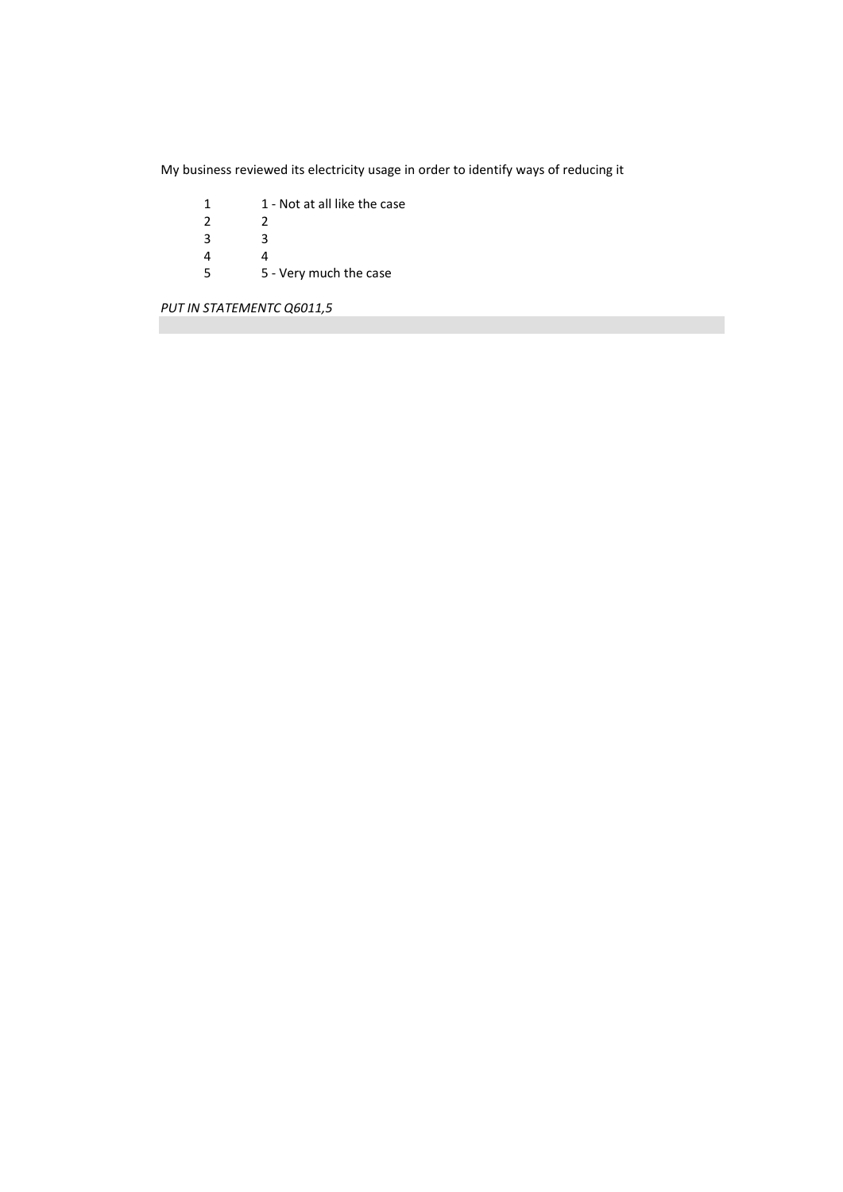My business reviewed its electricity usage in order to identify ways of reducing it

- 1 1 Not at all like the case<br>2 2  $\frac{2}{3}$  $\frac{3}{4}$
- 
- 4<br>5 5 5 - Very much the case

*PUT IN STATEMENTC Q6011,5*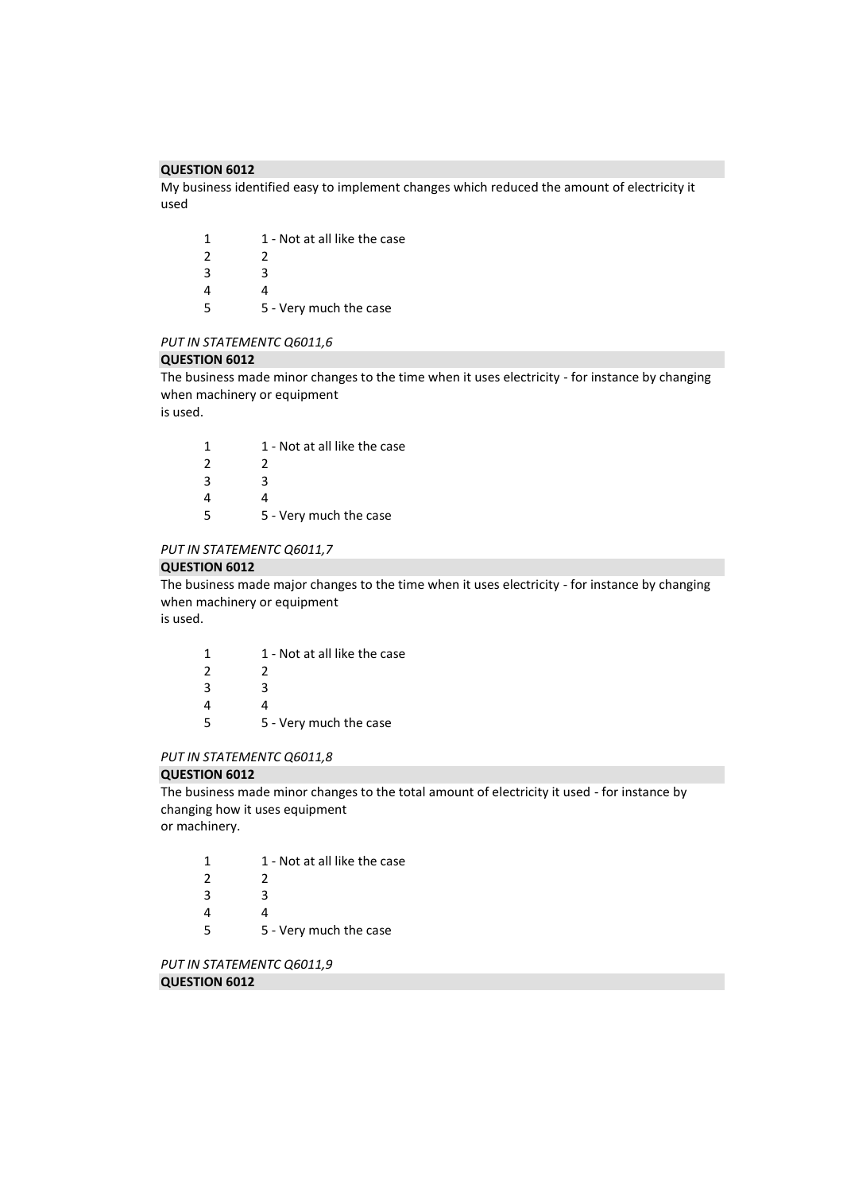My business identified easy to implement changes which reduced the amount of electricity it used

| 1 | 1 - Not at all like the case |
|---|------------------------------|
| 2 | 2                            |
| 3 | ર                            |
| 4 | 4                            |
| 5 | 5 - Very much the case       |

#### *PUT IN STATEMENTC Q6011,6*

#### **QUESTION 6012**

The business made minor changes to the time when it uses electricity - for instance by changing when machinery or equipment

is used.

| 1 | 1 - Not at all like the case |
|---|------------------------------|
| 2 | 2                            |
| 3 | ર                            |
| 4 |                              |
| 5 | 5 - Very much the case       |

## *PUT IN STATEMENTC Q6011,7*

#### **QUESTION 6012**

The business made major changes to the time when it uses electricity - for instance by changing when machinery or equipment is used.

| 1             | 1 - Not at all like the case |
|---------------|------------------------------|
| $\mathcal{P}$ | 2                            |
| 3             | ર                            |
| 4             |                              |
| 5             | 5 - Very much the case       |

## *PUT IN STATEMENTC Q6011,8*

#### **QUESTION 6012**

The business made minor changes to the total amount of electricity it used - for instance by changing how it uses equipment or machinery.

| 1             | 1 - Not at all like the case |
|---------------|------------------------------|
| $\mathcal{L}$ |                              |
| 3             | ર                            |
|               |                              |

5 5 - Very much the case

*PUT IN STATEMENTC Q6011,9* 

# **QUESTION 6012**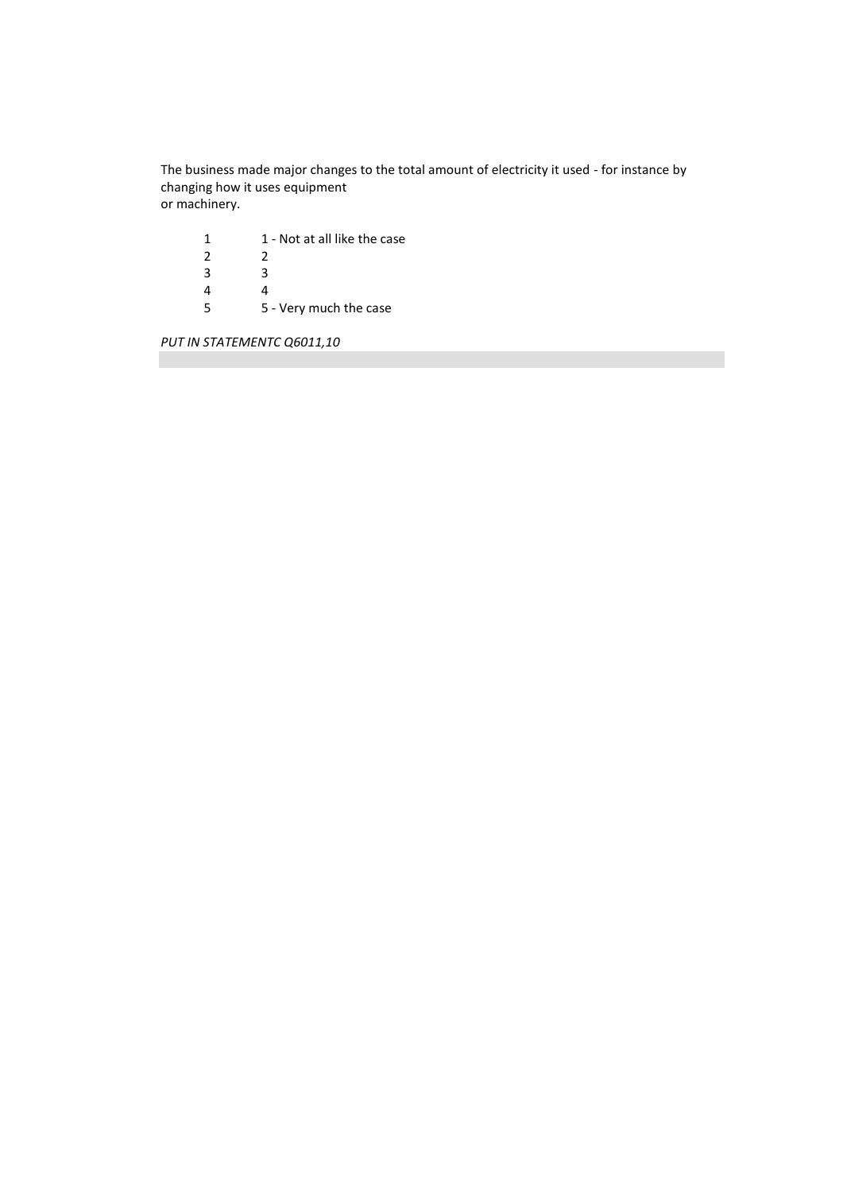The business made major changes to the total amount of electricity it used - for instance by changing how it uses equipment or machinery.

| 1 | 1 - Not at all like the case |
|---|------------------------------|
| 2 | 2                            |
| 3 | ર                            |
| 4 |                              |
| 5 | 5 - Very much the case       |

*PUT IN STATEMENTC Q6011,10*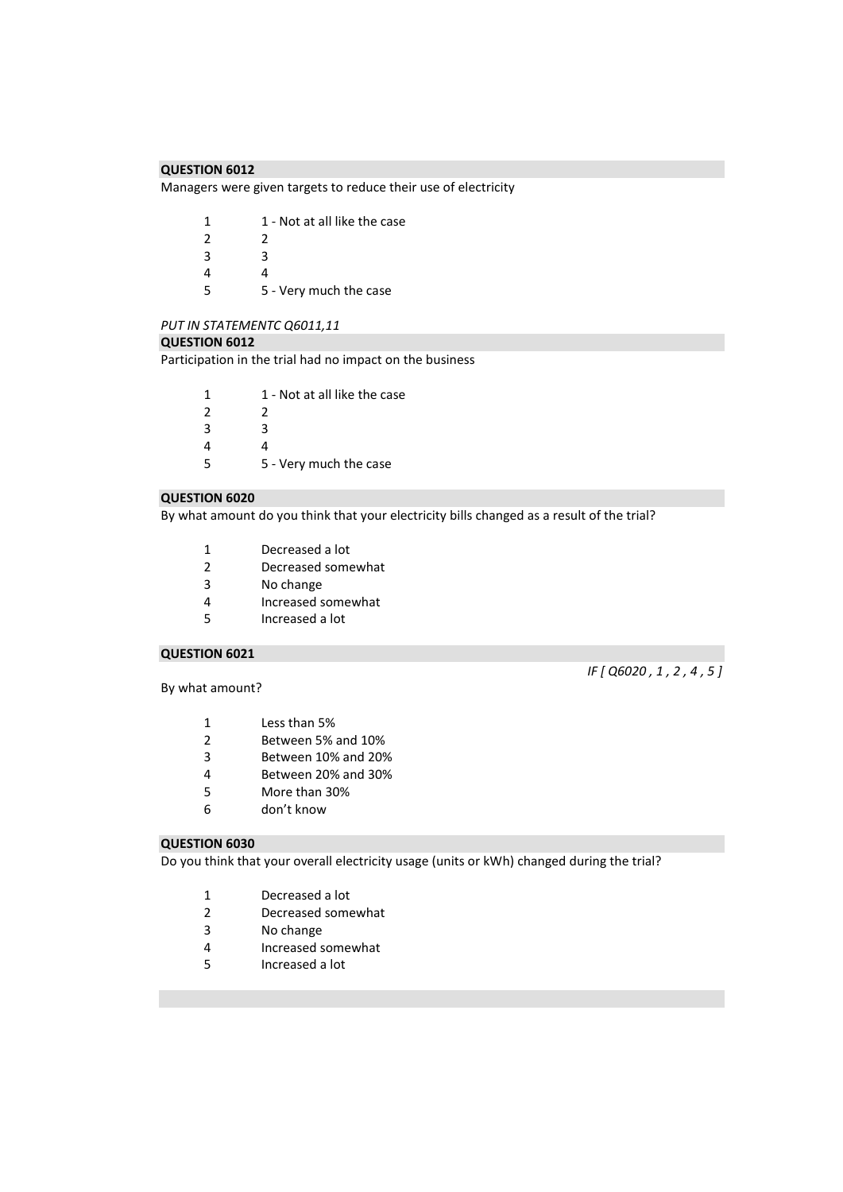Managers were given targets to reduce their use of electricity

| 1              | 1 - Not at all like the case |
|----------------|------------------------------|
| $\overline{2}$ | 2                            |
| 3              | ર                            |
| 4              | Δ                            |
| 5              | 5 - Very much the case       |

#### *PUT IN STATEMENTC Q6011,11*

#### **QUESTION 6012**

Participation in the trial had no impact on the business

| -1            | 1 - Not at all like the case |
|---------------|------------------------------|
| $\mathcal{P}$ |                              |
| 3             | з                            |
|               |                              |

 4 5 - Very much the case

## **QUESTION 6020**

By what amount do you think that your electricity bills changed as a result of the trial?

- Decreased a lot
- Decreased somewhat
- 3 No change<br>4 Increased s
- Increased somewhat
- Increased a lot

## **QUESTION 6021**

By what amount?

## *IF [ Q6020 , 1 , 2 , 4 , 5 ]*

- 1 Less than 5%<br>2 Between 5%
- Between 5% and 10%
- Between 10% and 20%
- Between 20% and 30%
- More than 30%
- don't know

## **QUESTION 6030**

Do you think that your overall electricity usage (units or kWh) changed during the trial?

- Decreased a lot
- Decreased somewhat
- No change
- Increased somewhat
- Increased a lot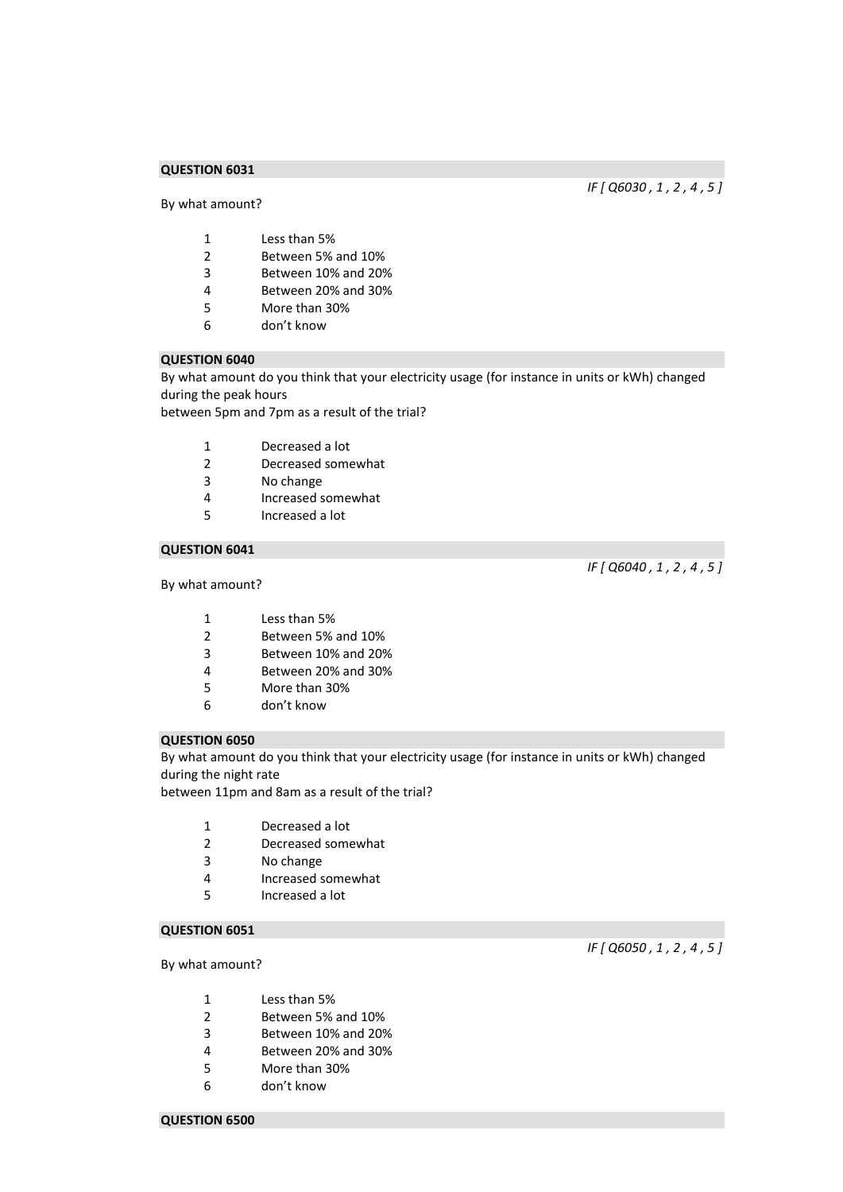By what amount?

*IF [ Q6030 , 1 , 2 , 4 , 5 ]* 

- Less than 5%
- Between 5% and 10%
- Between 10% and 20%
- Between 20% and 30%
- More than 30%
- don't know

## **QUESTION 6040**

By what amount do you think that your electricity usage (for instance in units or kWh) changed during the peak hours

between 5pm and 7pm as a result of the trial?

- Decreased a lot
- Decreased somewhat
- No change
- Increased somewhat
- Increased a lot

## **QUESTION 6041**

## By what amount?

*IF [ Q6040 , 1 , 2 , 4 , 5 ]* 

- Less than 5%
- Between 5% and 10%
- Between 10% and 20%
- Between 20% and 30%
- More than 30%
- don't know

## **QUESTION 6050**

By what amount do you think that your electricity usage (for instance in units or kWh) changed during the night rate

between 11pm and 8am as a result of the trial?

- Decreased a lot
- Decreased somewhat
- No change
- Increased somewhat
- Increased a lot

## **QUESTION 6051**

By what amount?

- Less than 5%
- Between 5% and 10%
- Between 10% and 20%
- Between 20% and 30%
- More than 30%
- don't know

*IF [ Q6050 , 1 , 2 , 4 , 5 ]* 

#### **QUESTION 6500**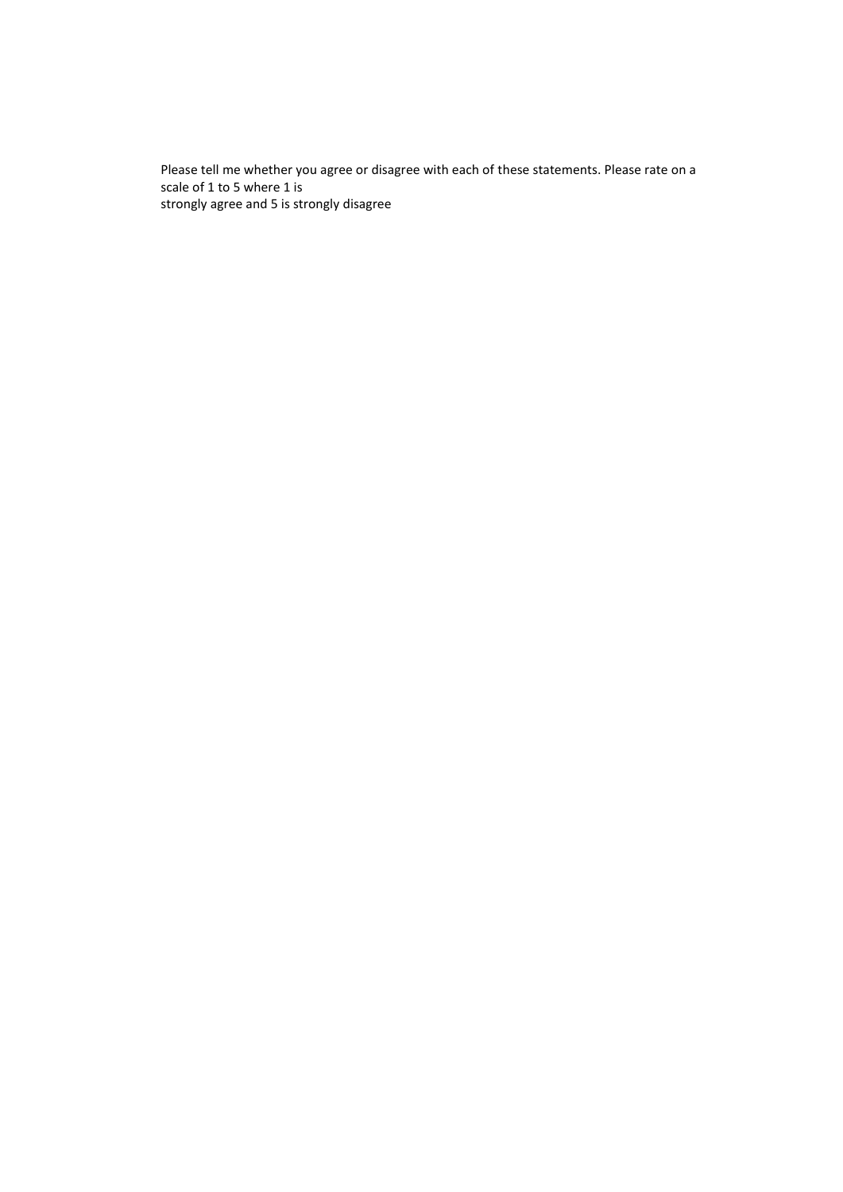Please tell me whether you agree or disagree with each of these statements. Please rate on a scale of 1 to 5 where 1 is strongly agree and 5 is strongly disagree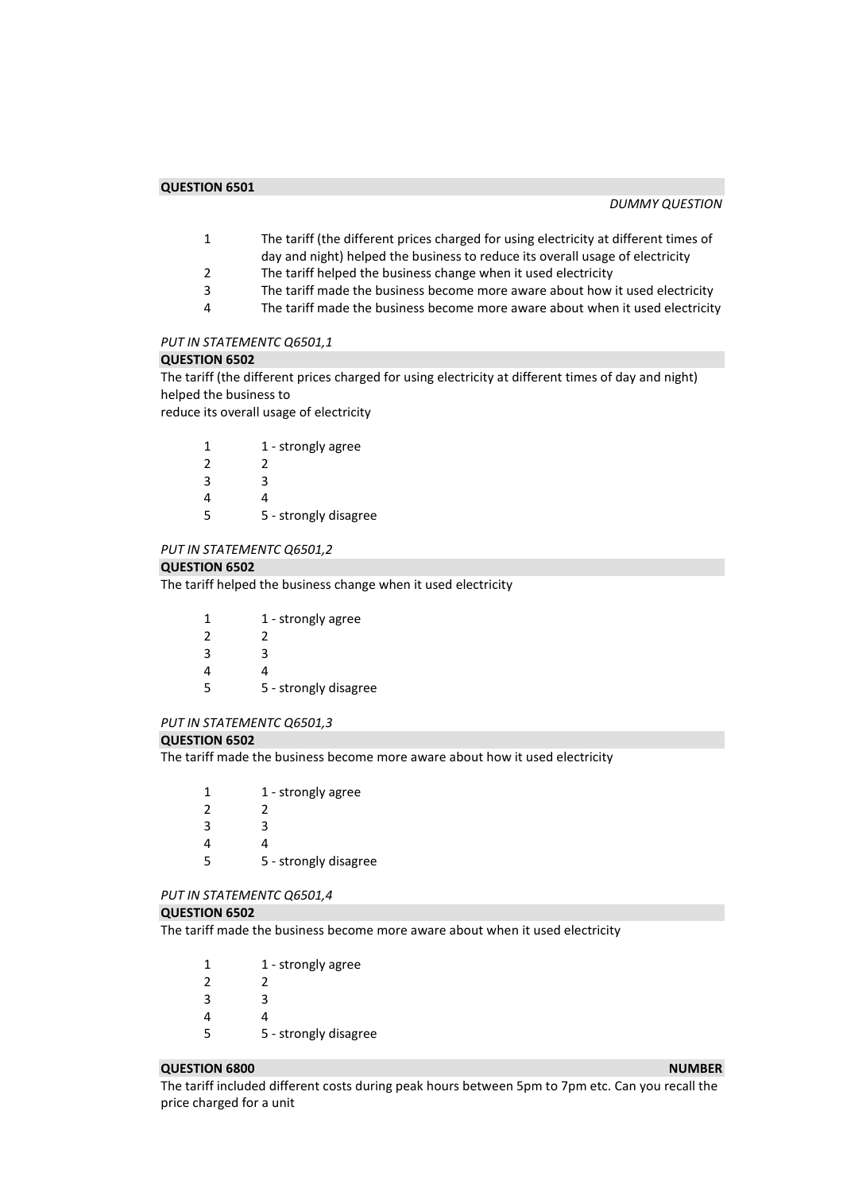- 1 The tariff (the different prices charged for using electricity at different times of day and night) helped the business to reduce its overall usage of electricity
- 2 The tariff helped the business change when it used electricity<br>3 The tariff made the business become more aware about how
- The tariff made the business become more aware about how it used electricity
- 4 The tariff made the business become more aware about when it used electricity

## *PUT IN STATEMENTC Q6501,1*

#### **QUESTION 6502**

The tariff (the different prices charged for using electricity at different times of day and night) helped the business to

reduce its overall usage of electricity

|   | 1 - strongly agree    |
|---|-----------------------|
| 2 | 2                     |
| 3 | ς                     |
| 4 |                       |
| 5 | 5 - strongly disagree |

#### *PUT IN STATEMENTC Q6501,2*

#### **QUESTION 6502**

The tariff helped the business change when it used electricity

| 1 | 1 - strongly agree    |
|---|-----------------------|
| 2 | 2                     |
| 3 | ર                     |
| 4 | Δ                     |
| 5 | 5 - strongly disagree |
|   |                       |

#### *PUT IN STATEMENTC Q6501,3*

#### **QUESTION 6502**

The tariff made the business become more aware about how it used electricity

1 1 - strongly agree 2 2 3 3 4 4 5 5 - strongly disagree

#### *PUT IN STATEMENTC Q6501,4*

#### **QUESTION 6502**

The tariff made the business become more aware about when it used electricity

| 1 - strongly agree |
|--------------------|
|                    |
| ੨                  |
|                    |
|                    |

#### 5 5 - strongly disagree

#### **QUESTION 6800** NUMBER **NUMBER NUMBER NUMBER**

The tariff included different costs during peak hours between 5pm to 7pm etc. Can you recall the price charged for a unit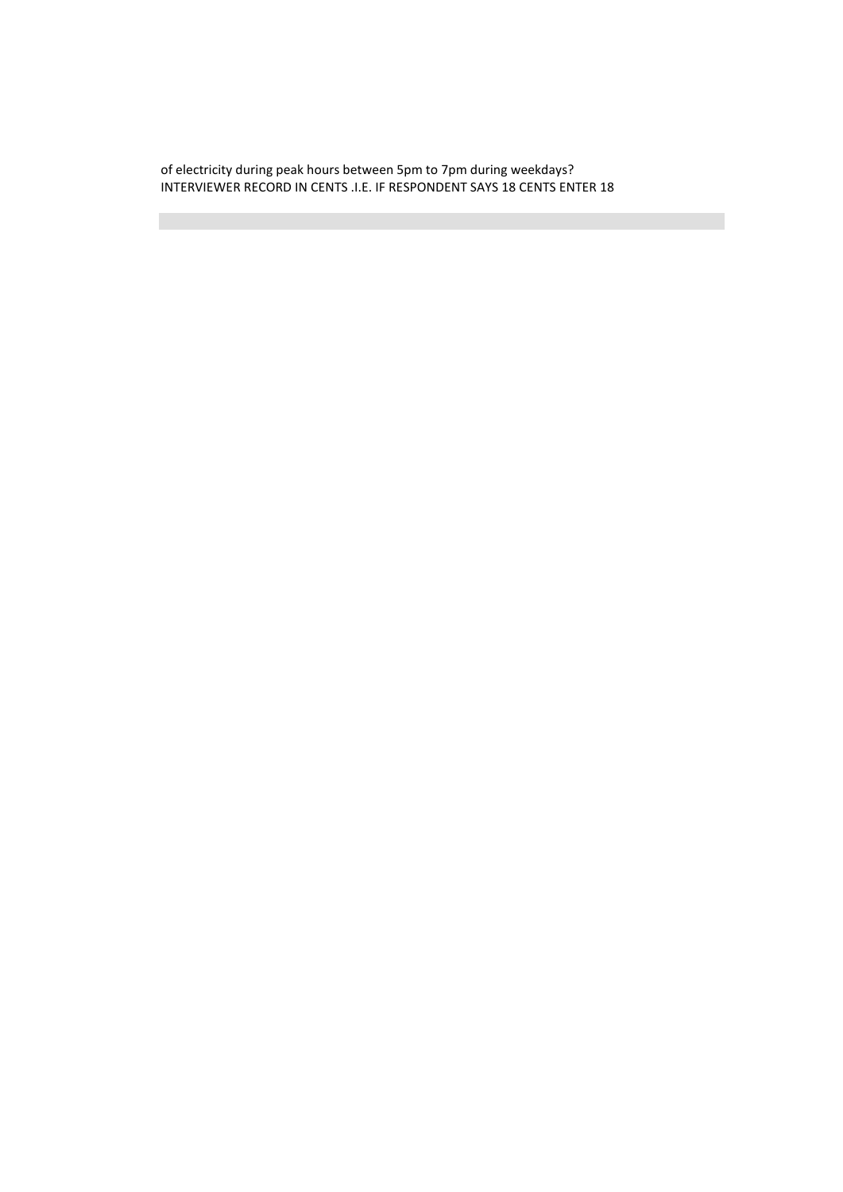of electricity during peak hours between 5pm to 7pm during weekdays? INTERVIEWER RECORD IN CENTS .I.E. IF RESPONDENT SAYS 18 CENTS ENTER 18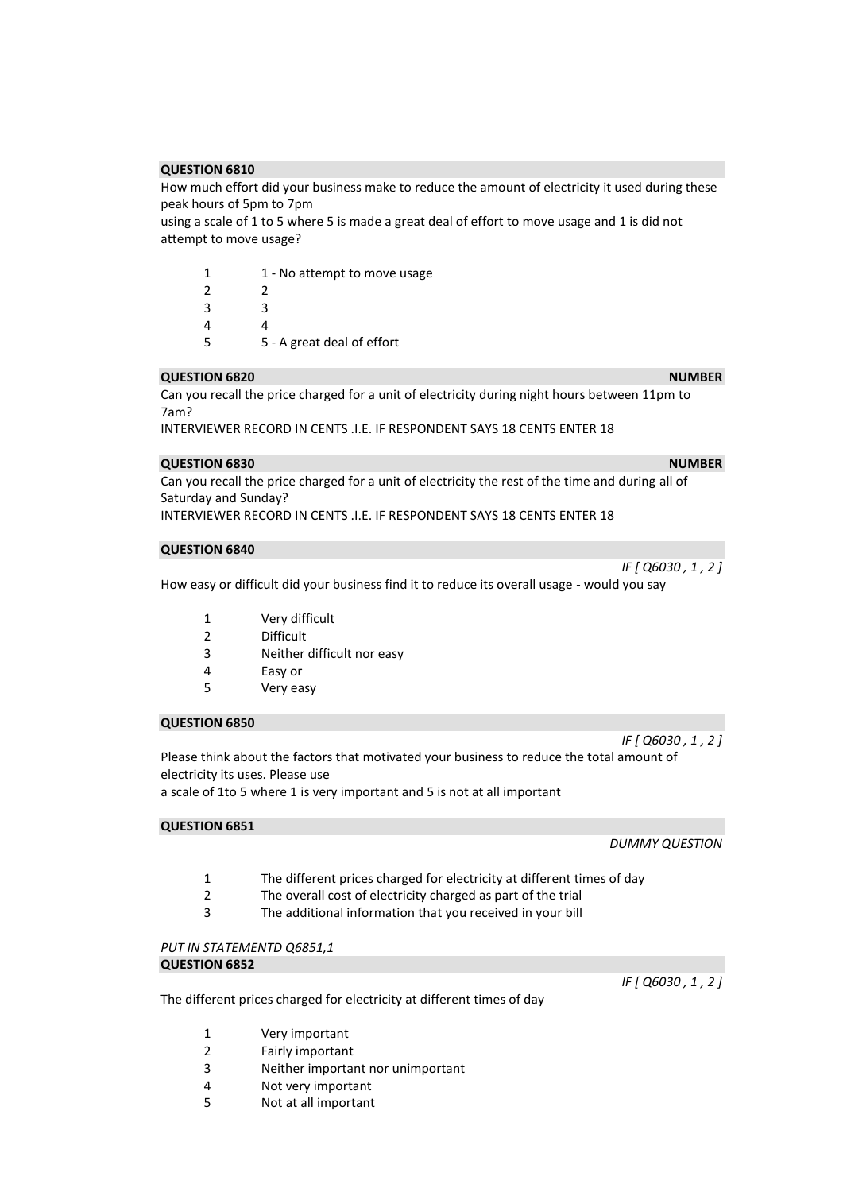How much effort did your business make to reduce the amount of electricity it used during these peak hours of 5pm to 7pm

using a scale of 1 to 5 where 5 is made a great deal of effort to move usage and 1 is did not attempt to move usage?

| 1             | 1 - No attempt to move usage |
|---------------|------------------------------|
| $\mathcal{P}$ | 2                            |
| 3             | R                            |
| 4             |                              |
| 5             | 5 - A great deal of effort   |

#### **QUESTION 6820** NUMBER **NUMBER NUMBER**

Can you recall the price charged for a unit of electricity during night hours between 11pm to 7am?

INTERVIEWER RECORD IN CENTS .I.E. IF RESPONDENT SAYS 18 CENTS ENTER 18

#### **QUESTION 6830** NUMBER **NUMBER NUMBER NUMBER**

Can you recall the price charged for a unit of electricity the rest of the time and during all of Saturday and Sunday? INTERVIEWER RECORD IN CENTS .I.E. IF RESPONDENT SAYS 18 CENTS ENTER 18

#### **QUESTION 6840**

*IF [ Q6030 , 1 , 2 ]* 

How easy or difficult did your business find it to reduce its overall usage - would you say

- 1 Very difficult
- 2 Difficult
- 3 Neither difficult nor easy
- 4 Easy or
- 5 Very easy

## **QUESTION 6850**

Please think about the factors that motivated your business to reduce the total amount of electricity its uses. Please use a scale of 1to 5 where 1 is very important and 5 is not at all important

**QUESTION 6851** 

*DUMMY QUESTION* 

*IF [ Q6030 , 1 , 2 ]* 

- 1 The different prices charged for electricity at different times of day
- 2 The overall cost of electricity charged as part of the trial
- 3 The additional information that you received in your bill

*PUT IN STATEMENTD Q6851,1*  **QUESTION 6852** 

*IF [ Q6030 , 1 , 2 ]* 

- The different prices charged for electricity at different times of day
	- 1 Very important
	- 2 Fairly important
	- 3 Neither important nor unimportant
	- 4 Not very important
	- 5 Not at all important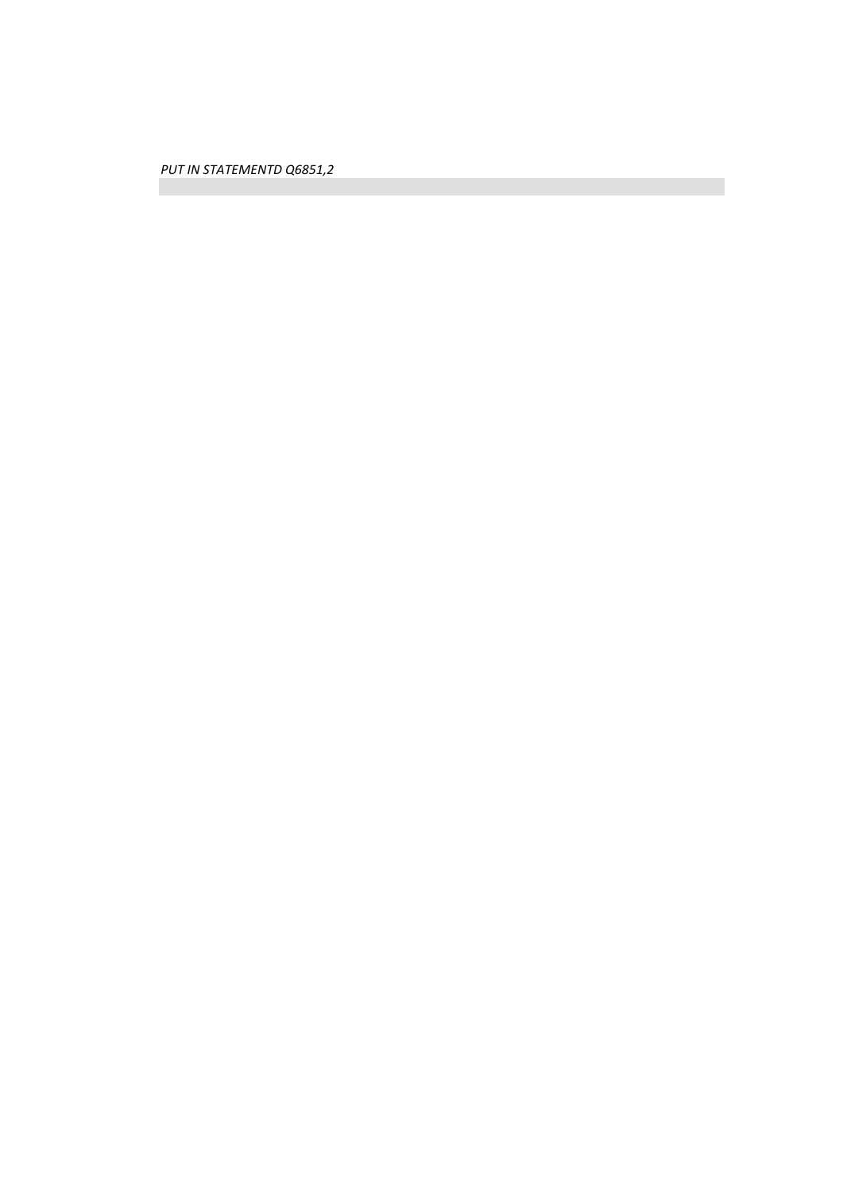*PUT IN STATEMENTD Q6851,2*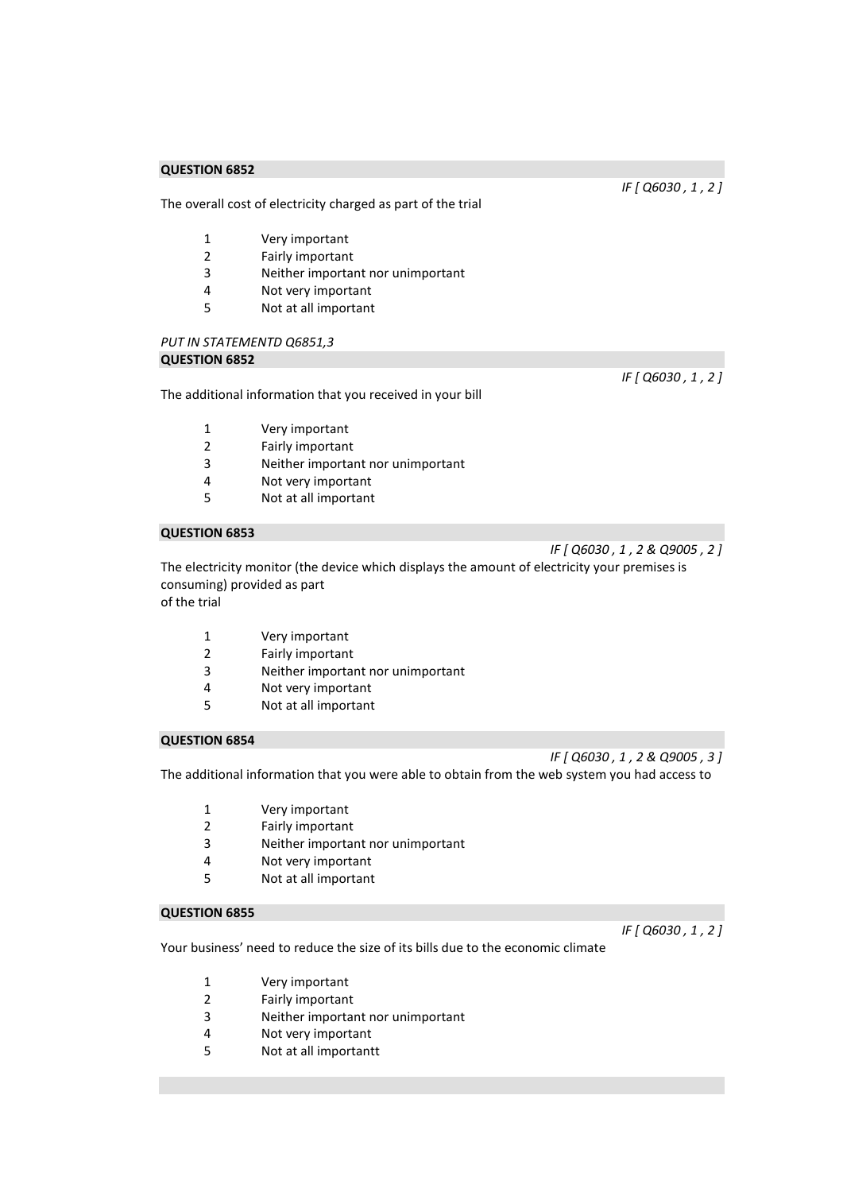The overall cost of electricity charged as part of the trial

- 1 Very important
- 2 Fairly important
- 3 Neither important nor unimportant<br>4 Not verv important
- Not very important
- 5 Not at all important

# *PUT IN STATEMENTD Q6851,3*

## **QUESTION 6852**

The additional information that you received in your bill

- 1 Very important
- 2 Fairly important
- 3 Neither important nor unimportant
- 4 Not very important
- 5 Not at all important

## **QUESTION 6853**

*IF [ Q6030 , 1 , 2 & Q9005 , 2 ]* 

The electricity monitor (the device which displays the amount of electricity your premises is consuming) provided as part of the trial

- 1 Very important
- 2 Fairly important
- 3 Neither important nor unimportant
- 4 Not very important
- 5 Not at all important

## **QUESTION 6854**

*IF [ Q6030 , 1 , 2 & Q9005 , 3 ]* 

The additional information that you were able to obtain from the web system you had access to

- 1 Very important
- 2 Fairly important
- 3 Neither important nor unimportant
- 4 Not very important
- 5 Not at all important

#### **QUESTION 6855**

*IF [ Q6030 , 1 , 2 ]* 

Your business' need to reduce the size of its bills due to the economic climate

- 1 Very important
- 2 Fairly important
- 3 Neither important nor unimportant
- 4 Not very important
- 5 Not at all importantt

*IF [ Q6030 , 1 , 2 ]* 

*IF [ Q6030 , 1 , 2 ]*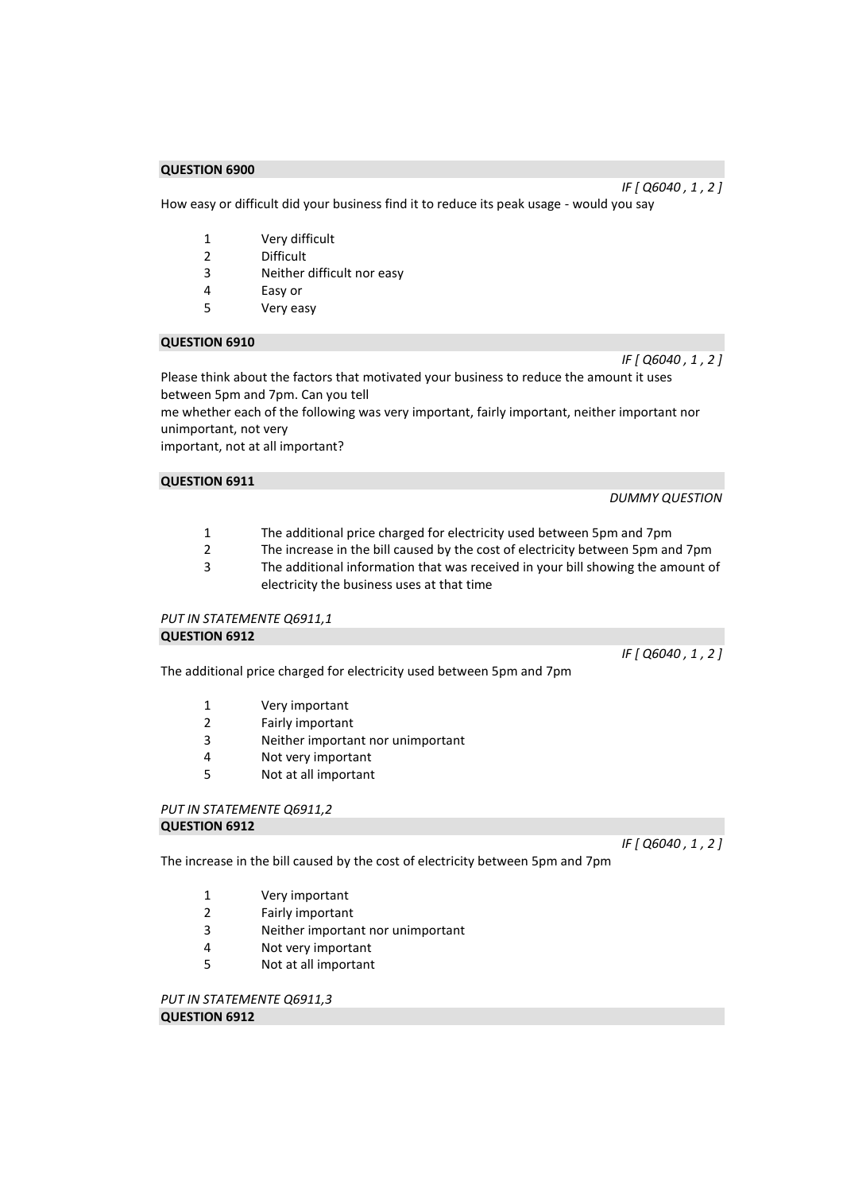*IF [ Q6040 , 1 , 2 ]* 

How easy or difficult did your business find it to reduce its peak usage - would you say

- 1 Very difficult
- 2 Difficult
- 3 Neither difficult nor easy
- 4 Easy or
- 5 Very easy

### **QUESTION 6910**

Please think about the factors that motivated your business to reduce the amount it uses between 5pm and 7pm. Can you tell

me whether each of the following was very important, fairly important, neither important nor unimportant, not very

important, not at all important?

## **QUESTION 6911**

*DUMMY QUESTION* 

*IF [ Q6040 , 1 , 2 ]* 

*IF [ Q6040 , 1 , 2 ]* 

- 1 The additional price charged for electricity used between 5pm and 7pm<br>2 The increase in the bill caused by the cost of electricity between 5pm and
- The increase in the bill caused by the cost of electricity between 5pm and 7pm
- 3 The additional information that was received in your bill showing the amount of electricity the business uses at that time

#### *PUT IN STATEMENTE Q6911,1*  **QUESTION 6912**

The additional price charged for electricity used between 5pm and 7pm

- 1 Very important
- 2 Fairly important
- 3 Neither important nor unimportant
- 4 Not very important
- 5 Not at all important

#### *PUT IN STATEMENTE Q6911,2*  **QUESTION 6912**

*IF [ Q6040 , 1 , 2 ]*

The increase in the bill caused by the cost of electricity between 5pm and 7pm

- 1 Very important
- 2 Fairly important
- 3 Neither important nor unimportant
- 4 Not very important
- 5 Not at all important

*PUT IN STATEMENTE Q6911,3*  **QUESTION 6912**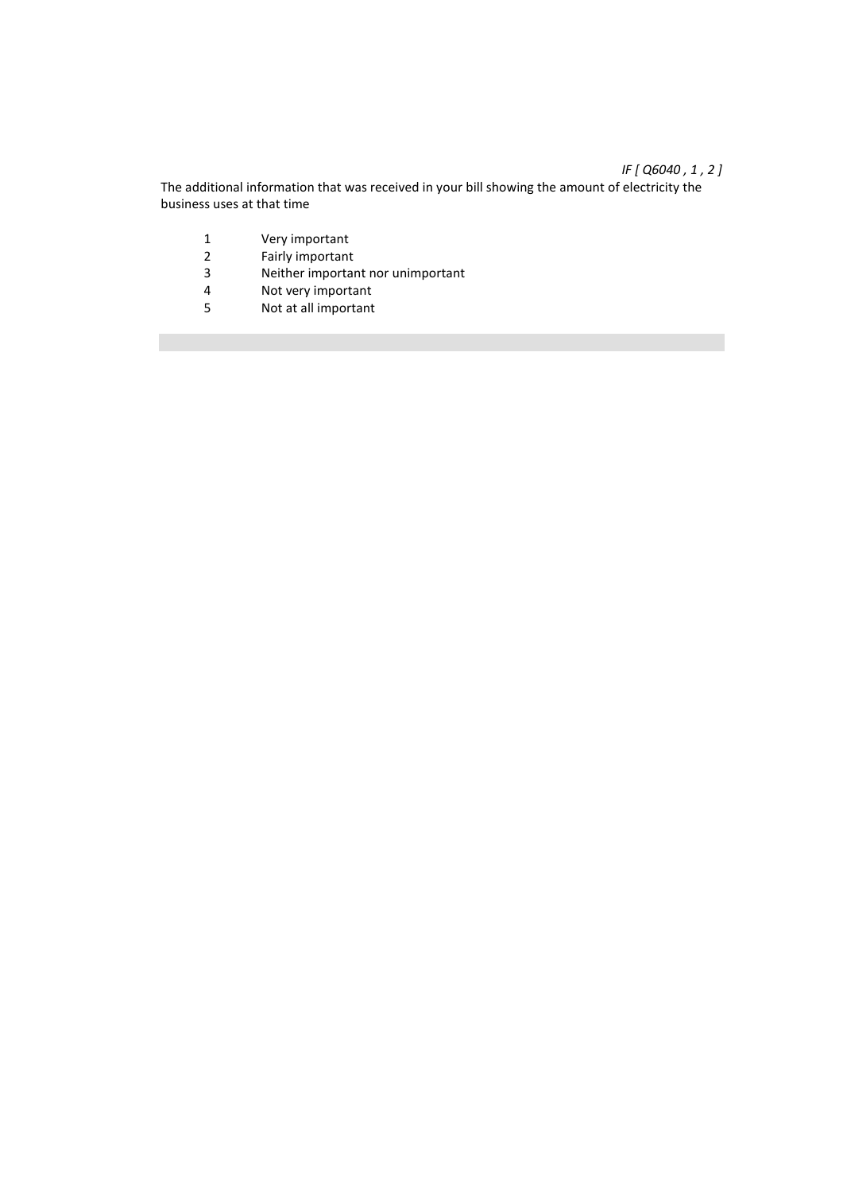## *IF [ Q6040 , 1 , 2 ]*

The additional information that was received in your bill showing the amount of electricity the business uses at that time

- 1 Very important<br>2 Fairly important
- 2 Fairly important<br>3 Neither importal
- 3 Neither important nor unimportant<br>4 Not verv important
- 4 Not very important<br>5 Not at all important
- Not at all important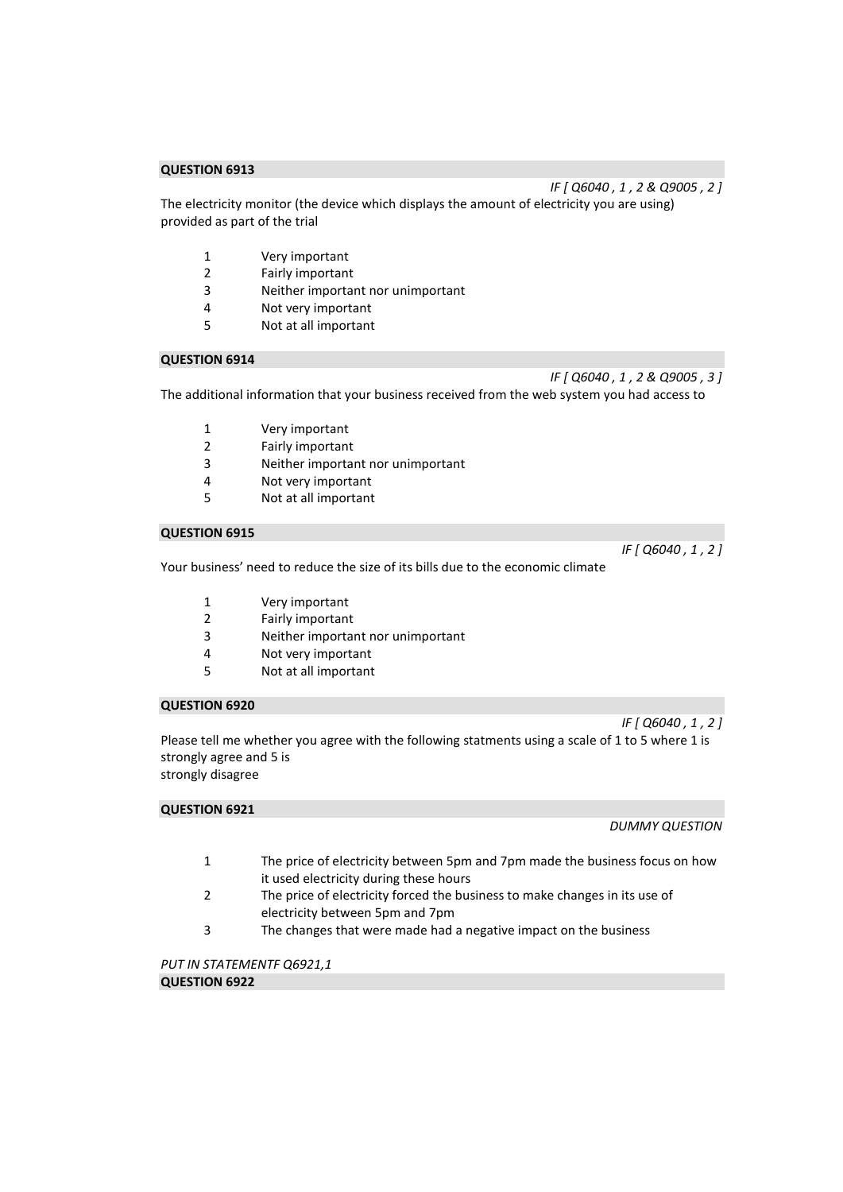The electricity monitor (the device which displays the amount of electricity you are using) provided as part of the trial

- 1 Very important
- 2 Fairly important<br>3 Neither importal
- Neither important nor unimportant
- 4 Not very important
- 5 Not at all important

## **QUESTION 6914**

*IF [ Q6040 , 1 , 2 & Q9005 , 3 ]*  The additional information that your business received from the web system you had access to

- 1 Very important
- 2 Fairly important
- 3 Neither important nor unimportant
- 4 Not very important
- 5 Not at all important

## **QUESTION 6915**

Your business' need to reduce the size of its bills due to the economic climate

*IF [ Q6040 , 1 , 2 ]* 

- 1 Very important
- 2 Fairly important
- 3 Neither important nor unimportant
- 4 Not very important
- 5 Not at all important

## **QUESTION 6920**

*IF [ Q6040 , 1 , 2 ]*  Please tell me whether you agree with the following statments using a scale of 1 to 5 where 1 is strongly agree and 5 is strongly disagree

#### **QUESTION 6921**

*DUMMY QUESTION* 

- 1 The price of electricity between 5pm and 7pm made the business focus on how it used electricity during these hours
- 2 The price of electricity forced the business to make changes in its use of electricity between 5pm and 7pm
- 3 The changes that were made had a negative impact on the business

*PUT IN STATEMENTF Q6921,1*  **QUESTION 6922** 

*IF [ Q6040 , 1 , 2 & Q9005 , 2 ]*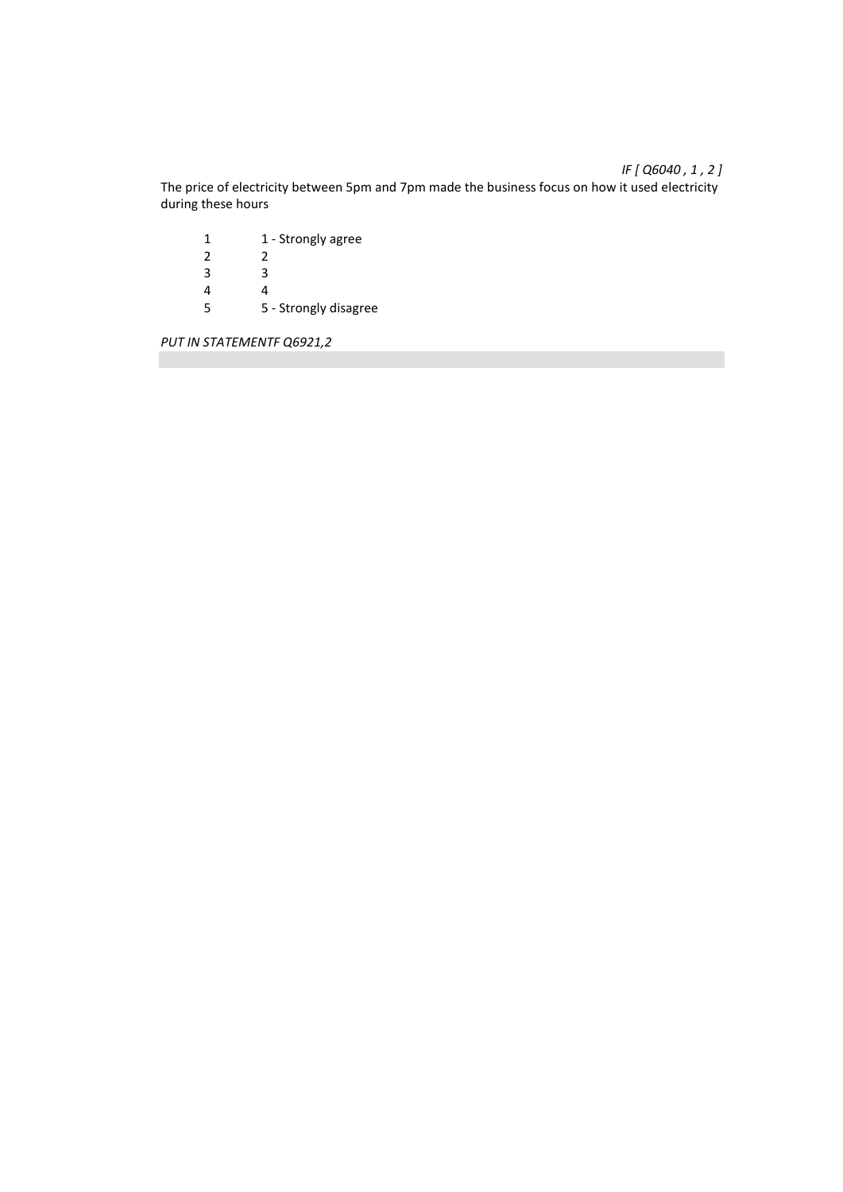The price of electricity between 5pm and 7pm made the business focus on how it used electricity during these hours

1 1 - Strongly agree<br>2 2  $\begin{array}{ccc} 2 & \quad & 2 \\ 3 & \quad & 3 \end{array}$  $\frac{3}{4}$  $\begin{array}{ccc} 4 & & 4 \\ 5 & & 5 \end{array}$ 5 5 - Strongly disagree

*PUT IN STATEMENTF Q6921,2* 

## *IF [ Q6040 , 1 , 2 ]*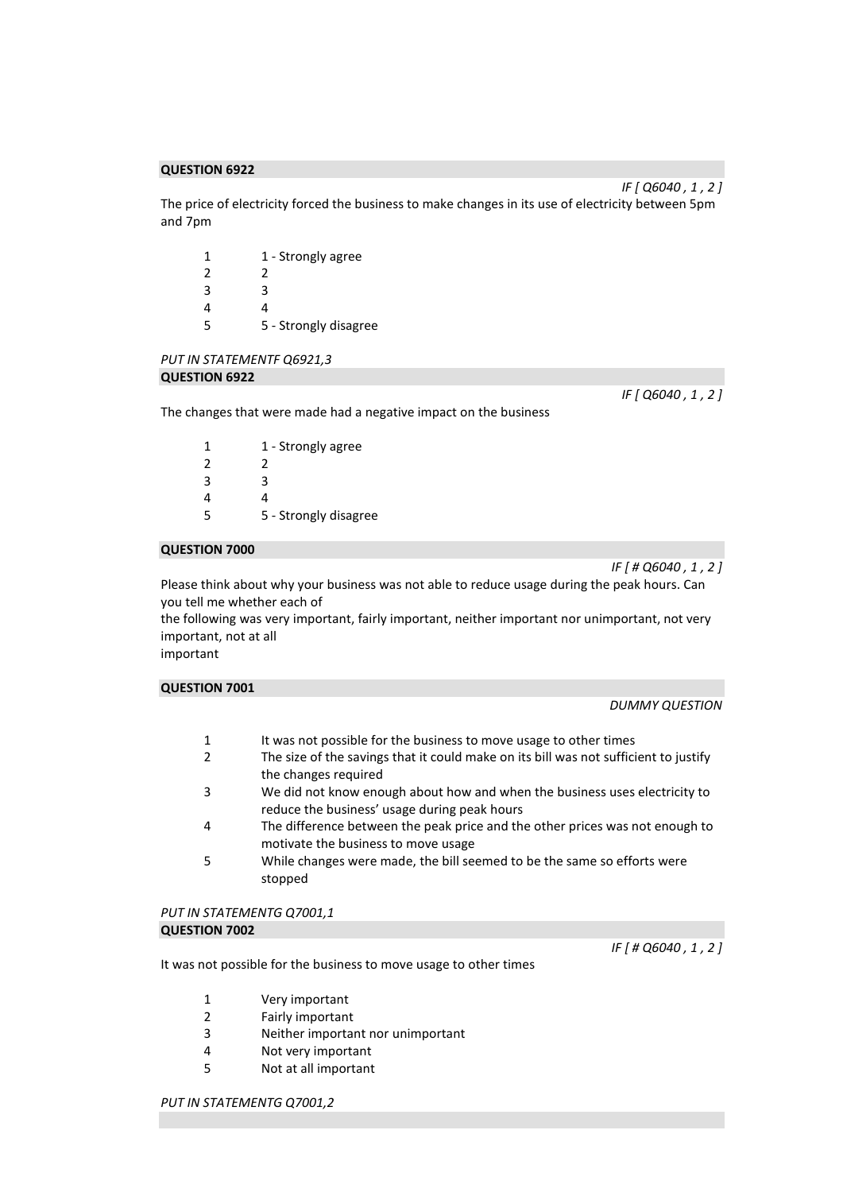The price of electricity forced the business to make changes in its use of electricity between 5pm and 7pm

| 1 | 1 - Strongly agree    |
|---|-----------------------|
| 2 | 2                     |
| 3 | ੨                     |
|   | 4                     |
| 5 | 5 - Strongly disagree |

## *PUT IN STATEMENTF Q6921,3*  **QUESTION 6922**

The changes that were made had a negative impact on the business

| 1 | 1 - Strongly agree    |
|---|-----------------------|
| 2 | 2                     |
| 3 | ੨                     |
| 4 |                       |
| 5 | 5 - Strongly disagree |

## **QUESTION 7000**

*IF [ # Q6040 , 1 , 2 ]* 

*IF [ Q6040 , 1 , 2 ]* 

Please think about why your business was not able to reduce usage during the peak hours. Can you tell me whether each of

the following was very important, fairly important, neither important nor unimportant, not very important, not at all

important

| <b>QUESTION 7001</b> |                       |
|----------------------|-----------------------|
|                      | <b>DUMMY QUESTION</b> |

- 1 It was not possible for the business to move usage to other times
- 2 The size of the savings that it could make on its bill was not sufficient to justify the changes required
- 3 We did not know enough about how and when the business uses electricity to reduce the business' usage during peak hours
- 4 The difference between the peak price and the other prices was not enough to motivate the business to move usage
- 5 While changes were made, the bill seemed to be the same so efforts were stopped

#### *PUT IN STATEMENTG Q7001,1*  **QUESTION 7002**

It was not possible for the business to move usage to other times

*IF [ # Q6040 , 1 , 2 ]* 

- 1 Very important
- 2 Fairly important
- 3 Neither important nor unimportant
- 4 Not very important
- 5 Not at all important

*IF [ Q6040 , 1 , 2 ]*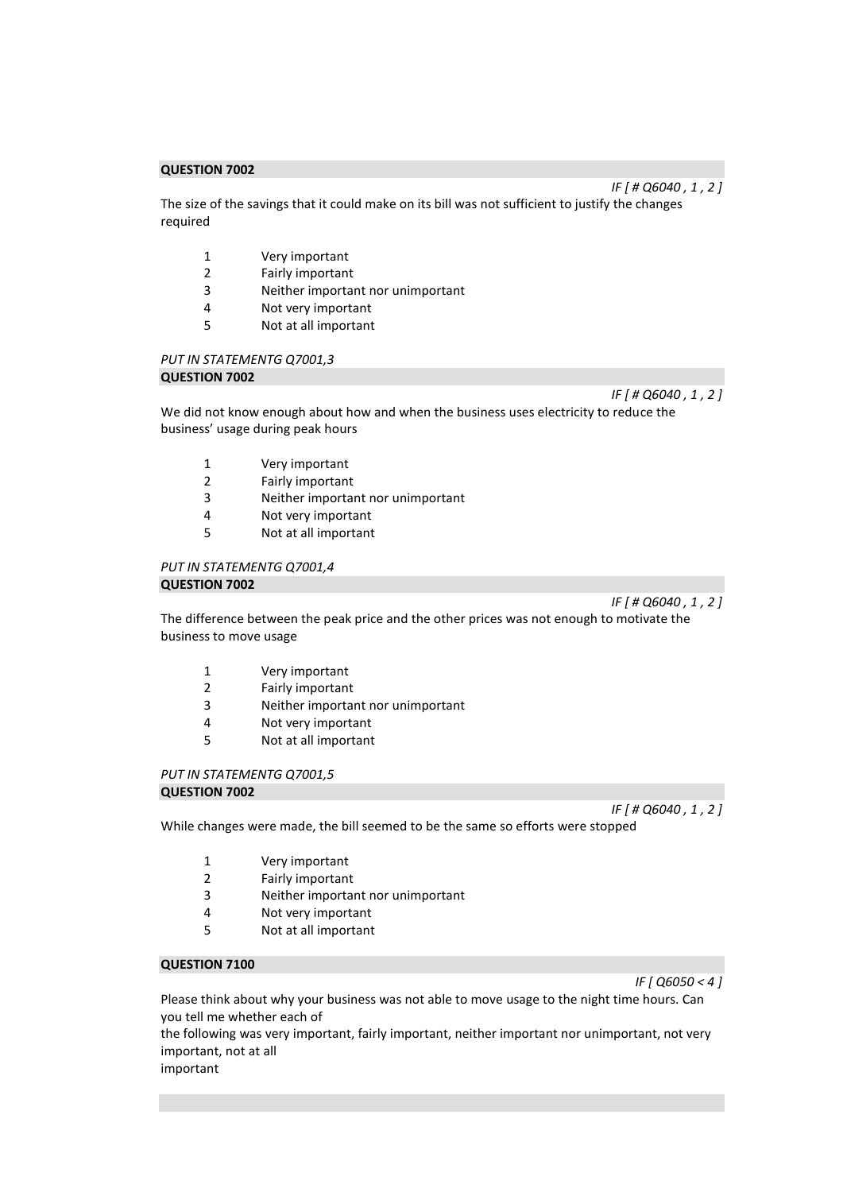The size of the savings that it could make on its bill was not sufficient to justify the changes required

- 1 Very important
- 2 Fairly important<br>3 Neither importal
- Neither important nor unimportant
- 4 Not very important
- 5 Not at all important

# *PUT IN STATEMENTG Q7001,3*

## **QUESTION 7002**

*IF [ # Q6040 , 1 , 2 ]* 

We did not know enough about how and when the business uses electricity to reduce the business' usage during peak hours

- 1 Very important
- 2 Fairly important
- 3 Neither important nor unimportant
- 4 Not very important
- 5 Not at all important

#### *PUT IN STATEMENTG Q7001,4*  **QUESTION 7002**

*IF [ # Q6040 , 1 , 2 ]* 

The difference between the peak price and the other prices was not enough to motivate the business to move usage

- 1 Very important
- 2 Fairly important
- 3 Neither important nor unimportant
- 4 Not very important
- 5 Not at all important

*PUT IN STATEMENTG Q7001,5* 

**QUESTION 7002** 

*IF [ # Q6040 , 1 , 2 ]* 

While changes were made, the bill seemed to be the same so efforts were stopped

- 1 Very important
- 2 Fairly important
- 3 Neither important nor unimportant
- 4 Not very important
- 5 Not at all important

### **QUESTION 7100**

*IF [ Q6050 < 4 ]* 

Please think about why your business was not able to move usage to the night time hours. Can you tell me whether each of

the following was very important, fairly important, neither important nor unimportant, not very important, not at all

important

*IF [ # Q6040 , 1 , 2 ]*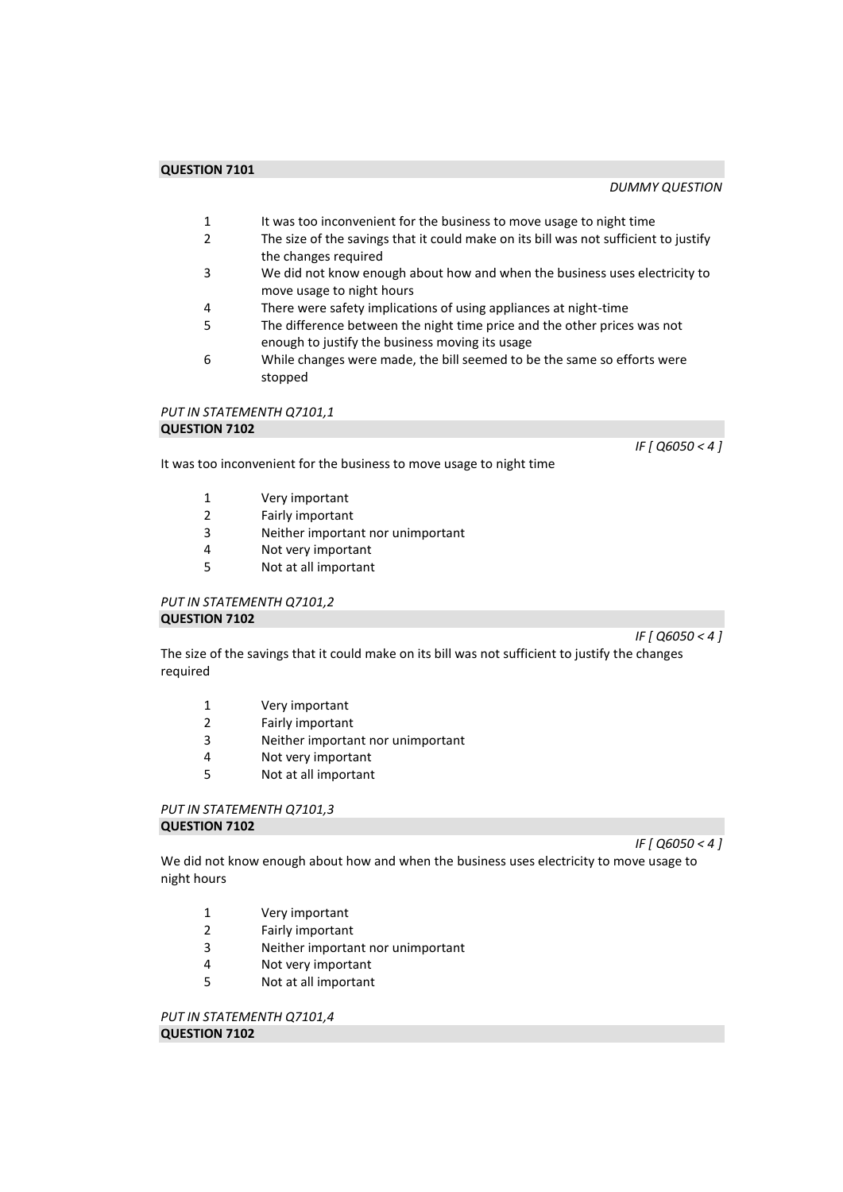- 1 It was too inconvenient for the business to move usage to night time<br>2 The size of the savings that it could make on its bill was not sufficient
- The size of the savings that it could make on its bill was not sufficient to justify the changes required
- 3 We did not know enough about how and when the business uses electricity to move usage to night hours
- 4 There were safety implications of using appliances at night-time
- 5 The difference between the night time price and the other prices was not enough to justify the business moving its usage
- 6 While changes were made, the bill seemed to be the same so efforts were stopped

### *PUT IN STATEMENTH Q7101,1*  **QUESTION 7102**

*IF [ Q6050 < 4 ]* 

- 1 Very important
- 2 Fairly important
- 3 Neither important nor unimportant<br>4 Not verv important

It was too inconvenient for the business to move usage to night time

- Not very important
- 5 Not at all important

## *PUT IN STATEMENTH Q7101,2*  **QUESTION 7102**

*IF [ Q6050 < 4 ]* 

The size of the savings that it could make on its bill was not sufficient to justify the changes required

- 1 Very important
- 2 Fairly important
- 3 Neither important nor unimportant
- 4 Not very important
- 5 Not at all important

#### *PUT IN STATEMENTH Q7101,3*  **QUESTION 7102**

*IF [ Q6050 < 4 ]* 

We did not know enough about how and when the business uses electricity to move usage to night hours

- 1 Very important
- 2 Fairly important
- 3 Neither important nor unimportant
- 4 Not very important
- 5 Not at all important

*PUT IN STATEMENTH Q7101,4*  **QUESTION 7102**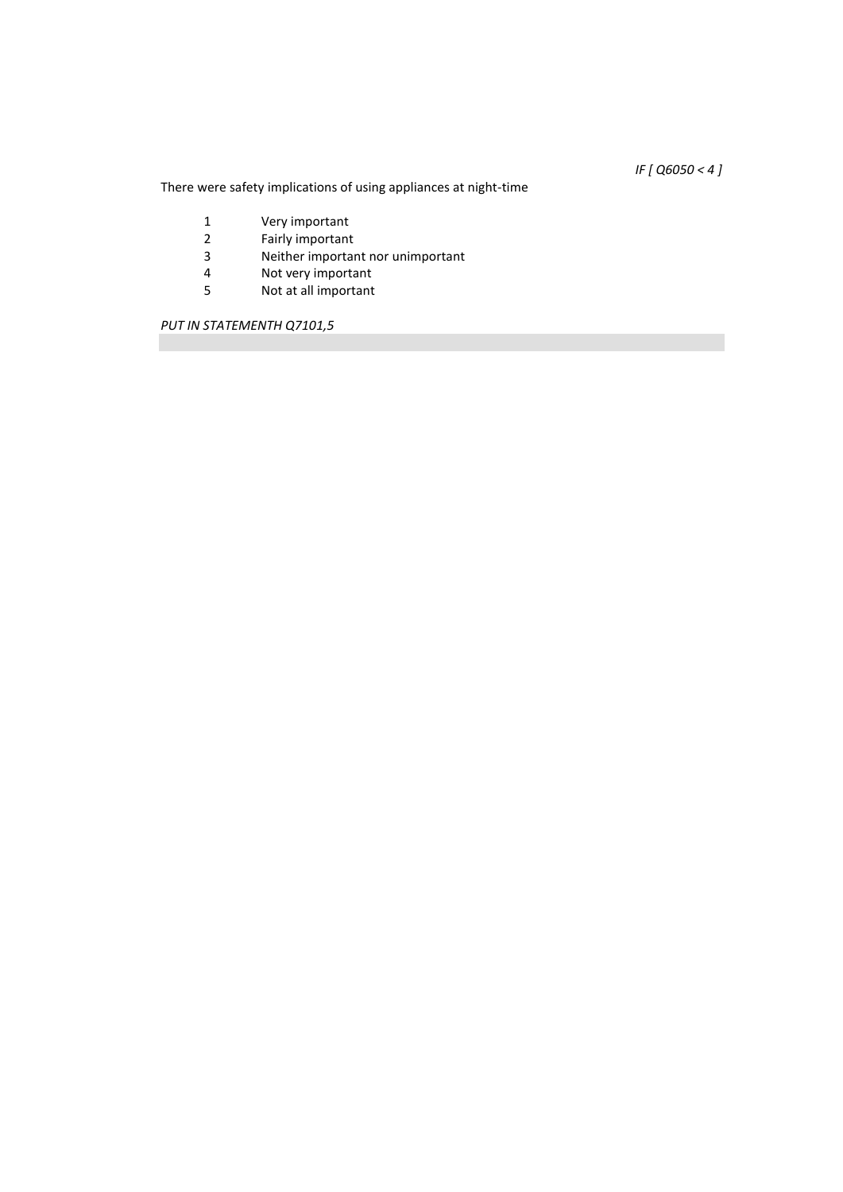*IF [ Q6050 < 4 ]* 

There were safety implications of using appliances at night-time

- 1 Very important<br>2 Fairly important
- 2 Fairly important<br>3 Neither importar
- 3 Neither important nor unimportant<br>4 Not very important
- 4 Not very important<br>5 Not at all important
- Not at all important

*PUT IN STATEMENTH Q7101,5*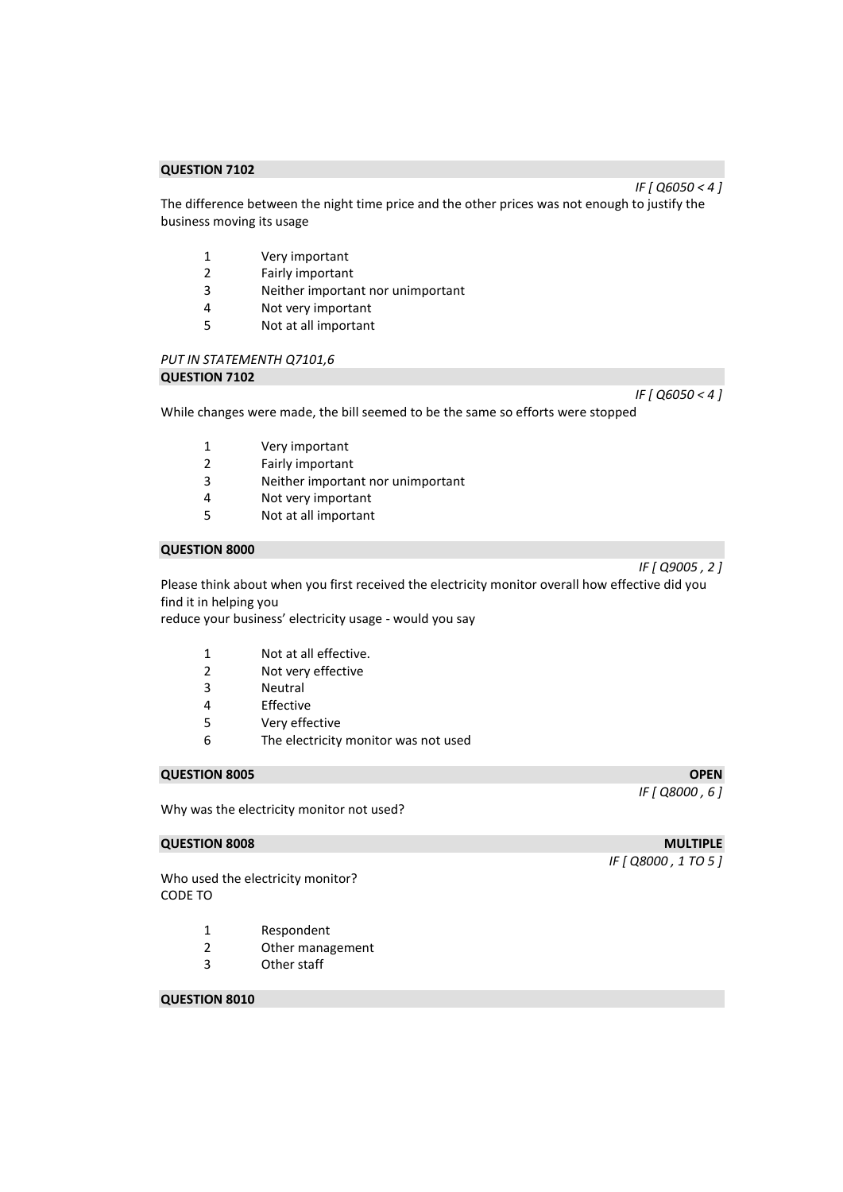The difference between the night time price and the other prices was not enough to justify the business moving its usage

- 1 Very important
- 2 Fairly important<br>3 Neither importal
- Neither important nor unimportant
- 4 Not very important
- 5 Not at all important

## *PUT IN STATEMENTH Q7101,6*  **QUESTION 7102**

*IF [ Q6050 < 4 ]* 

While changes were made, the bill seemed to be the same so efforts were stopped

- 1 Very important
- 2 Fairly important
- 3 Neither important nor unimportant
- 4 Not very important
- 5 Not at all important

## **QUESTION 8000**

Please think about when you first received the electricity monitor overall how effective did you find it in helping you

reduce your business' electricity usage - would you say

- 1 Not at all effective.
- 2 Not very effective
- 3 Neutral
- 4 Effective
- 5 Very effective
- 6 The electricity monitor was not used

## **QUESTION 8005 OPEN**

Why was the electricity monitor not used?

Who used the electricity monitor? CODE TO

- 1 Respondent
- 2 Other management
- 3 Other staff

## **QUESTION 8010**

**QUESTION 8008** MULTIPLE

*IF [ Q8000 , 6 ]* 

*IF [ Q8000 , 1 TO 5 ]* 

*IF [ Q9005 , 2 ]* 

*IF [ Q6050 < 4 ]*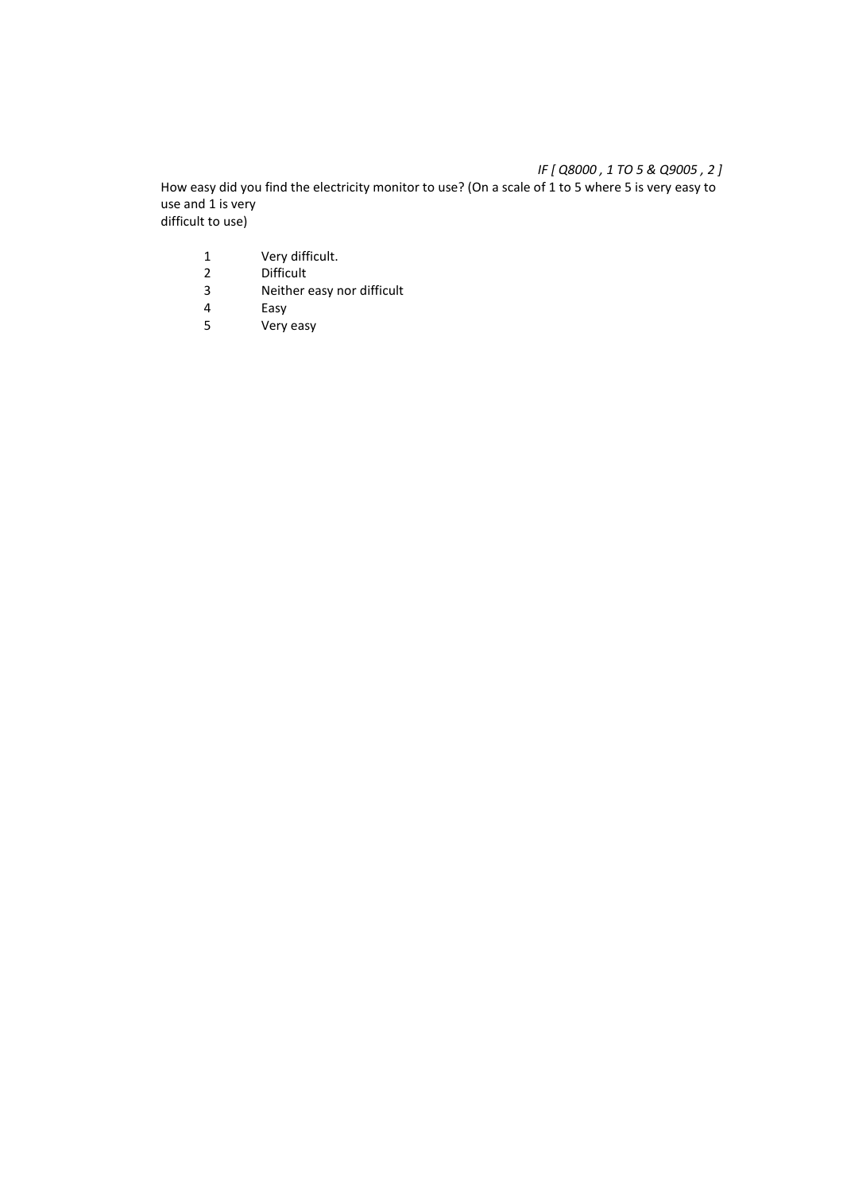## *IF [ Q8000 , 1 TO 5 & Q9005 , 2 ]*

How easy did you find the electricity monitor to use? (On a scale of 1 to 5 where 5 is very easy to use and 1 is very difficult to use)

- 1 Very difficult.<br>2 Difficult
- 2 Difficult<br>3 Neither
- 3 Neither easy nor difficult<br>4 Easy
- 
- 4 Easy<br>5 Very Very easy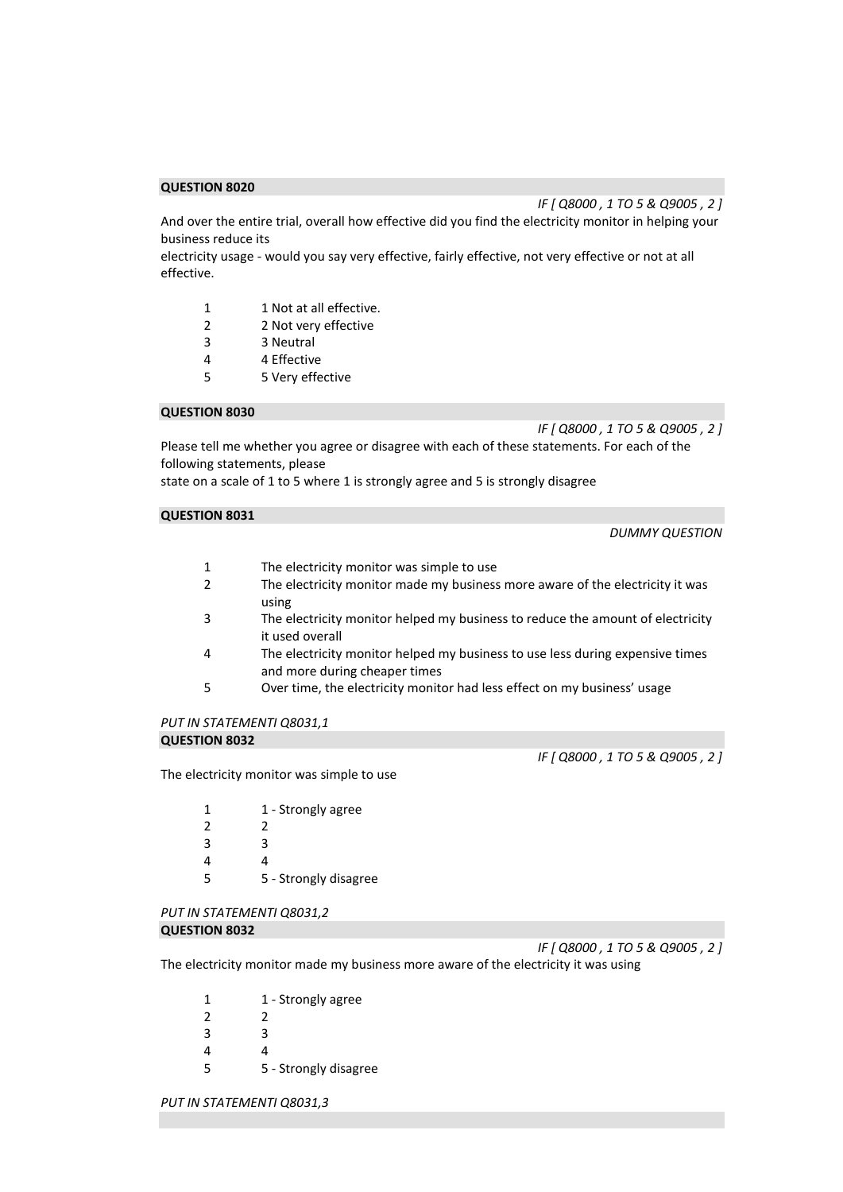*IF [ Q8000 , 1 TO 5 & Q9005 , 2 ]* 

And over the entire trial, overall how effective did you find the electricity monitor in helping your business reduce its

electricity usage - would you say very effective, fairly effective, not very effective or not at all effective.

- 1 1 Not at all effective.
- 2 2 Not very effective
- 3 3 Neutral
- 4 4 Effective
- 5 5 Very effective

### **QUESTION 8030**

*IF [ Q8000 , 1 TO 5 & Q9005 , 2 ]* 

Please tell me whether you agree or disagree with each of these statements. For each of the following statements, please

state on a scale of 1 to 5 where 1 is strongly agree and 5 is strongly disagree

#### **QUESTION 8031**

*DUMMY QUESTION* 

- 1 The electricity monitor was simple to use
- 2 The electricity monitor made my business more aware of the electricity it was using
- 3 The electricity monitor helped my business to reduce the amount of electricity it used overall
- 4 The electricity monitor helped my business to use less during expensive times and more during cheaper times
- 5 Over time, the electricity monitor had less effect on my business' usage

#### *PUT IN STATEMENTI Q8031,1*  **QUESTION 8032**

*IF [ Q8000 , 1 TO 5 & Q9005 , 2 ]* 

The electricity monitor was simple to use

| 1              | 1 - Strongly agree    |
|----------------|-----------------------|
| $\overline{2}$ | 2                     |
| 3              | ੨                     |
| 4              | 4                     |
| 5              | 5 - Strongly disagree |

#### *PUT IN STATEMENTI Q8031,2*  **QUESTION 8032**

*IF [ Q8000 , 1 TO 5 & Q9005 , 2 ]* 

The electricity monitor made my business more aware of the electricity it was using

| 1             | 1 - Strongly agree    |
|---------------|-----------------------|
| $\mathcal{P}$ | 2                     |
| 3             | ર                     |
| 4             | Δ                     |
| 5             | 5 - Strongly disagree |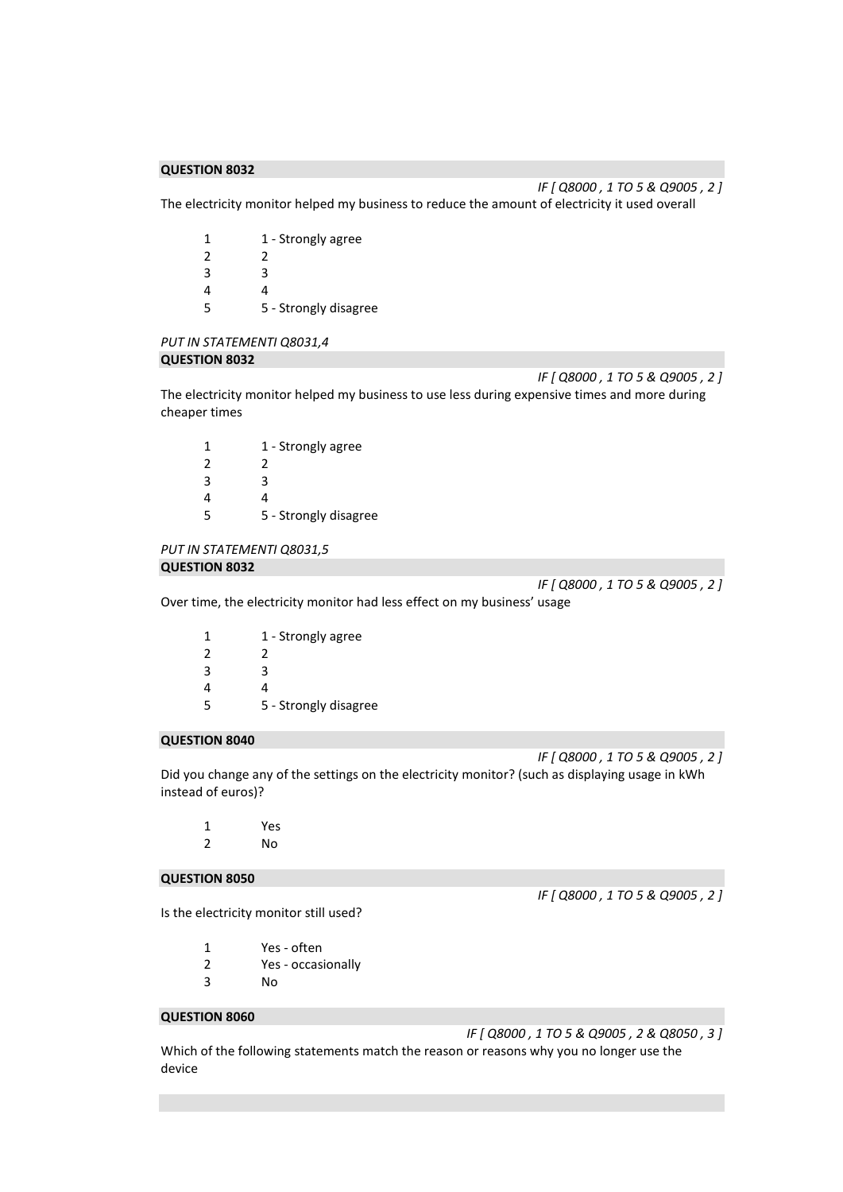The electricity monitor helped my business to reduce the amount of electricity it used overall

| 1 | 1 - Strongly agree    |
|---|-----------------------|
| 2 | 2                     |
| 3 | R                     |
| 4 | 1                     |
| 5 | 5 - Strongly disagree |

#### *PUT IN STATEMENTI Q8031,4*  **QUESTION 8032**

*IF [ Q8000 , 1 TO 5 & Q9005 , 2 ]*  The electricity monitor helped my business to use less during expensive times and more during cheaper times

| 1 | 1 - Strongly agree    |
|---|-----------------------|
| 2 | 2                     |
| 3 | ੨                     |
| 4 | 4                     |
| 5 | 5 - Strongly disagree |

## *PUT IN STATEMENTI Q8031,5*  **QUESTION 8032**

*IF [ Q8000 , 1 TO 5 & Q9005 , 2 ]* 

*IF [ Q8000 , 1 TO 5 & Q9005 , 2 ]* 

Over time, the electricity monitor had less effect on my business' usage

| 1 | 1 - Strongly agree    |
|---|-----------------------|
| 2 | 2                     |
| 3 | ς                     |
| 4 | 4                     |
| 5 | 5 - Strongly disagree |

## **QUESTION 8040**

*IF [ Q8000 , 1 TO 5 & Q9005 , 2 ]*  Did you change any of the settings on the electricity monitor? (such as displaying usage in kWh instead of euros)?

1 Yes 2 No

#### **QUESTION 8050**

Is the electricity monitor still used?

| $\sim$ $\sim$ $\sim$ $\sim$ $\sim$ |  |  |
|------------------------------------|--|--|

- 1 Yes often
- 2 Yes occasionally
- 3 No

## **QUESTION 8060**

*IF [ Q8000 , 1 TO 5 & Q9005 , 2 & Q8050 , 3 ]* 

*IF [ Q8000 , 1 TO 5 & Q9005 , 2 ]* 

Which of the following statements match the reason or reasons why you no longer use the device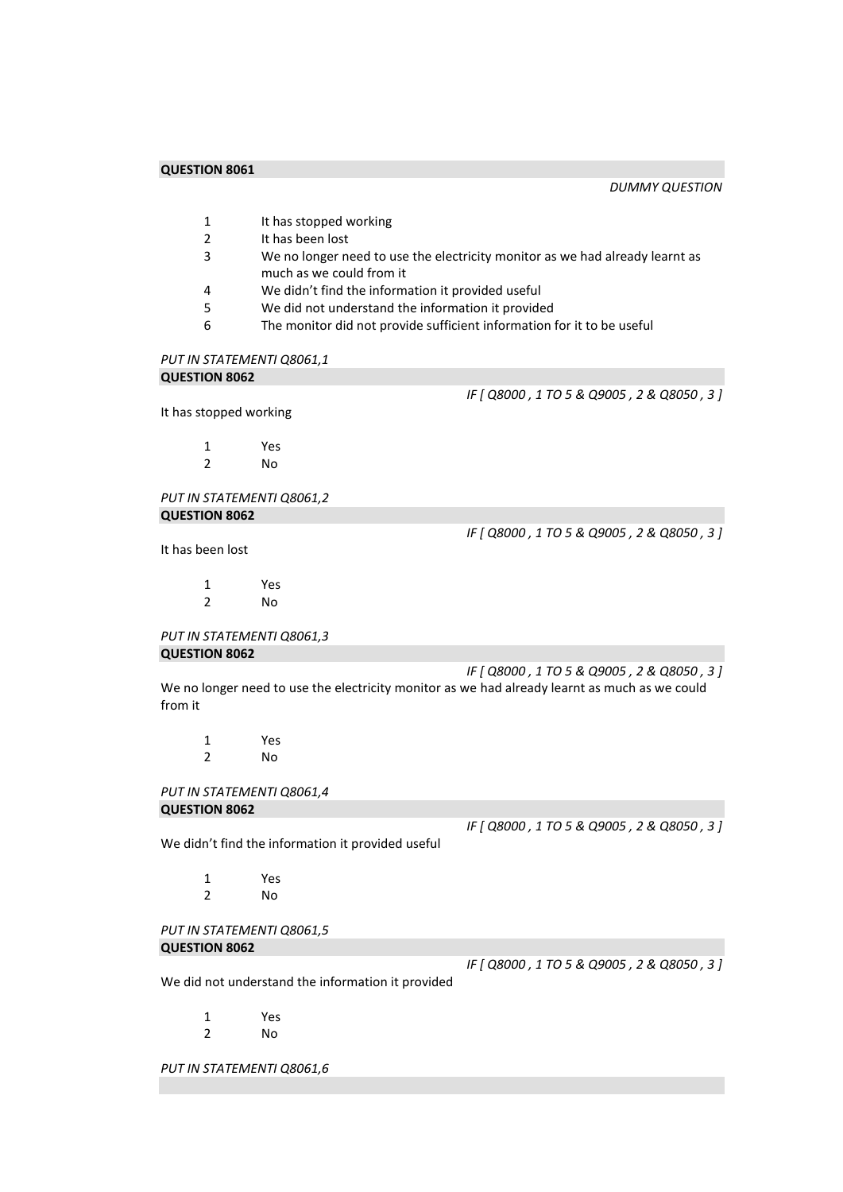*DUMMY QUESTION* 

- 1 It has stopped working<br>2 It has been lost
- It has been lost
- 3 We no longer need to use the electricity monitor as we had already learnt as much as we could from it
- 4 We didn't find the information it provided useful
- 5 We did not understand the information it provided
- 6 The monitor did not provide sufficient information for it to be useful

#### *PUT IN STATEMENTI Q8061,1*

#### **QUESTION 8062**

*IF [ Q8000 , 1 TO 5 & Q9005 , 2 & Q8050 , 3 ]* 

It has stopped working

1 Yes 2 No

*PUT IN STATEMENTI Q8061,2*  **QUESTION 8062** 

It has been lost

*IF [ Q8000 , 1 TO 5 & Q9005 , 2 & Q8050 , 3 ]* 

1 Yes<br>2 No N<sub>o</sub>

*PUT IN STATEMENTI Q8061,3*  **QUESTION 8062** 

*IF [ Q8000 , 1 TO 5 & Q9005 , 2 & Q8050 , 3 ]*  We no longer need to use the electricity monitor as we had already learnt as much as we could from it

1 Yes 2 No

*PUT IN STATEMENTI Q8061,4*  **QUESTION 8062** 

*IF [ Q8000 , 1 TO 5 & Q9005 , 2 & Q8050 , 3 ]* 

We didn't find the information it provided useful

1 Yes 2 No

*PUT IN STATEMENTI Q8061,5*  **QUESTION 8062** 

We did not understand the information it provided

1 Yes 2 No

*PUT IN STATEMENTI Q8061,6* 

*IF [ Q8000 , 1 TO 5 & Q9005 , 2 & Q8050 , 3 ]*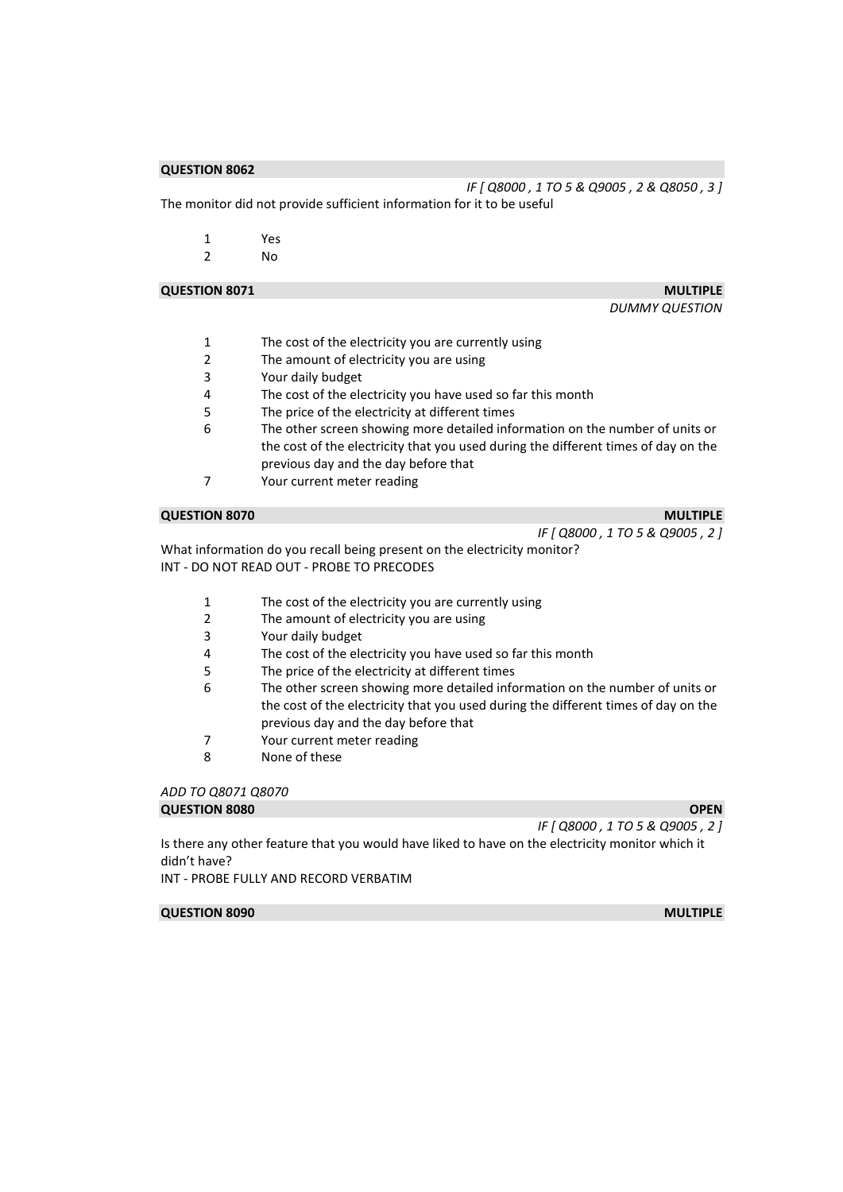*IF [ Q8000 , 1 TO 5 & Q9005 , 2 & Q8050 , 3 ]*  The monitor did not provide sufficient information for it to be useful

|   | Yes |
|---|-----|
| 2 | No  |

#### **QUESTION 8071** MULTIPLE

*DUMMY QUESTION* 

- 1 The cost of the electricity you are currently using
- 2 The amount of electricity you are using
- 3 Your daily budget
- 4 The cost of the electricity you have used so far this month<br>5 The price of the electricity at different times
- The price of the electricity at different times
- 6 The other screen showing more detailed information on the number of units or the cost of the electricity that you used during the different times of day on the previous day and the day before that
- 7 Your current meter reading

#### **QUESTION 8070** MULTIPLE

*IF [ Q8000 , 1 TO 5 & Q9005 , 2 ]* 

What information do you recall being present on the electricity monitor? INT - DO NOT READ OUT - PROBE TO PRECODES

- 1 The cost of the electricity you are currently using
- 2 The amount of electricity you are using
- 3 Your daily budget
- 4 The cost of the electricity you have used so far this month
- 5 The price of the electricity at different times
- 6 The other screen showing more detailed information on the number of units or the cost of the electricity that you used during the different times of day on the previous day and the day before that
- 7 Your current meter reading
- 8 None of these

#### *ADD TO Q8071 Q8070*  **QUESTION 8080 OPEN OPEN**

*IF [ Q8000 , 1 TO 5 & Q9005 , 2 ]* 

Is there any other feature that you would have liked to have on the electricity monitor which it didn't have?

INT - PROBE FULLY AND RECORD VERBATIM

#### **QUESTION 8090 MULTIPLE**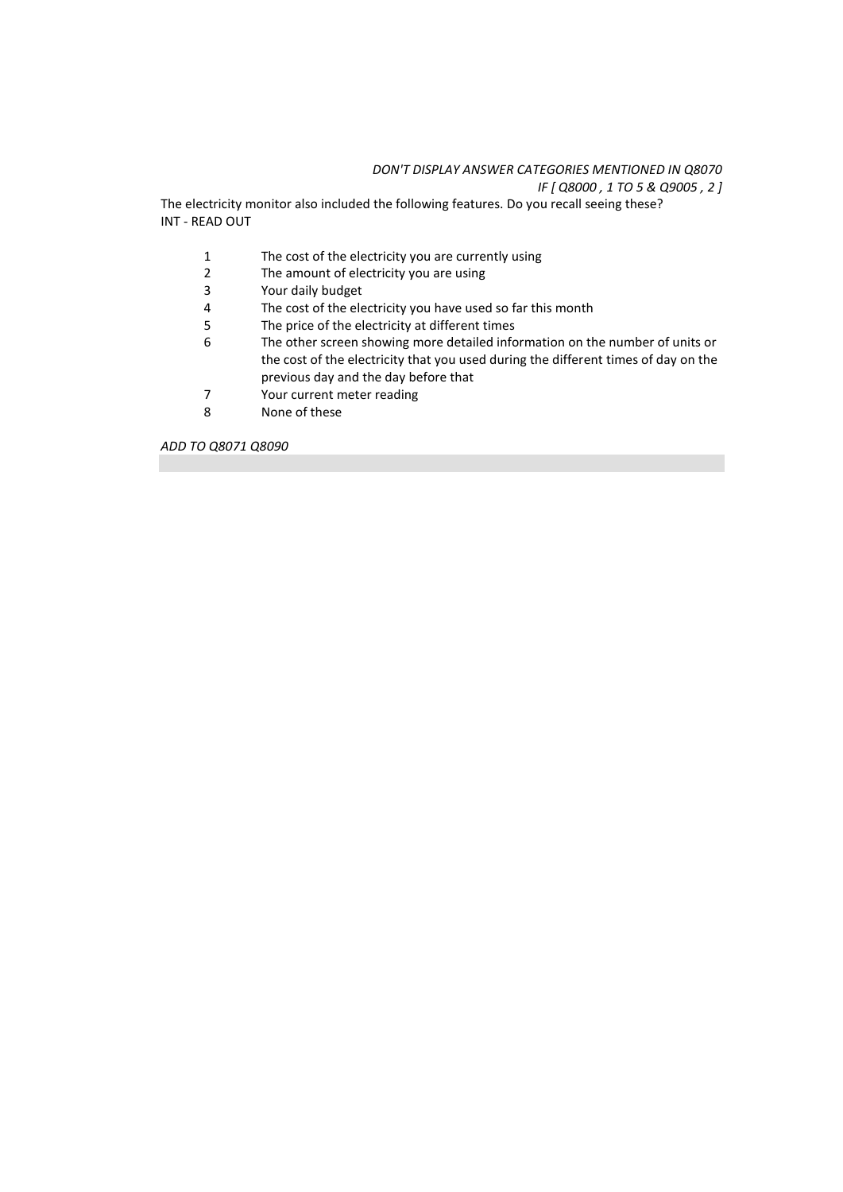## *DON'T DISPLAY ANSWER CATEGORIES MENTIONED IN Q8070*

*IF [ Q8000 , 1 TO 5 & Q9005 , 2 ]* 

The electricity monitor also included the following features. Do you recall seeing these? INT - READ OUT

- 1 The cost of the electricity you are currently using<br>2 The amount of electricity you are using
- 2 The amount of electricity you are using<br>3 Your daily budget
- 3 Your daily budget<br>4 The cost of the ele
- The cost of the electricity you have used so far this month
- 5 The price of the electricity at different times<br>6 The other screen showing more detailed info
- The other screen showing more detailed information on the number of units or the cost of the electricity that you used during the different times of day on the previous day and the day before that
- 7 Your current meter reading<br>8 None of these
- None of these

*ADD TO Q8071 Q8090*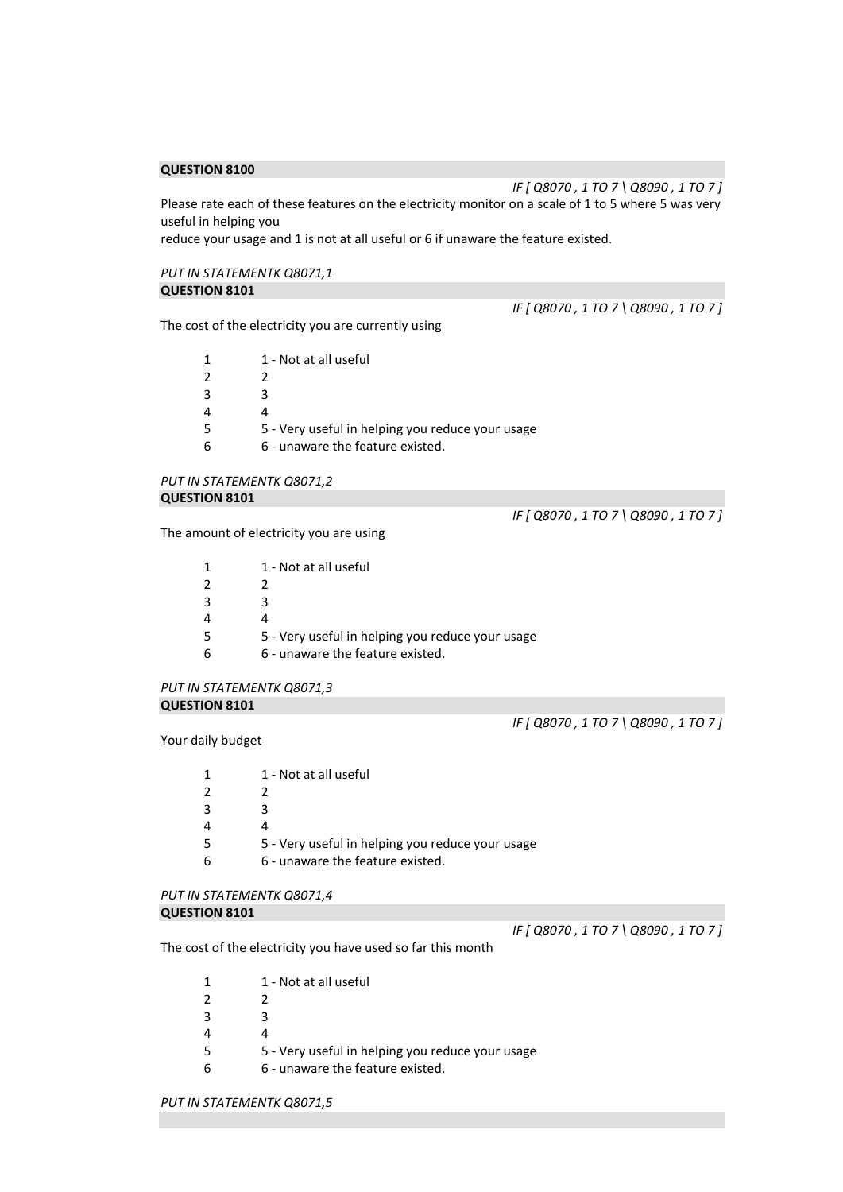*IF [ Q8070 , 1 TO 7 \ Q8090 , 1 TO 7 ]*  Please rate each of these features on the electricity monitor on a scale of 1 to 5 where 5 was very useful in helping you

reduce your usage and 1 is not at all useful or 6 if unaware the feature existed.

#### *PUT IN STATEMENTK Q8071,1*  **QUESTION 8101**

The cost of the electricity you are currently using

| 1 - Not at all useful                            |
|--------------------------------------------------|
|                                                  |
| ર                                                |
|                                                  |
| 5 - Very useful in helping you reduce your usage |
| 6 - unaware the feature existed.                 |

## *PUT IN STATEMENTK Q8071,2*  **QUESTION 8101**

The amount of electricity you are using

| 1 | 1 - Not at all useful                            |
|---|--------------------------------------------------|
|   |                                                  |
| 2 |                                                  |
| 3 |                                                  |
| 4 |                                                  |
| 5 | 5 - Very useful in helping you reduce your usage |
| 6 | 6 - unaware the feature existed.                 |

#### *PUT IN STATEMENTK Q8071,3*  **QUESTION 8101**

*IF [ Q8070 , 1 TO 7 \ Q8090 , 1 TO 7 ]* 

*IF [ Q8070 , 1 TO 7 \ Q8090 , 1 TO 7 ]* 

Your daily budget

| 1             | 1 - Not at all useful                            |
|---------------|--------------------------------------------------|
| $\mathcal{P}$ |                                                  |
| 3             |                                                  |
| 4             |                                                  |
| 5             | 5 - Very useful in helping you reduce your usage |
| 6             | 6 - unaware the feature existed.                 |
|               |                                                  |

## *PUT IN STATEMENTK Q8071,4*

#### **QUESTION 8101**

*IF [ Q8070 , 1 TO 7 \ Q8090 , 1 TO 7 ]* 

The cost of the electricity you have used so far this month

- 1 1 Not at all useful
- 2 2
- 3 3
- 4 4
- 5 5 Very useful in helping you reduce your usage
- 6 6 unaware the feature existed.

*IF [ Q8070 , 1 TO 7 \ Q8090 , 1 TO 7 ]*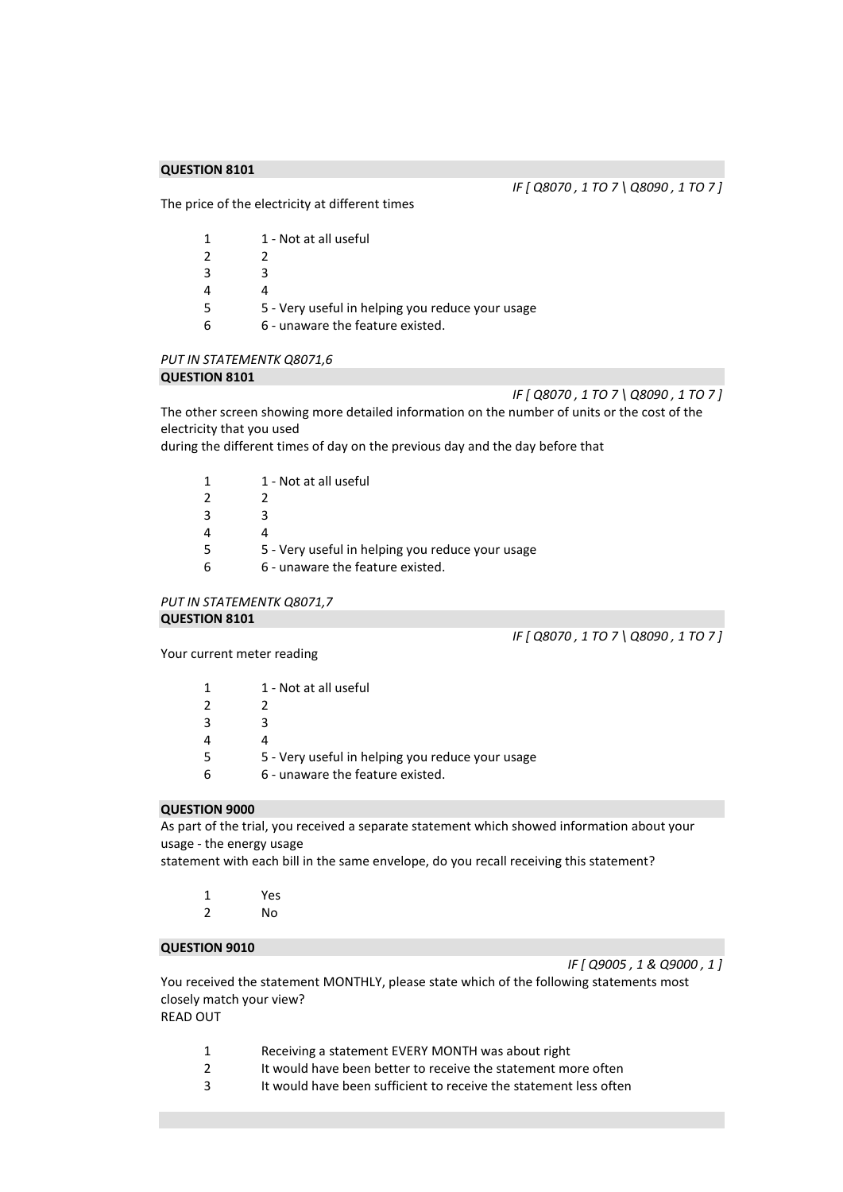*IF [ Q8070 , 1 TO 7 \ Q8090 , 1 TO 7 ]* 

The price of the electricity at different times

| 1 | 1 - Not at all useful                            |
|---|--------------------------------------------------|
| 2 |                                                  |
| 3 |                                                  |
| 4 |                                                  |
| 5 | 5 - Very useful in helping you reduce your usage |
| 6 | 6 - unaware the feature existed.                 |

# *PUT IN STATEMENTK Q8071,6*

#### **QUESTION 8101**

*IF [ Q8070 , 1 TO 7 \ Q8090 , 1 TO 7 ]* 

The other screen showing more detailed information on the number of units or the cost of the electricity that you used

during the different times of day on the previous day and the day before that

|   | 1 - Not at all useful                            |
|---|--------------------------------------------------|
|   |                                                  |
| 3 | R                                                |
|   |                                                  |
|   | 5 - Very useful in helping you reduce your usage |
|   | 6 - unaware the feature existed.                 |
|   |                                                  |

*PUT IN STATEMENTK Q8071,7*  **QUESTION 8101** 

*IF [ Q8070 , 1 TO 7 \ Q8090 , 1 TO 7 ]* 

Your current meter reading

| 1 - Not at all useful                            |
|--------------------------------------------------|
|                                                  |
| 3                                                |
|                                                  |
| 5 - Very useful in helping you reduce your usage |
| 6 - unaware the feature existed.                 |

## **QUESTION 9000**

As part of the trial, you received a separate statement which showed information about your usage - the energy usage

statement with each bill in the same envelope, do you recall receiving this statement?

| 1 | Yes |
|---|-----|
|   |     |

2 No

## **QUESTION 9010**

*IF [ Q9005 , 1 & Q9000 , 1 ]* 

You received the statement MONTHLY, please state which of the following statements most closely match your view? READ OUT

- 1 Receiving a statement EVERY MONTH was about right
- 2 It would have been better to receive the statement more often
- 3 It would have been sufficient to receive the statement less often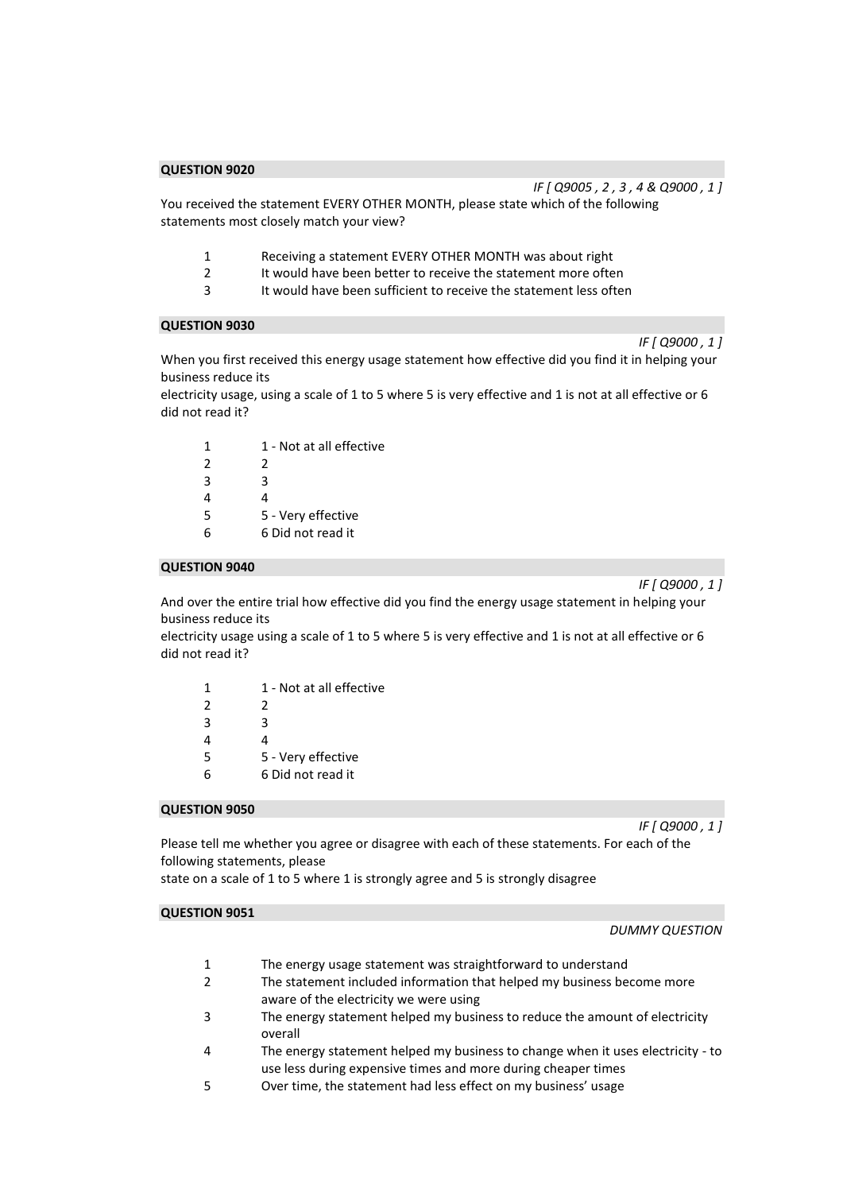*IF [ Q9005 , 2 , 3 , 4 & Q9000 , 1 ]* 

You received the statement EVERY OTHER MONTH, please state which of the following statements most closely match your view?

- 1 Receiving a statement EVERY OTHER MONTH was about right
- 2 It would have been better to receive the statement more often<br>3 It would have been sufficient to receive the statement less ofter
- It would have been sufficient to receive the statement less often

## **QUESTION 9030**

When you first received this energy usage statement how effective did you find it in helping your business reduce its

electricity usage, using a scale of 1 to 5 where 5 is very effective and 1 is not at all effective or 6 did not read it?

| 1             | 1 - Not at all effective |
|---------------|--------------------------|
| $\mathcal{P}$ | 2                        |
| 3             | ς                        |
| 4             | 4                        |
| 5             | 5 - Very effective       |
| 6             | 6 Did not read it        |

#### **QUESTION 9040**

*IF [ Q9000 , 1 ]* 

*IF [ Q9000 , 1 ]* 

And over the entire trial how effective did you find the energy usage statement in helping your business reduce its

electricity usage using a scale of 1 to 5 where 5 is very effective and 1 is not at all effective or 6 did not read it?

| 1             | 1 - Not at all effective |
|---------------|--------------------------|
| $\mathcal{P}$ | 2                        |
| 3             | 3                        |
| 4             | Δ                        |
| 5             | 5 - Very effective       |
| 6             | 6 Did not read it        |

## **QUESTION 9050**

*IF [ Q9000 , 1 ]* 

Please tell me whether you agree or disagree with each of these statements. For each of the following statements, please

state on a scale of 1 to 5 where 1 is strongly agree and 5 is strongly disagree

## **QUESTION 9051**

#### *DUMMY QUESTION*

- 1 The energy usage statement was straightforward to understand
- 2 The statement included information that helped my business become more aware of the electricity we were using
- 3 The energy statement helped my business to reduce the amount of electricity overall
- 4 The energy statement helped my business to change when it uses electricity to use less during expensive times and more during cheaper times
- 5 Over time, the statement had less effect on my business' usage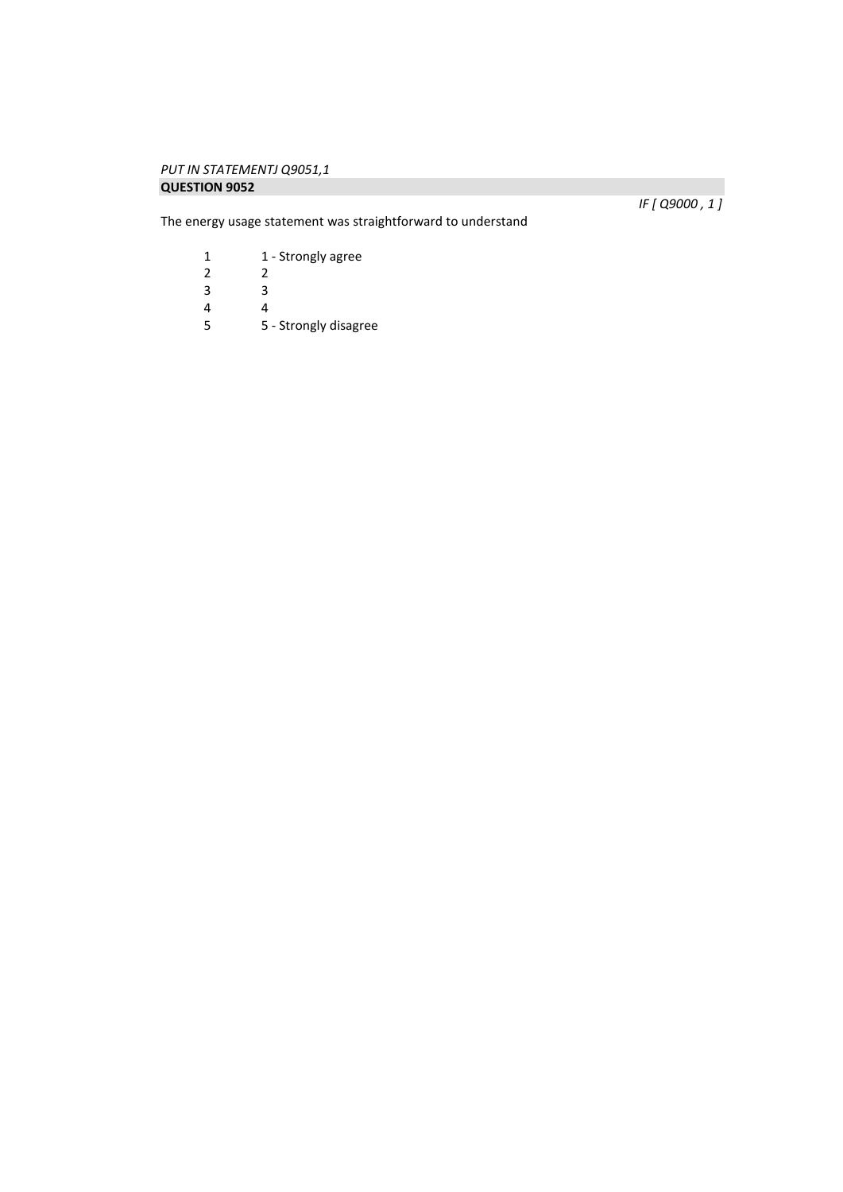## *PUT IN STATEMENTJ Q9051,1*  **QUESTION 9052**

The energy usage statement was straightforward to understand

*IF [ Q9000 , 1 ]* 

1 1 - Strongly agree<br>2 2  $\begin{array}{ccc} 2 & \quad & 2 \\ 3 & \quad & 3 \end{array}$ 3 3

 $\begin{array}{ccc} 4 & & 4 \\ 5 & & 5 \end{array}$ 

5 5 - Strongly disagree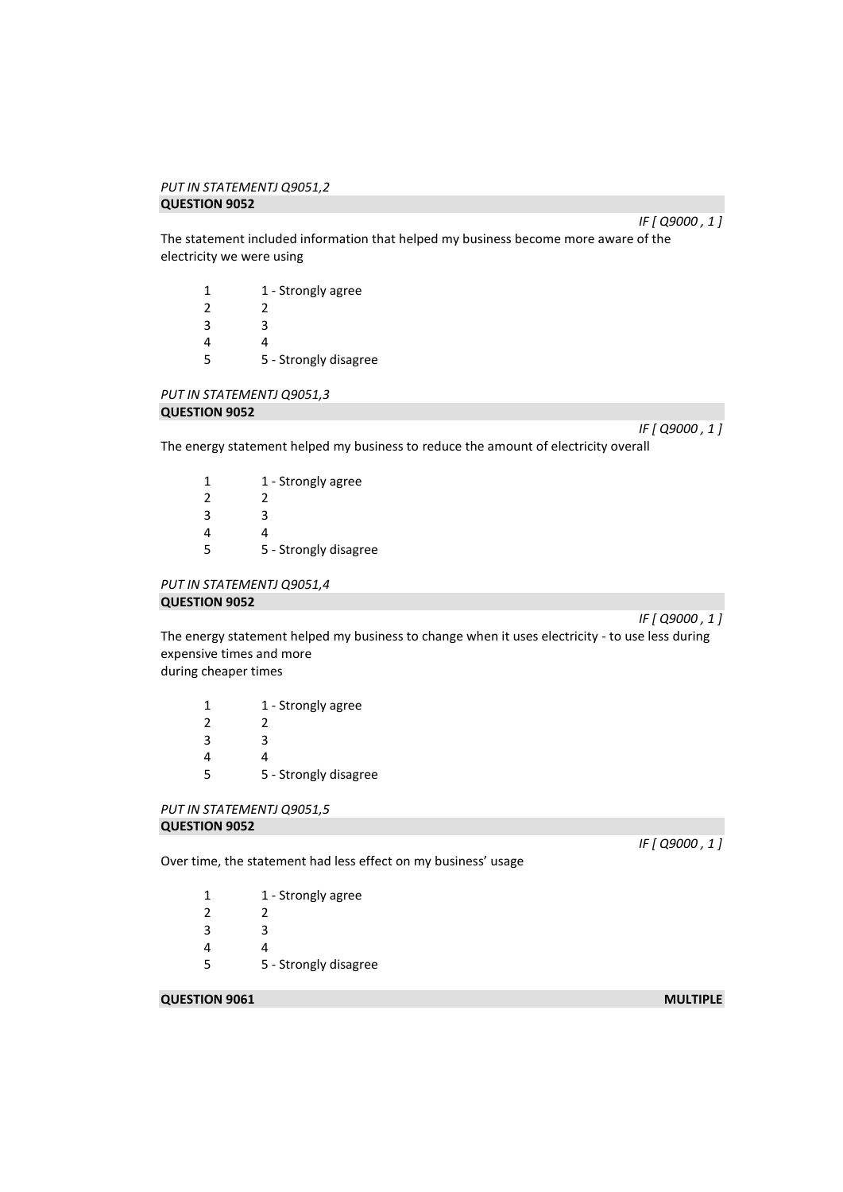#### *PUT IN STATEMENTJ Q9051,2*  **QUESTION 9052**

*IF [ Q9000 , 1 ]* 

The statement included information that helped my business become more aware of the electricity we were using

| 1 | 1 - Strongly agree    |
|---|-----------------------|
| 2 | 2                     |
| 3 | 3                     |
| 4 | 4                     |
| 5 | 5 - Strongly disagree |

*PUT IN STATEMENTJ Q9051,3* 

# **QUESTION 9052**

*IF [ Q9000 , 1 ]* 

The energy statement helped my business to reduce the amount of electricity overall

| 1             | 1 - Strongly agree    |
|---------------|-----------------------|
| $\mathcal{P}$ | 2                     |
| 3             | ς                     |
| 4             | Δ                     |
| 5             | 5 - Strongly disagree |

## *PUT IN STATEMENTJ Q9051,4*  **QUESTION 9052**

*IF [ Q9000 , 1 ]* 

The energy statement helped my business to change when it uses electricity - to use less during expensive times and more

during cheaper times

| 1 | 1 - Strongly agree    |
|---|-----------------------|
| 2 | 2                     |
| 3 | R                     |
| 4 |                       |
| 5 | 5 - Strongly disagree |

## *PUT IN STATEMENTJ Q9051,5*  **QUESTION 9052**

Over time, the statement had less effect on my business' usage

1 1 - Strongly agree 2 2 3 3 4 4 5 5 - Strongly disagree

## **QUESTION 9061** MULTIPLE

*IF [ Q9000 , 1 ]*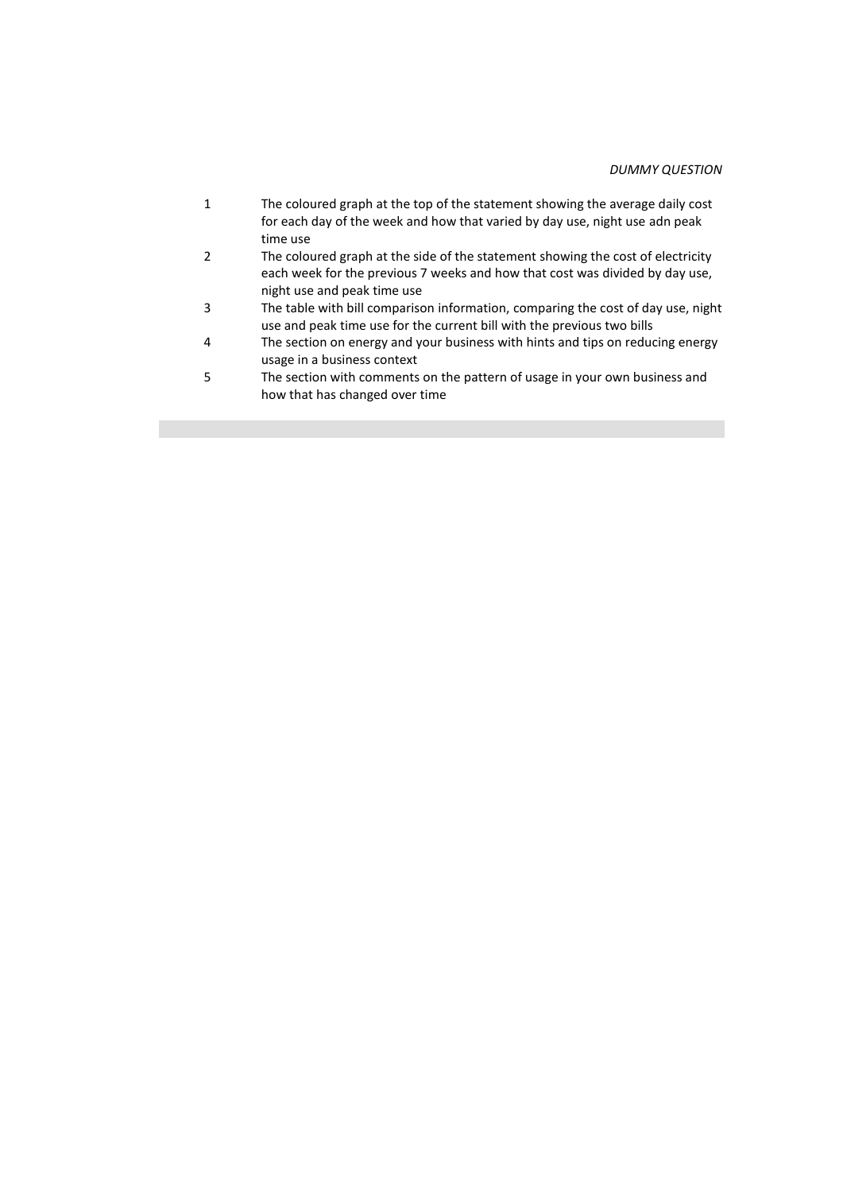## *DUMMY QUESTION*

| $\mathbf{1}$ | The coloured graph at the top of the statement showing the average daily cost    |
|--------------|----------------------------------------------------------------------------------|
|              | for each day of the week and how that varied by day use, night use adn peak      |
|              | time use                                                                         |
| 2            | The coloured graph at the side of the statement showing the cost of electricity  |
|              | each week for the previous 7 weeks and how that cost was divided by day use,     |
|              | night use and peak time use                                                      |
| 3            | The table with bill comparison information, comparing the cost of day use, night |
|              | use and peak time use for the current bill with the previous two bills           |
| 4            | The section on energy and your business with hints and tips on reducing energy   |
|              | usage in a business context                                                      |
| 5            | The section with comments on the pattern of usage in your own business and       |
|              | how that has changed over time                                                   |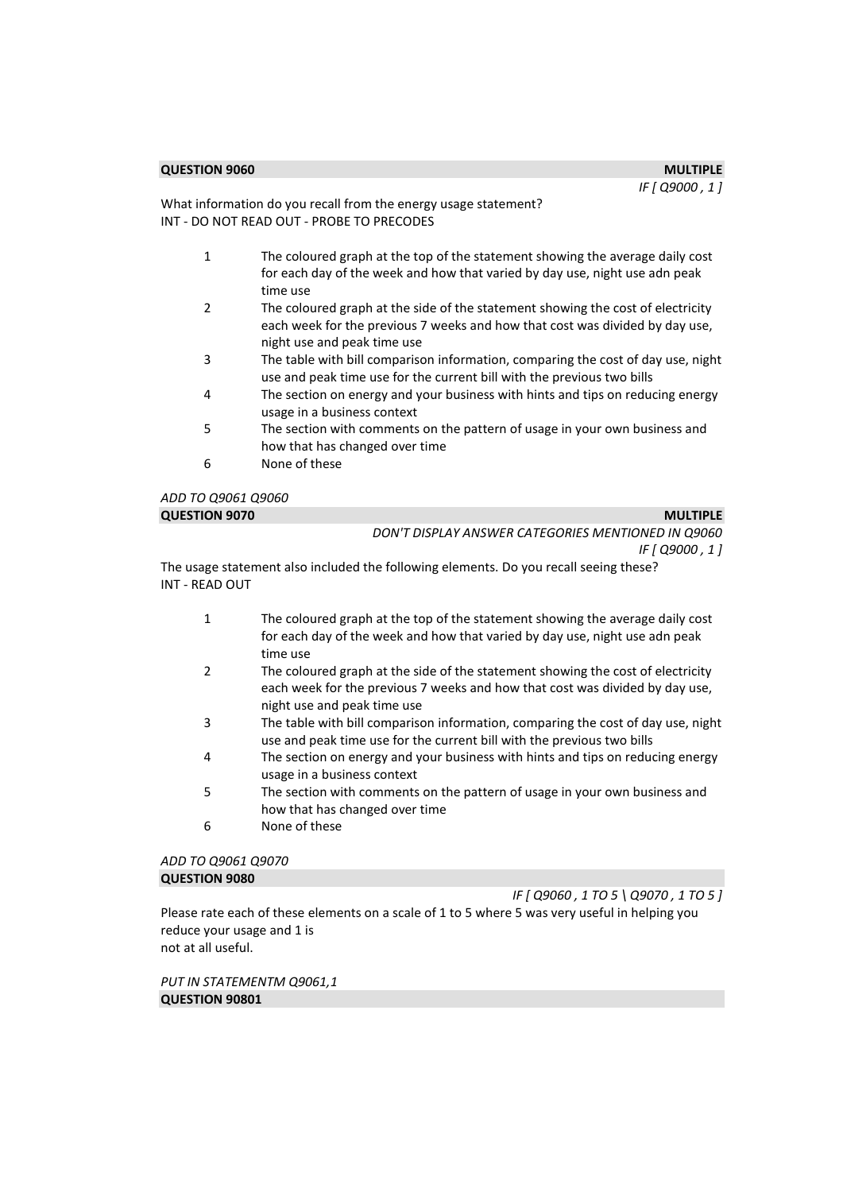*IF [ Q9000 , 1 ]* 

What information do you recall from the energy usage statement? INT - DO NOT READ OUT - PROBE TO PRECODES

- 1 The coloured graph at the top of the statement showing the average daily cost for each day of the week and how that varied by day use, night use adn peak time use
- 2 The coloured graph at the side of the statement showing the cost of electricity each week for the previous 7 weeks and how that cost was divided by day use, night use and peak time use
- 3 The table with bill comparison information, comparing the cost of day use, night use and peak time use for the current bill with the previous two bills
- 4 The section on energy and your business with hints and tips on reducing energy usage in a business context
- 5 The section with comments on the pattern of usage in your own business and how that has changed over time
- 6 None of these

| ADD TO Q9061 Q9060   |                                                    |
|----------------------|----------------------------------------------------|
| <b>QUESTION 9070</b> | <b>MULTIPLE</b>                                    |
|                      | DON'T DISPLAY ANSWER CATEGORIES MENTIONED IN Q9060 |
|                      | IF [ Q9000 , 1 ]                                   |
| --                   | .                                                  |

The usage statement also included the following elements. Do you recall seeing these? INT - READ OUT

- 1 The coloured graph at the top of the statement showing the average daily cost for each day of the week and how that varied by day use, night use adn peak time use
- 2 The coloured graph at the side of the statement showing the cost of electricity each week for the previous 7 weeks and how that cost was divided by day use, night use and peak time use
- 3 The table with bill comparison information, comparing the cost of day use, night use and peak time use for the current bill with the previous two bills
- 4 The section on energy and your business with hints and tips on reducing energy usage in a business context
- 5 The section with comments on the pattern of usage in your own business and how that has changed over time
- 6 None of these

## *ADD TO Q9061 Q9070*  **QUESTION 9080**

*IF [ Q9060 , 1 TO 5 \ Q9070 , 1 TO 5 ]*  Please rate each of these elements on a scale of 1 to 5 where 5 was very useful in helping you reduce your usage and 1 is not at all useful.

*PUT IN STATEMENTM Q9061,1*  **QUESTION 90801**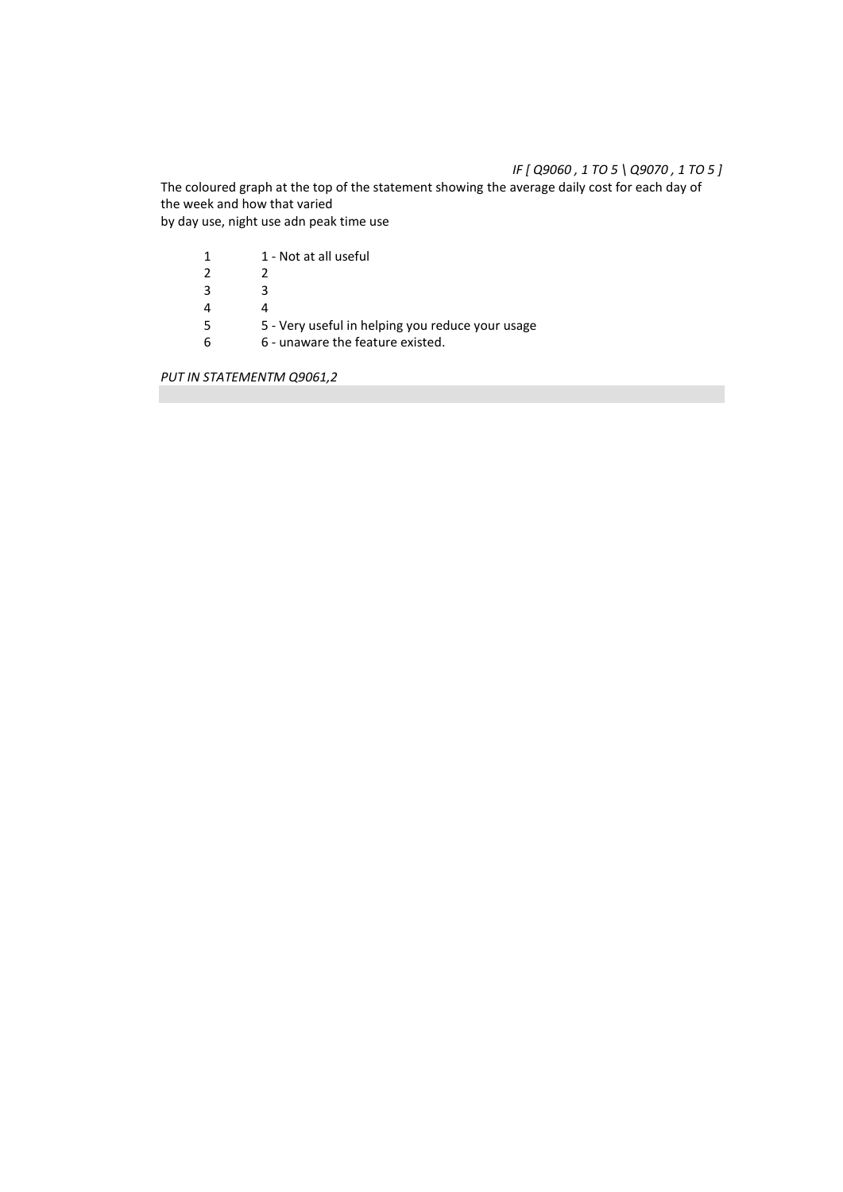# *IF [ Q9060 , 1 TO 5 \ Q9070 , 1 TO 5 ]*

The coloured graph at the top of the statement showing the average daily cost for each day of the week and how that varied by day use, night use adn peak time use

| 1  | 1 - Not at all useful                            |
|----|--------------------------------------------------|
| 2  |                                                  |
| ્ર |                                                  |
|    |                                                  |
| 5  | 5 - Very useful in helping you reduce your usage |
|    | 6 - unaware the feature existed.                 |

*PUT IN STATEMENTM Q9061,2*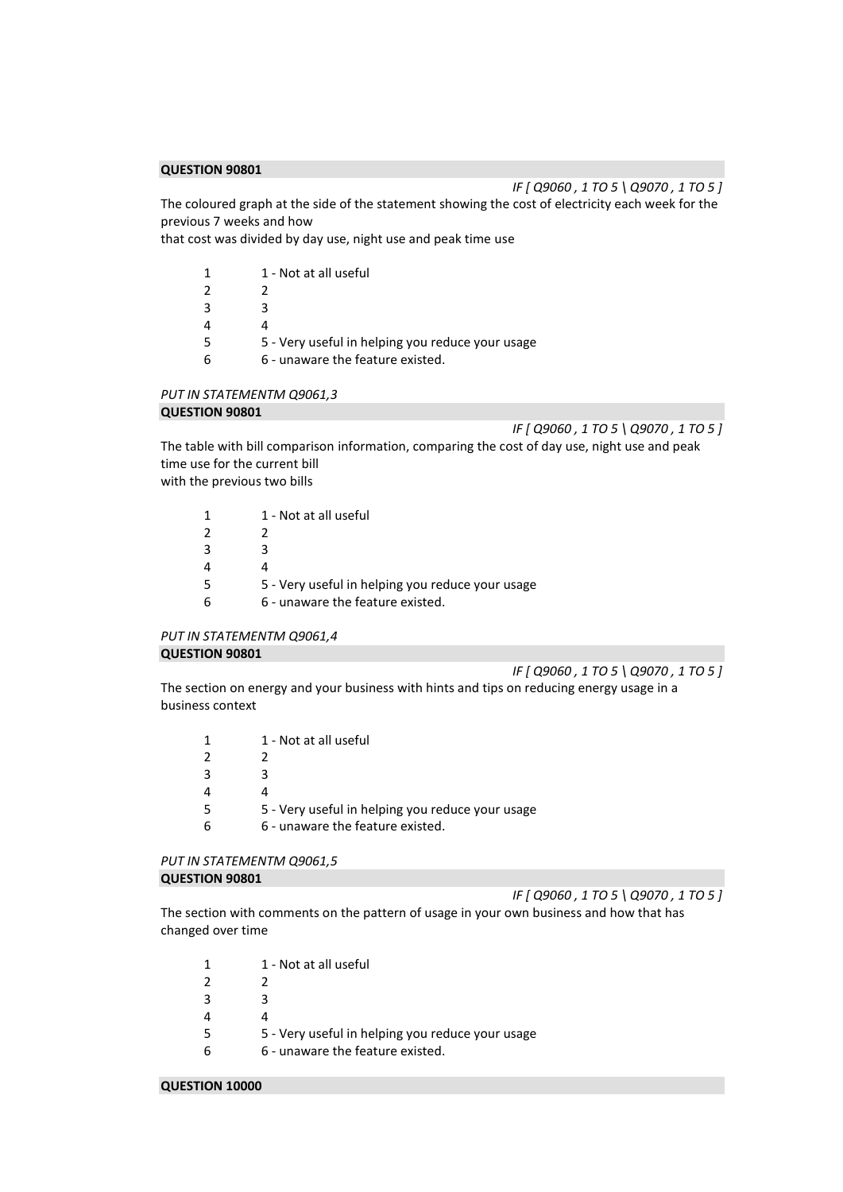*IF [ Q9060 , 1 TO 5 \ Q9070 , 1 TO 5 ]*  The coloured graph at the side of the statement showing the cost of electricity each week for the previous 7 weeks and how

that cost was divided by day use, night use and peak time use

|    | 1 - Not at all useful                            |
|----|--------------------------------------------------|
|    |                                                  |
| ્ર | ર                                                |
|    |                                                  |
|    | 5 - Very useful in helping you reduce your usage |
|    | 6 - unaware the feature existed.                 |

## *PUT IN STATEMENTM Q9061,3*

## **QUESTION 90801**

*IF [ Q9060 , 1 TO 5 \ Q9070 , 1 TO 5 ]* 

The table with bill comparison information, comparing the cost of day use, night use and peak time use for the current bill

with the previous two bills

|   | 1 - Not at all useful                            |
|---|--------------------------------------------------|
|   |                                                  |
| ર | ર                                                |
|   |                                                  |
|   | 5 - Very useful in helping you reduce your usage |
|   | 6 - unaware the feature existed.                 |
|   |                                                  |

## *PUT IN STATEMENTM Q9061,4*  **QUESTION 90801**

*IF [ Q9060 , 1 TO 5 \ Q9070 , 1 TO 5 ]* 

The section on energy and your business with hints and tips on reducing energy usage in a business context

| $\mathbf 1$   | 1 - Not at all useful                            |
|---------------|--------------------------------------------------|
| $\mathcal{P}$ |                                                  |
| 3             |                                                  |
| 4             |                                                  |
| 5             | 5 - Very useful in helping you reduce your usage |
| 6             | 6 - unaware the feature existed.                 |
|               |                                                  |

## *PUT IN STATEMENTM Q9061,5*  **QUESTION 90801**

*IF [ Q9060 , 1 TO 5 \ Q9070 , 1 TO 5 ]* 

The section with comments on the pattern of usage in your own business and how that has changed over time

|               | 1 - Not at all useful                            |
|---------------|--------------------------------------------------|
| $\mathcal{P}$ |                                                  |
| 3             | R.                                               |
| 4             |                                                  |
| 5             | 5 - Very useful in helping you reduce your usage |
| 6             | 6 - unaware the feature existed.                 |

#### **QUESTION 10000**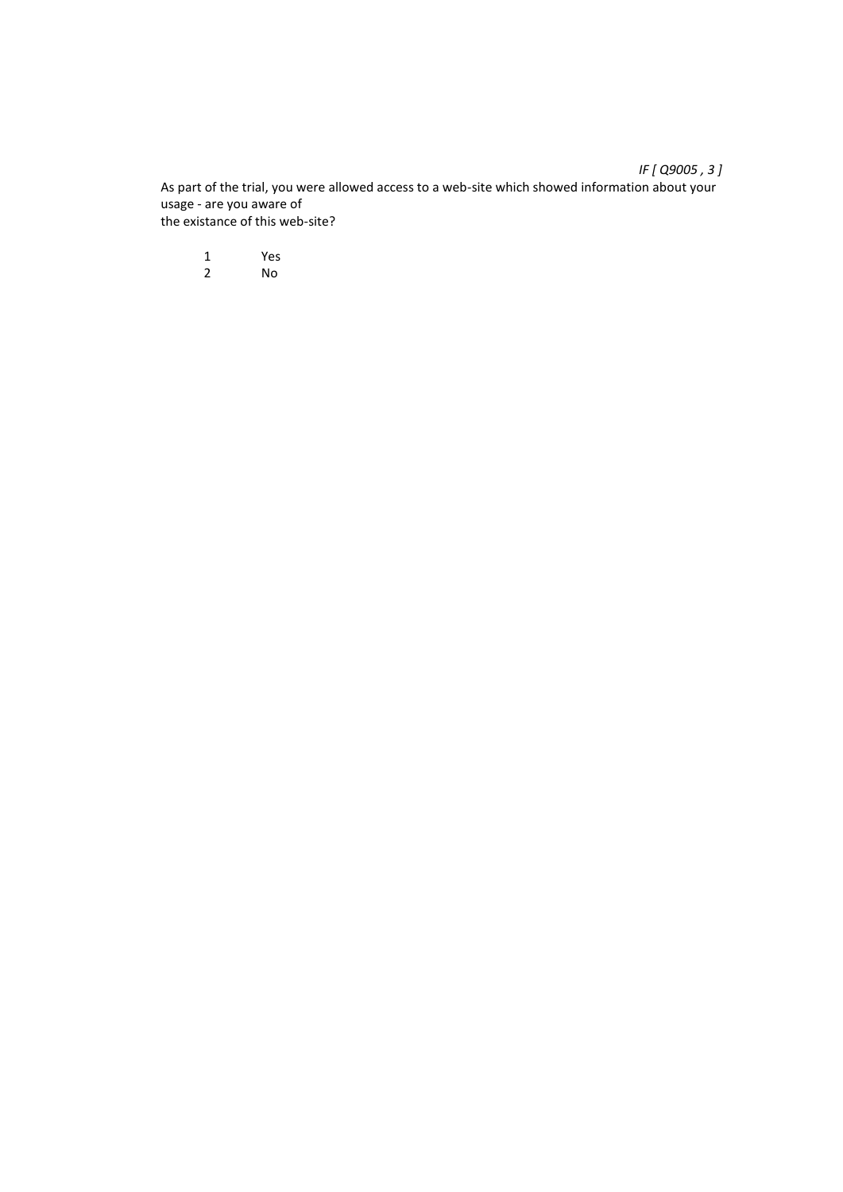As part of the trial, you were allowed access to a web-site which showed information about your usage - are you aware of the existance of this web-site?

1 Yes<br>2 No 2 No

*IF [ Q9005 , 3 ]*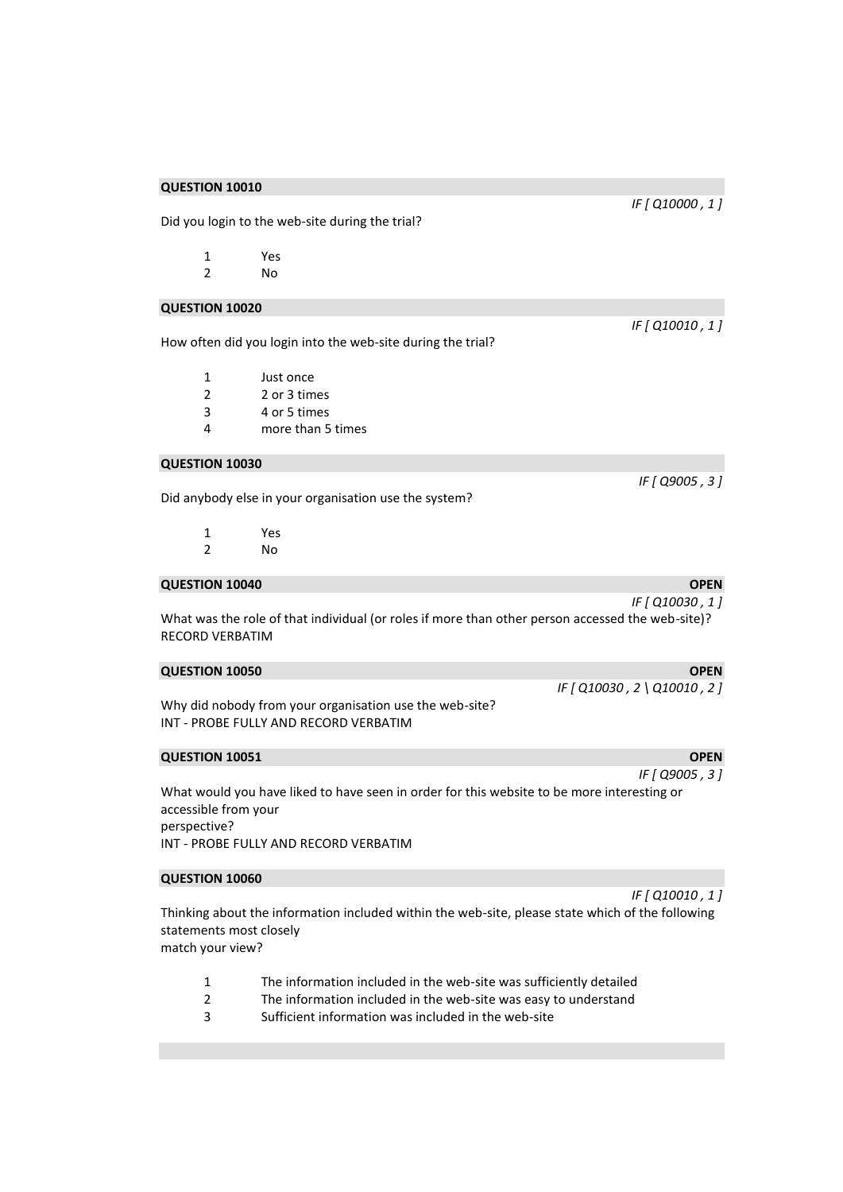Did you login to the web-site during the trial?

| 1 | Yes |  |
|---|-----|--|
|   |     |  |

2 No

#### **QUESTION 10020**

How often did you login into the web-site during the trial?

- 1 Just once
- 2 2 or 3 times
- 3 4 or 5 times
- 4 more than 5 times

#### **QUESTION 10030**

Did anybody else in your organisation use the system?

- 1 Yes<br>2 No N<sub>o</sub>
- 

## **QUESTION 10040 OPEN OPEN**

What was the role of that individual (or roles if more than other person accessed the web-site)? RECORD VERBATIM

#### **QUESTION 10050 OPEN**

Why did nobody from your organisation use the web-site? INT - PROBE FULLY AND RECORD VERBATIM

#### **QUESTION 10051 OPEN OPEN**

What would you have liked to have seen in order for this website to be more interesting or accessible from your perspective? INT - PROBE FULLY AND RECORD VERBATIM

#### **QUESTION 10060**

Thinking about the information included within the web-site, please state which of the following statements most closely match your view?

- 1 The information included in the web-site was sufficiently detailed
- 2 The information included in the web-site was easy to understand
- 3 Sufficient information was included in the web-site

*IF [ Q10000 , 1 ]* 

*IF [ Q10010 , 1 ]* 

*IF [ Q9005 , 3 ]* 

*IF [ Q10030 , 1 ]*

*IF [ Q10030 , 2 \ Q10010 , 2 ]* 

*IF [ Q9005 , 3 ]* 

## *IF [ Q10010 , 1 ]*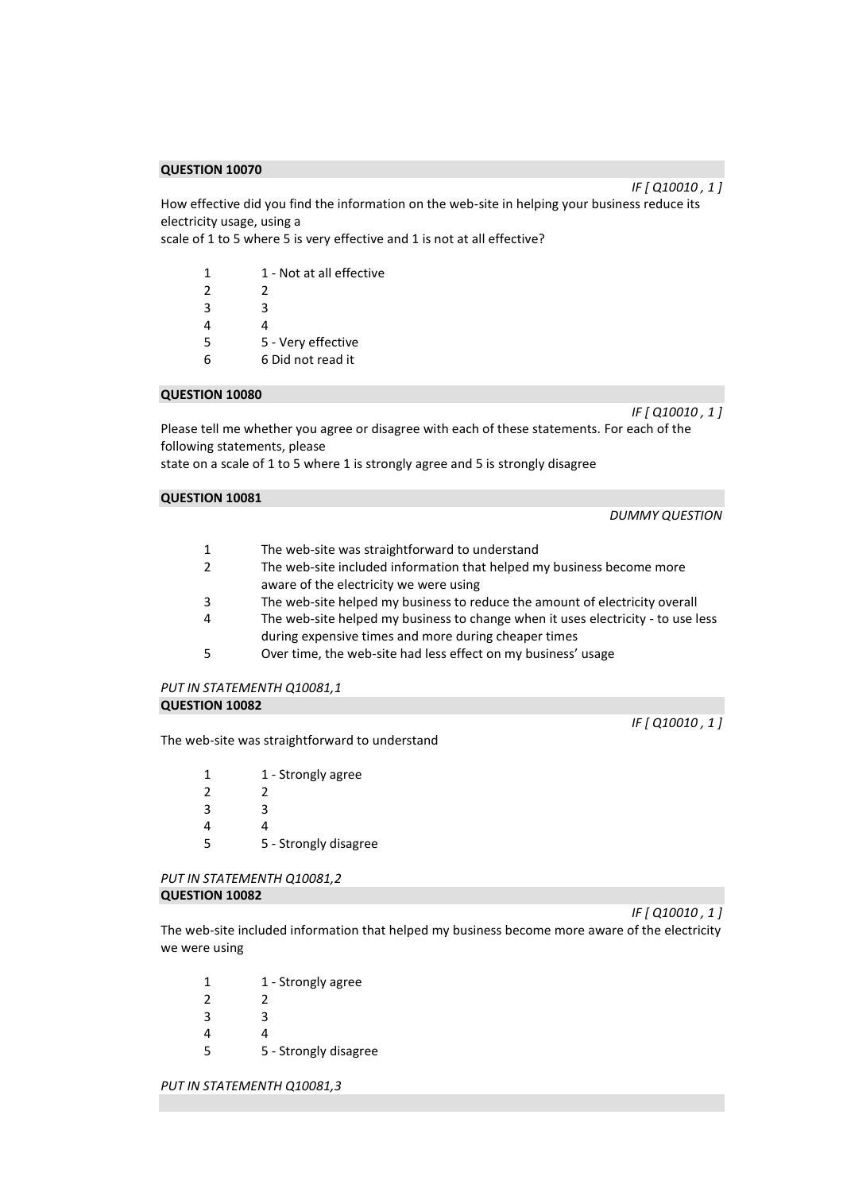How effective did you find the information on the web-site in helping your business reduce its electricity usage, using a

scale of 1 to 5 where 5 is very effective and 1 is not at all effective?

| 1             | 1 - Not at all effective |
|---------------|--------------------------|
| $\mathcal{P}$ | 2                        |
| 3             | ς                        |
| 4             | Δ                        |
| 5             | 5 - Very effective       |
| հ             | 6 Did not read it        |

## **QUESTION 10080**

Please tell me whether you agree or disagree with each of these statements. For each of the following statements, please

state on a scale of 1 to 5 where 1 is strongly agree and 5 is strongly disagree

## **QUESTION 10081**

1 The web-site was straightforward to understand

- 2 The web-site included information that helped my business become more aware of the electricity we were using
- 3 The web-site helped my business to reduce the amount of electricity overall
- 4 The web-site helped my business to change when it uses electricity to use less during expensive times and more during cheaper times
- 5 Over time, the web-site had less effect on my business' usage

### *PUT IN STATEMENTH Q10081,1*  **QUESTION 10082**

The web-site was straightforward to understand

| 1 | 1 - Strongly agree    |
|---|-----------------------|
| 2 | 2                     |
| 3 | ੨                     |
| 4 | Δ                     |
| 5 | 5 - Strongly disagree |

### *PUT IN STATEMENTH Q10081,2*  **QUESTION 10082**

*IF [ Q10010 , 1 ]*  The web-site included information that helped my business become more aware of the electricity we were using

1 1 - Strongly agree 2 2 3 3 4 4 5 5 - Strongly disagree

*PUT IN STATEMENTH Q10081,3* 

*IF [ Q10010 , 1 ]* 

*IF [ Q10010 , 1 ]* 

*IF [ Q10010 , 1 ]* 

*DUMMY QUESTION*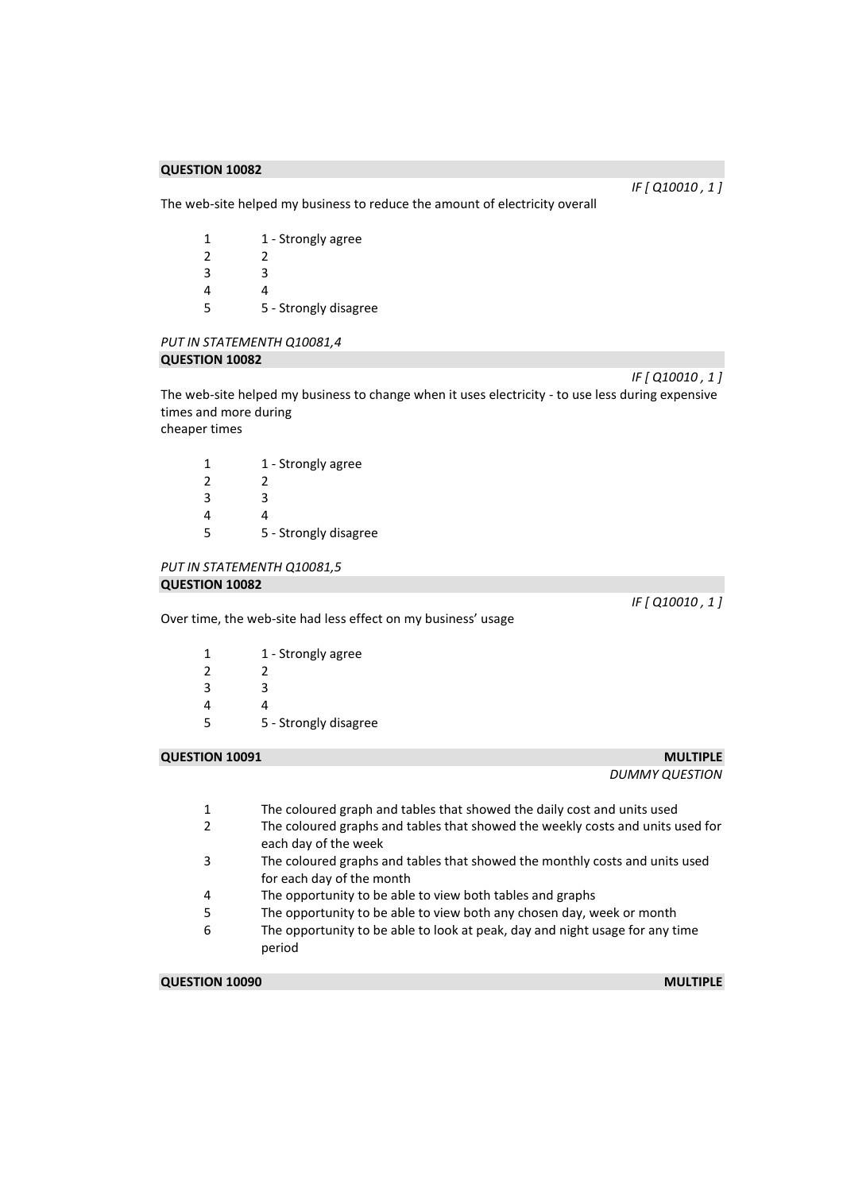*IF [ Q10010 , 1 ]* 

*IF [ Q10010 , 1 ]* 

The web-site helped my business to reduce the amount of electricity overall

| 1 | 1 - Strongly agree    |
|---|-----------------------|
| 2 | 2                     |
| 3 | ੨                     |
| 4 | Δ                     |
| 5 | 5 - Strongly disagree |

## *PUT IN STATEMENTH Q10081,4*  **QUESTION 10082**

The web-site helped my business to change when it uses electricity - to use less during expensive times and more during cheaper times

1 1 - Strongly agree 2 2 3 3 4 4 5 5 - Strongly disagree

#### *PUT IN STATEMENTH Q10081,5*  **QUESTION 10082**

Over time, the web-site had less effect on my business' usage

1 1 - Strongly agree 2 2 3 3 4 4 5 5 - Strongly disagree

## **QUESTION 10091** MULTIPLE

*DUMMY QUESTION* 

- 1 The coloured graph and tables that showed the daily cost and units used
- 2 The coloured graphs and tables that showed the weekly costs and units used for each day of the week
- 3 The coloured graphs and tables that showed the monthly costs and units used for each day of the month
- 4 The opportunity to be able to view both tables and graphs
- 5 The opportunity to be able to view both any chosen day, week or month
- 6 The opportunity to be able to look at peak, day and night usage for any time period

**QUESTION 10090** MULTIPLE

*IF [ Q10010 , 1 ]*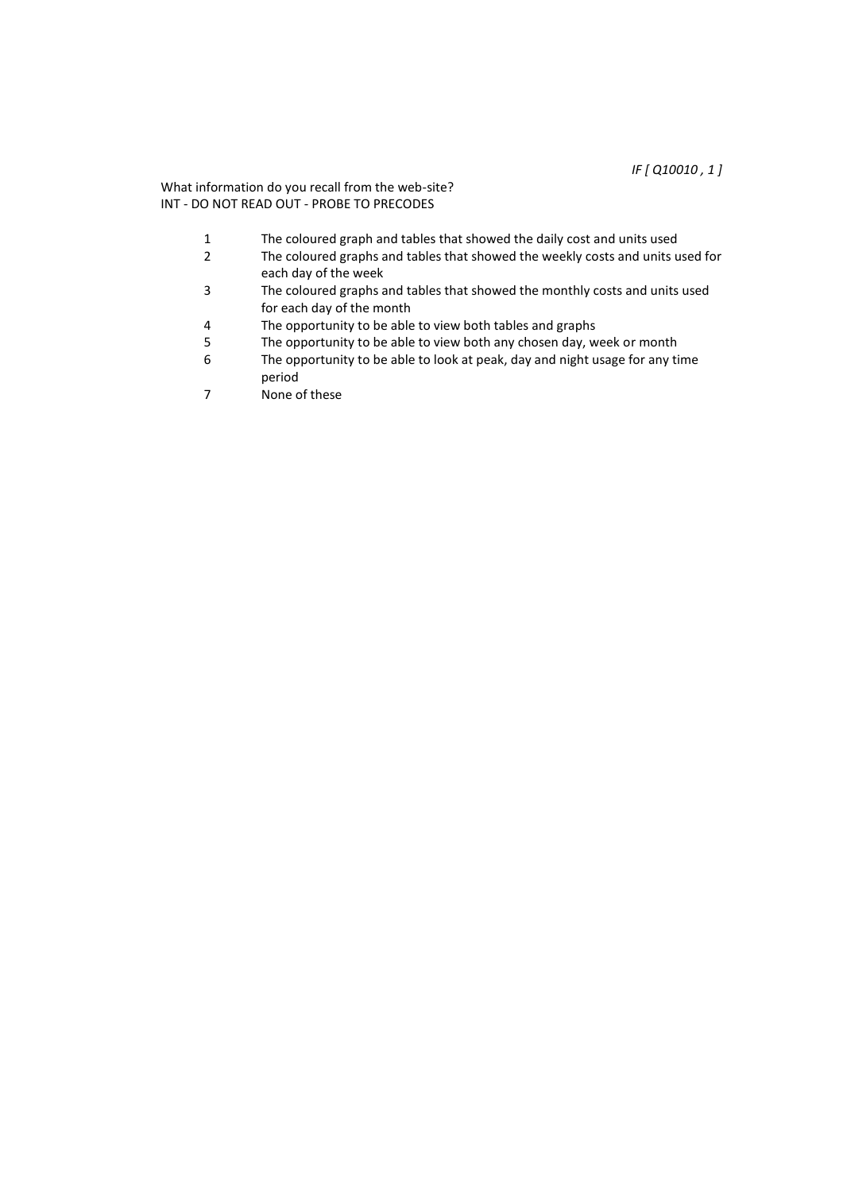## What information do you recall from the web-site? INT - DO NOT READ OUT - PROBE TO PRECODES

- 1 The coloured graph and tables that showed the daily cost and units used<br>2 The coloured graphs and tables that showed the weekly costs and units u
- The coloured graphs and tables that showed the weekly costs and units used for each day of the week
- 3 The coloured graphs and tables that showed the monthly costs and units used for each day of the month
- 4 The opportunity to be able to view both tables and graphs<br>5 The opportunity to be able to view both any chosen day. w
- 5 The opportunity to be able to view both any chosen day, week or month<br>6 The opportunity to be able to look at peak, day and night usage for any ti
- The opportunity to be able to look at peak, day and night usage for any time period
- 7 None of these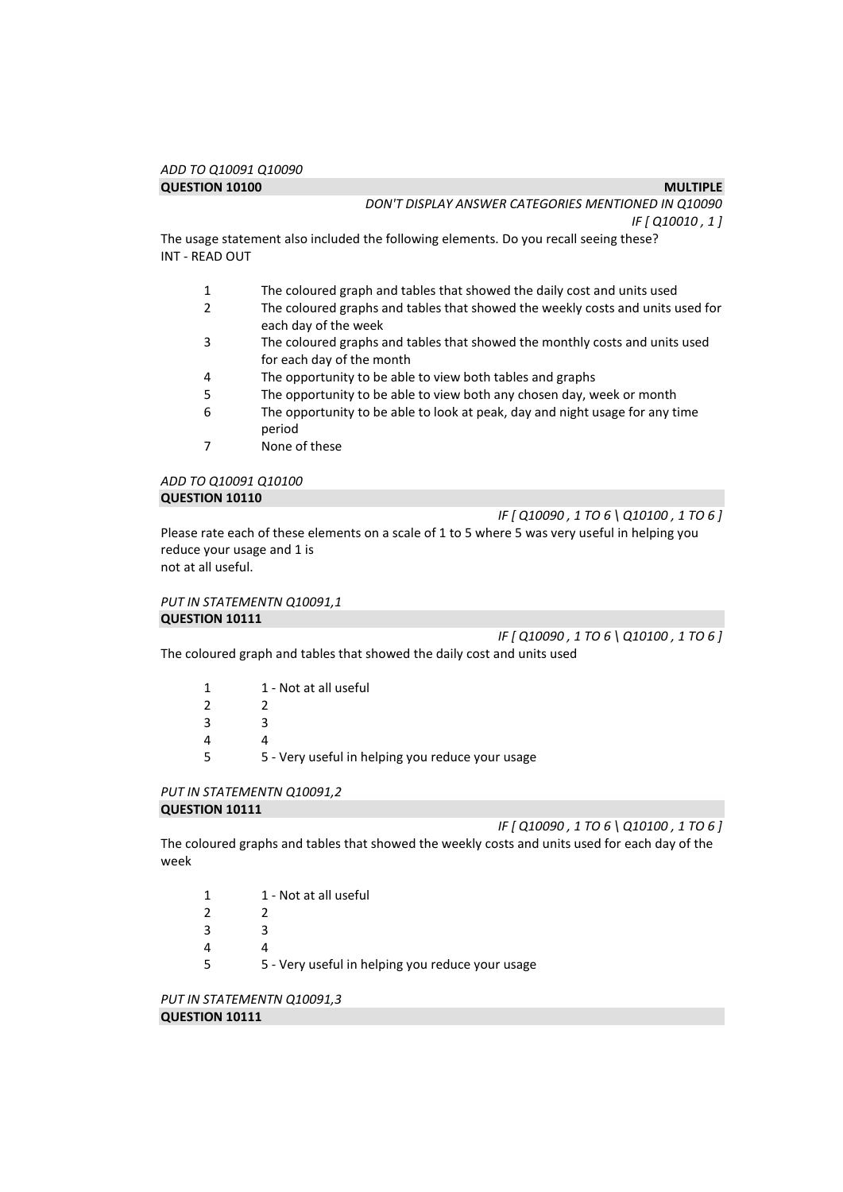*IF [ Q10010 , 1 ]* 

The usage statement also included the following elements. Do you recall seeing these? INT - READ OUT

- 1 The coloured graph and tables that showed the daily cost and units used
- 2 The coloured graphs and tables that showed the weekly costs and units used for each day of the week
- 3 The coloured graphs and tables that showed the monthly costs and units used for each day of the month
- 4 The opportunity to be able to view both tables and graphs
- 5 The opportunity to be able to view both any chosen day, week or month
- 6 The opportunity to be able to look at peak, day and night usage for any time period
- 7 None of these

## *ADD TO Q10091 Q10100*  **QUESTION 10110**

*IF [ Q10090 , 1 TO 6 \ Q10100 , 1 TO 6 ]* 

Please rate each of these elements on a scale of 1 to 5 where 5 was very useful in helping you reduce your usage and 1 is not at all useful.

*PUT IN STATEMENTN Q10091,1*  **QUESTION 10111** 

*IF [ Q10090 , 1 TO 6 \ Q10100 , 1 TO 6 ]* 

The coloured graph and tables that showed the daily cost and units used

- 1 1 Not at all useful  $2 \t 2$ 3 3 4 4
- 5 5 Very useful in helping you reduce your usage

# *PUT IN STATEMENTN Q10091,2*

## **QUESTION 10111**

*IF [ Q10090 , 1 TO 6 \ Q10100 , 1 TO 6 ]* 

The coloured graphs and tables that showed the weekly costs and units used for each day of the week

- 1 1 Not at all useful 2 2 3 3
- 4 4
- 5 5 Very useful in helping you reduce your usage

*PUT IN STATEMENTN Q10091,3*  **QUESTION 10111**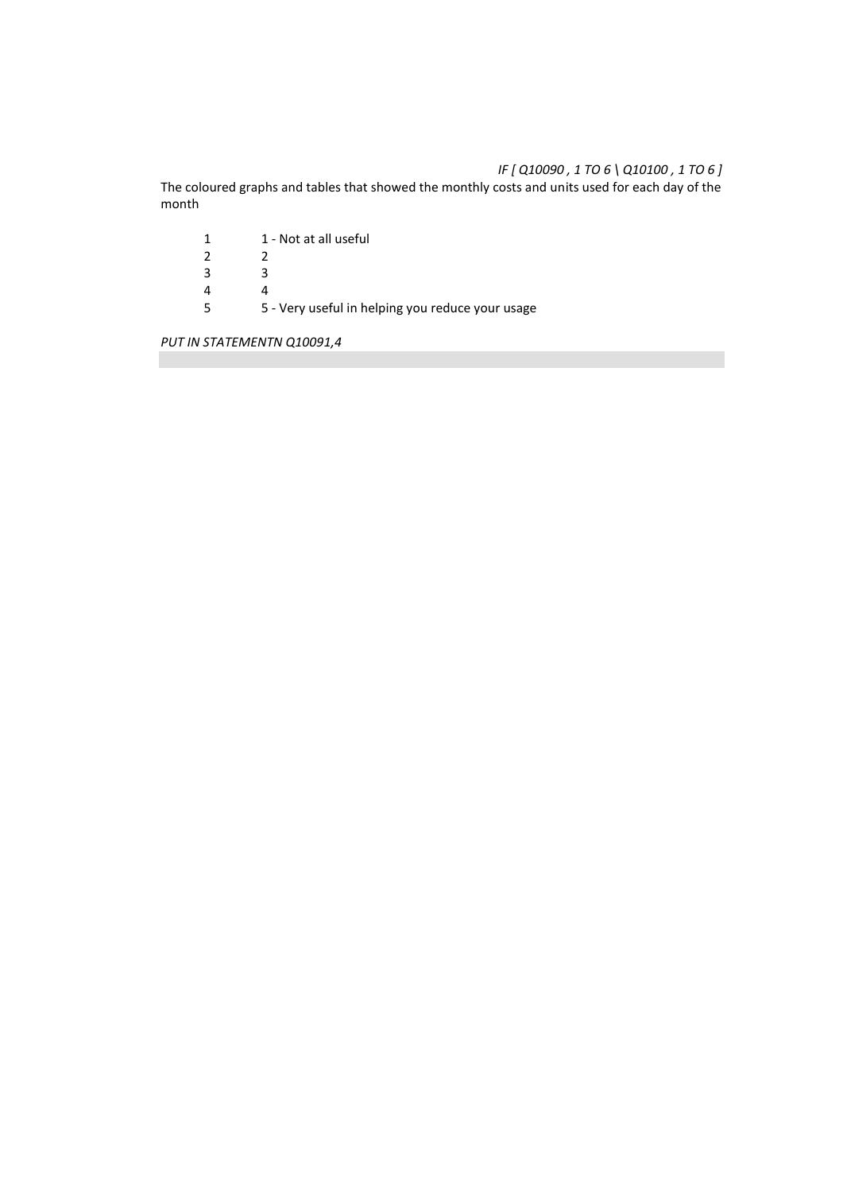## *IF [ Q10090 , 1 TO 6 \ Q10100 , 1 TO 6 ]*

The coloured graphs and tables that showed the monthly costs and units used for each day of the month

1 1 - Not at all useful<br>2 2  $\begin{array}{ccc} 2 & \quad & 2 \\ 3 & \quad & 3 \end{array}$  $\frac{3}{4}$  $\begin{array}{ccc} 4 & & 4 \\ 5 & & 5 \end{array}$ 5 5 - Very useful in helping you reduce your usage

*PUT IN STATEMENTN Q10091,4*